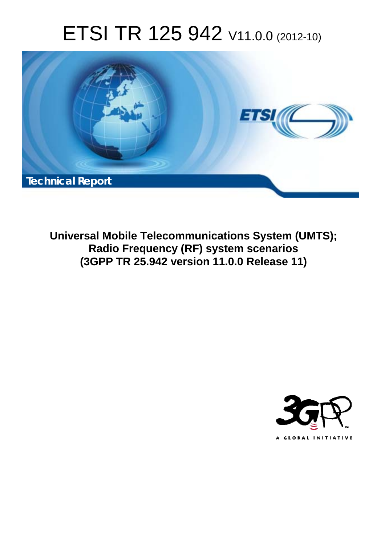# ETSI TR 125 942 V11.0.0 (2012-10)



**Universal Mobile Telecommunications System (UMTS); Radio Frequency (RF) system scenarios (3GPP TR 25.942 version 11.0.0 Release 11)** 

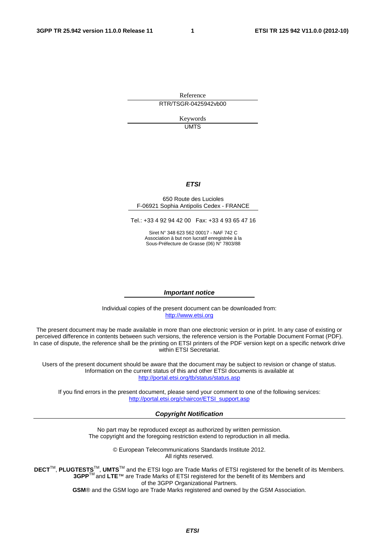Reference RTR/TSGR-0425942vb00

> Keywords UMTS

### *ETSI*

#### 650 Route des Lucioles F-06921 Sophia Antipolis Cedex - FRANCE

Tel.: +33 4 92 94 42 00 Fax: +33 4 93 65 47 16

Siret N° 348 623 562 00017 - NAF 742 C Association à but non lucratif enregistrée à la Sous-Préfecture de Grasse (06) N° 7803/88

### *Important notice*

Individual copies of the present document can be downloaded from: [http://www.etsi.org](http://www.etsi.org/)

The present document may be made available in more than one electronic version or in print. In any case of existing or perceived difference in contents between such versions, the reference version is the Portable Document Format (PDF). In case of dispute, the reference shall be the printing on ETSI printers of the PDF version kept on a specific network drive within ETSI Secretariat.

Users of the present document should be aware that the document may be subject to revision or change of status. Information on the current status of this and other ETSI documents is available at <http://portal.etsi.org/tb/status/status.asp>

If you find errors in the present document, please send your comment to one of the following services: [http://portal.etsi.org/chaircor/ETSI\\_support.asp](http://portal.etsi.org/chaircor/ETSI_support.asp)

### *Copyright Notification*

No part may be reproduced except as authorized by written permission. The copyright and the foregoing restriction extend to reproduction in all media.

> © European Telecommunications Standards Institute 2012. All rights reserved.

DECT<sup>™</sup>, PLUGTESTS<sup>™</sup>, UMTS<sup>™</sup> and the ETSI logo are Trade Marks of ETSI registered for the benefit of its Members. **3GPP**TM and **LTE**™ are Trade Marks of ETSI registered for the benefit of its Members and of the 3GPP Organizational Partners.

**GSM**® and the GSM logo are Trade Marks registered and owned by the GSM Association.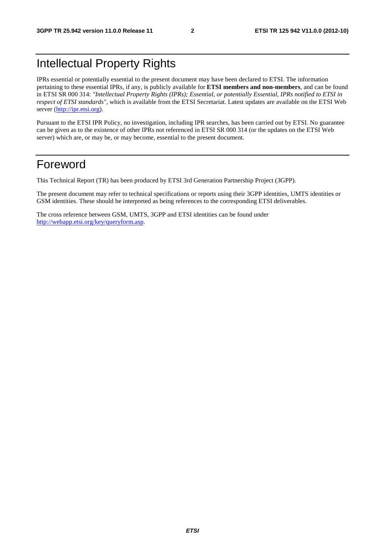## Intellectual Property Rights

IPRs essential or potentially essential to the present document may have been declared to ETSI. The information pertaining to these essential IPRs, if any, is publicly available for **ETSI members and non-members**, and can be found in ETSI SR 000 314: *"Intellectual Property Rights (IPRs); Essential, or potentially Essential, IPRs notified to ETSI in respect of ETSI standards"*, which is available from the ETSI Secretariat. Latest updates are available on the ETSI Web server [\(http://ipr.etsi.org](http://webapp.etsi.org/IPR/home.asp)).

Pursuant to the ETSI IPR Policy, no investigation, including IPR searches, has been carried out by ETSI. No guarantee can be given as to the existence of other IPRs not referenced in ETSI SR 000 314 (or the updates on the ETSI Web server) which are, or may be, or may become, essential to the present document.

## Foreword

This Technical Report (TR) has been produced by ETSI 3rd Generation Partnership Project (3GPP).

The present document may refer to technical specifications or reports using their 3GPP identities, UMTS identities or GSM identities. These should be interpreted as being references to the corresponding ETSI deliverables.

The cross reference between GSM, UMTS, 3GPP and ETSI identities can be found under [http://webapp.etsi.org/key/queryform.asp.](http://webapp.etsi.org/key/queryform.asp)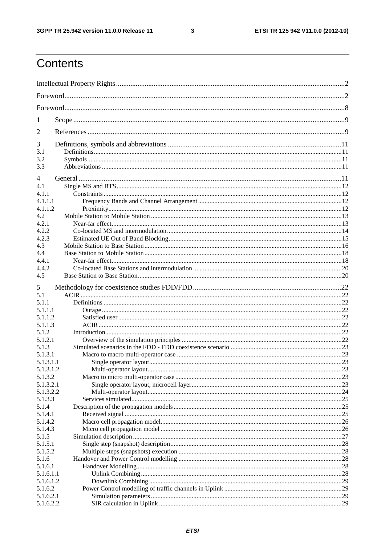$\mathbf{3}$ 

## Contents

| 1                  |  |  |  |  |
|--------------------|--|--|--|--|
| 2                  |  |  |  |  |
| 3                  |  |  |  |  |
| 3.1                |  |  |  |  |
| 3.2<br>3.3         |  |  |  |  |
| 4                  |  |  |  |  |
| 4.1                |  |  |  |  |
| 4.1.1              |  |  |  |  |
| 4.1.1.1            |  |  |  |  |
| 4.1.1.2            |  |  |  |  |
| 4.2                |  |  |  |  |
| 4.2.1              |  |  |  |  |
| 4.2.2              |  |  |  |  |
| 4.2.3              |  |  |  |  |
| 4.3                |  |  |  |  |
| 4.4<br>4.4.1       |  |  |  |  |
| 4.4.2              |  |  |  |  |
| 4.5                |  |  |  |  |
|                    |  |  |  |  |
| 5                  |  |  |  |  |
| 5.1<br>5.1.1       |  |  |  |  |
| 5.1.1.1            |  |  |  |  |
| 5.1.1.2            |  |  |  |  |
| 5.1.1.3            |  |  |  |  |
| 5.1.2              |  |  |  |  |
| 5.1.2.1            |  |  |  |  |
| 5.1.3              |  |  |  |  |
| 5.1.3.1            |  |  |  |  |
| 5.1.3.1.1          |  |  |  |  |
| 5.1.3.1.2          |  |  |  |  |
| 5.1.3.2            |  |  |  |  |
| 5.1.3.2.1          |  |  |  |  |
| 5.1.3.2.2          |  |  |  |  |
| 5.1.3.3            |  |  |  |  |
| 5.1.4              |  |  |  |  |
| 5.1.4.1            |  |  |  |  |
| 5.1.4.2<br>5.1.4.3 |  |  |  |  |
| 5.1.5              |  |  |  |  |
| 5.1.5.1            |  |  |  |  |
| 5.1.5.2            |  |  |  |  |
| 5.1.6              |  |  |  |  |
| 5.1.6.1            |  |  |  |  |
| 5.1.6.1.1          |  |  |  |  |
| 5.1.6.1.2          |  |  |  |  |
| 5.1.6.2            |  |  |  |  |
| 5.1.6.2.1          |  |  |  |  |
| 5.1.6.2.2          |  |  |  |  |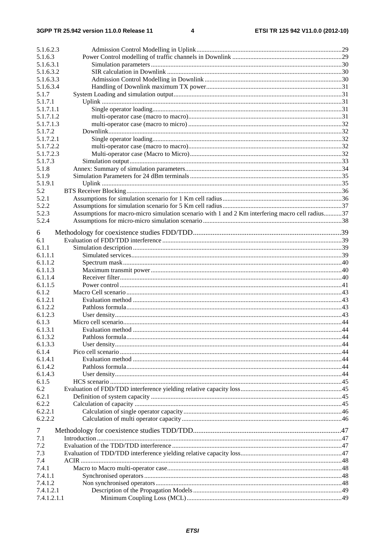| 5.1.6.2.3   |                                                                                                 |  |
|-------------|-------------------------------------------------------------------------------------------------|--|
| 5.1.6.3     |                                                                                                 |  |
| 5.1.6.3.1   |                                                                                                 |  |
| 5.1.6.3.2   |                                                                                                 |  |
| 5.1.6.3.3   |                                                                                                 |  |
| 5.1.6.3.4   |                                                                                                 |  |
| 5.1.7       |                                                                                                 |  |
| 5.1.7.1     |                                                                                                 |  |
| 5.1.7.1.1   |                                                                                                 |  |
| 5.1.7.1.2   |                                                                                                 |  |
| 5.1.7.1.3   |                                                                                                 |  |
| 5.1.7.2     |                                                                                                 |  |
| 5.1.7.2.1   |                                                                                                 |  |
| 5.1.7.2.2   |                                                                                                 |  |
| 5.1.7.2.3   |                                                                                                 |  |
| 5.1.7.3     |                                                                                                 |  |
| 5.1.8       |                                                                                                 |  |
| 5.1.9       |                                                                                                 |  |
| 5.1.9.1     |                                                                                                 |  |
| 5.2         |                                                                                                 |  |
| 5.2.1       |                                                                                                 |  |
| 5.2.2       |                                                                                                 |  |
| 5.2.3       | Assumptions for macro-micro simulation scenario with 1 and 2 Km interfering macro cell radius37 |  |
| 5.2.4       |                                                                                                 |  |
| 6           |                                                                                                 |  |
| 6.1         |                                                                                                 |  |
| 6.1.1       |                                                                                                 |  |
| 6.1.1.1     |                                                                                                 |  |
| 6.1.1.2     |                                                                                                 |  |
| 6.1.1.3     |                                                                                                 |  |
| 6.1.1.4     |                                                                                                 |  |
| 6.1.1.5     |                                                                                                 |  |
| 6.1.2       |                                                                                                 |  |
| 6.1.2.1     |                                                                                                 |  |
| 6.1.2.2     |                                                                                                 |  |
| 6.1.2.3     |                                                                                                 |  |
| 6.1.3       |                                                                                                 |  |
| 6.1.3.1     |                                                                                                 |  |
| 6.1.3.2     |                                                                                                 |  |
| 6.1.3.3     |                                                                                                 |  |
| 6.1.4       |                                                                                                 |  |
| 6.1.4.1     |                                                                                                 |  |
| 6.1.4.2     |                                                                                                 |  |
| 6.1.4.3     |                                                                                                 |  |
| 6.1.5       |                                                                                                 |  |
| 6.2         |                                                                                                 |  |
| 6.2.1       |                                                                                                 |  |
| 6.2.2       |                                                                                                 |  |
| 6.2.2.1     |                                                                                                 |  |
| 6.2.2.2     |                                                                                                 |  |
| 7           |                                                                                                 |  |
| 7.1         |                                                                                                 |  |
| 7.2         |                                                                                                 |  |
| 7.3         |                                                                                                 |  |
| 7.4         |                                                                                                 |  |
| 7.4.1       |                                                                                                 |  |
| 7.4.1.1     |                                                                                                 |  |
| 7.4.1.2     |                                                                                                 |  |
| 7.4.1.2.1   |                                                                                                 |  |
| 7.4.1.2.1.1 |                                                                                                 |  |
|             |                                                                                                 |  |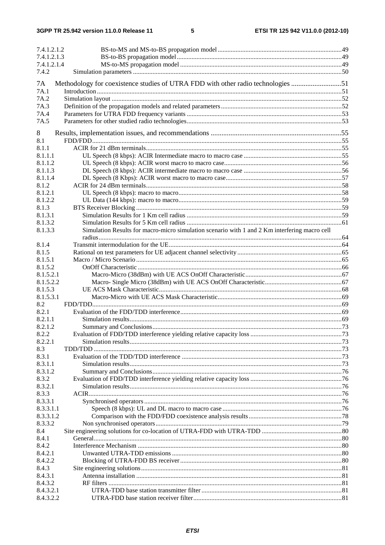| 7.4.1.2.1.2 |                                                                                               |  |
|-------------|-----------------------------------------------------------------------------------------------|--|
| 7.4.1.2.1.3 |                                                                                               |  |
| 7.4.1.2.1.4 |                                                                                               |  |
| 7.4.2       |                                                                                               |  |
|             |                                                                                               |  |
| 7A          | Methodology for coexistence studies of UTRA FDD with other radio technologies 51              |  |
| 7A.1        |                                                                                               |  |
| 7A.2        |                                                                                               |  |
| 7A.3        |                                                                                               |  |
| 7A.4        |                                                                                               |  |
| 7A.5        |                                                                                               |  |
| 8           |                                                                                               |  |
| 8.1         |                                                                                               |  |
| 8.1.1       |                                                                                               |  |
| 8.1.1.1     |                                                                                               |  |
| 8.1.1.2     |                                                                                               |  |
| 8.1.1.3     |                                                                                               |  |
| 8.1.1.4     |                                                                                               |  |
|             |                                                                                               |  |
| 8.1.2       |                                                                                               |  |
| 8.1.2.1     |                                                                                               |  |
| 8.1.2.2     |                                                                                               |  |
| 8.1.3       |                                                                                               |  |
| 8.1.3.1     |                                                                                               |  |
| 8.1.3.2     |                                                                                               |  |
| 8.1.3.3     | Simulation Results for macro-micro simulation scenario with 1 and 2 Km interfering macro cell |  |
|             |                                                                                               |  |
| 8.1.4       |                                                                                               |  |
| 8.1.5       |                                                                                               |  |
| 8.1.5.1     |                                                                                               |  |
| 8.1.5.2     |                                                                                               |  |
| 8.1.5.2.1   |                                                                                               |  |
| 8.1.5.2.2   |                                                                                               |  |
| 8.1.5.3     |                                                                                               |  |
| 8.1.5.3.1   |                                                                                               |  |
| 8.2         |                                                                                               |  |
| 8.2.1       |                                                                                               |  |
| 8.2.1.1     |                                                                                               |  |
| 8.2.1.2     |                                                                                               |  |
| 8.2.2       |                                                                                               |  |
| 8.2.2.1     |                                                                                               |  |
| 8.3         |                                                                                               |  |
| 8.3.1       |                                                                                               |  |
| 8.3.1.1     |                                                                                               |  |
| 8.3.1.2     |                                                                                               |  |
| 8.3.2       |                                                                                               |  |
| 8.3.2.1     |                                                                                               |  |
| 8.3.3       |                                                                                               |  |
| 8.3.3.1     |                                                                                               |  |
| 8.3.3.1.1   |                                                                                               |  |
| 8.3.3.1.2   |                                                                                               |  |
| 8.3.3.2     |                                                                                               |  |
| 8.4         |                                                                                               |  |
| 8.4.1       |                                                                                               |  |
| 8.4.2       |                                                                                               |  |
| 8.4.2.1     |                                                                                               |  |
| 8.4.2.2     |                                                                                               |  |
| 8.4.3       |                                                                                               |  |
| 8.4.3.1     |                                                                                               |  |
| 8.4.3.2     |                                                                                               |  |
| 8.4.3.2.1   |                                                                                               |  |
| 8.4.3.2.2   |                                                                                               |  |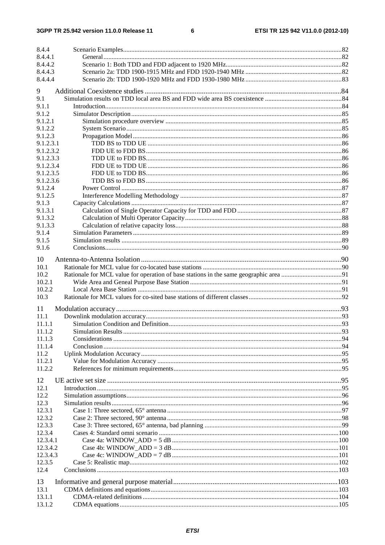### $\bf 6$

| 8.4.4     |  |
|-----------|--|
| 8.4.4.1   |  |
| 8.4.4.2   |  |
| 8.4.4.3   |  |
| 8.4.4.4   |  |
| 9         |  |
| 9.1       |  |
| 9.1.1     |  |
| 9.1.2     |  |
| 9.1.2.1   |  |
| 9.1.2.2   |  |
| 9.1.2.3   |  |
| 9.1.2.3.1 |  |
| 9.1.2.3.2 |  |
| 9.1.2.3.3 |  |
| 9.1.2.3.4 |  |
| 9.1.2.3.5 |  |
| 9.1.2.3.6 |  |
| 9.1.2.4   |  |
|           |  |
| 9.1.2.5   |  |
| 9.1.3     |  |
| 9.1.3.1   |  |
| 9.1.3.2   |  |
| 9.1.3.3   |  |
| 9.1.4     |  |
| 9.1.5     |  |
| 9.1.6     |  |
| 10        |  |
| 10.1      |  |
| 10.2      |  |
| 10.2.1    |  |
| 10.2.2    |  |
| 10.3      |  |
|           |  |
| 11        |  |
| 11.1      |  |
| 11.1.1    |  |
| 11.1.2    |  |
| 11.1.3    |  |
| 11.1.4    |  |
| 11.2      |  |
| 11.2.1    |  |
| 11.2.2    |  |
| 12        |  |
| 12.1      |  |
| 12.2      |  |
| 12.3      |  |
| 12.3.1    |  |
| 12.3.2    |  |
| 12.3.3    |  |
| 12.3.4    |  |
| 12.3.4.1  |  |
| 12.3.4.2  |  |
| 12.3.4.3  |  |
| 12.3.5    |  |
| 12.4      |  |
|           |  |
| 13        |  |
| 13.1      |  |
| 13.1.1    |  |
| 13.1.2    |  |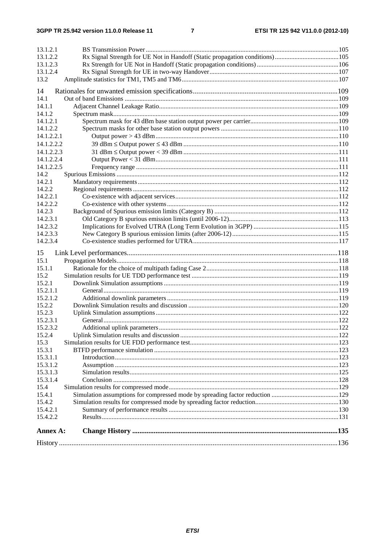| <b>Annex A:</b>          |  |
|--------------------------|--|
|                          |  |
| 15.4.2.2                 |  |
| 15.4.2.1                 |  |
| 15.4.2                   |  |
| 15.4.1                   |  |
| 15.4                     |  |
| 15.3.1.4                 |  |
| 15.3.1.3                 |  |
| 15.3.1.2                 |  |
| 15.3.1.1                 |  |
| 15.3.1                   |  |
| 15.3                     |  |
| 15.2.4                   |  |
| 15.2.3.2                 |  |
| 15.2.3.1                 |  |
| 15.2.3                   |  |
| 15.2.1.2<br>15.2.2       |  |
| 15.2.1.1                 |  |
| 15.2.1                   |  |
| 15.2                     |  |
| 15.1.1                   |  |
| 15.1                     |  |
| 15                       |  |
|                          |  |
| 14.2.3.4                 |  |
| 14.2.3.3                 |  |
| 14.2.3.2                 |  |
| 14.2.3.1                 |  |
| 14.2.3                   |  |
| 14.2.2.2                 |  |
| 14.2.2.1                 |  |
| 14.2.2                   |  |
| 14.2.1                   |  |
| 14.2                     |  |
| 14.1.2.2.5               |  |
| 14.1.2.2.3<br>14.1.2.2.4 |  |
| 14.1.2.2.2               |  |
|                          |  |
| 14.1.2.2<br>14.1.2.2.1   |  |
| 14.1.2.1                 |  |
| 14.1.2                   |  |
| 14.1.1                   |  |
| 14.1                     |  |
| 14                       |  |
|                          |  |
| 13.2                     |  |
| 13.1.2.4                 |  |
| 13.1.2.3                 |  |
| 13.1.2.2                 |  |
| 13.1.2.1                 |  |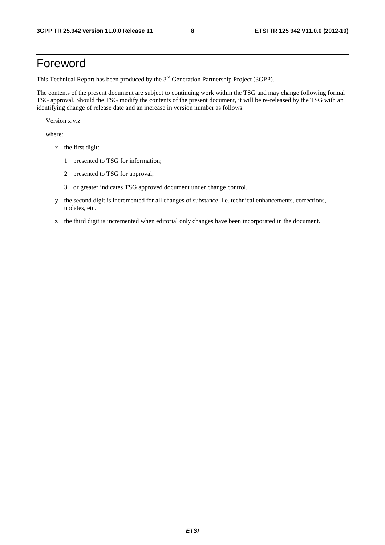## Foreword

This Technical Report has been produced by the  $3<sup>rd</sup>$  Generation Partnership Project (3GPP).

The contents of the present document are subject to continuing work within the TSG and may change following formal TSG approval. Should the TSG modify the contents of the present document, it will be re-released by the TSG with an identifying change of release date and an increase in version number as follows:

Version x.y.z

where:

- x the first digit:
	- 1 presented to TSG for information;
	- 2 presented to TSG for approval;
	- 3 or greater indicates TSG approved document under change control.
- y the second digit is incremented for all changes of substance, i.e. technical enhancements, corrections, updates, etc.
- z the third digit is incremented when editorial only changes have been incorporated in the document.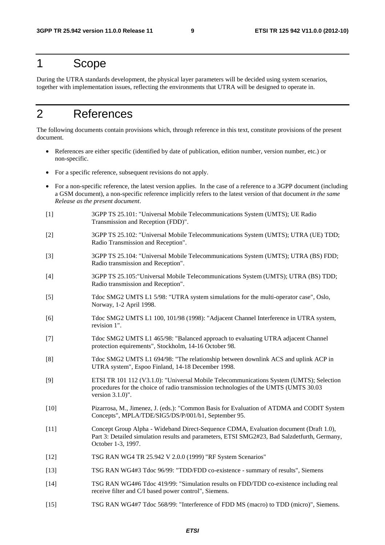## 1 Scope

During the UTRA standards development, the physical layer parameters will be decided using system scenarios, together with implementation issues, reflecting the environments that UTRA will be designed to operate in.

## 2 References

The following documents contain provisions which, through reference in this text, constitute provisions of the present document.

- References are either specific (identified by date of publication, edition number, version number, etc.) or non-specific.
- For a specific reference, subsequent revisions do not apply.
- For a non-specific reference, the latest version applies. In the case of a reference to a 3GPP document (including a GSM document), a non-specific reference implicitly refers to the latest version of that document *in the same Release as the present document*.
- [1] 3GPP TS 25.101: "Universal Mobile Telecommunications System (UMTS); UE Radio Transmission and Reception (FDD)".
- [2] 3GPP TS 25.102: "Universal Mobile Telecommunications System (UMTS); UTRA (UE) TDD; Radio Transmission and Reception".
- [3] 3GPP TS 25.104: "Universal Mobile Telecommunications System (UMTS); UTRA (BS) FDD; Radio transmission and Reception".
- [4] 3GPP TS 25.105:"Universal Mobile Telecommunications System (UMTS); UTRA (BS) TDD; Radio transmission and Reception".
- [5] Tdoc SMG2 UMTS L1 5/98: "UTRA system simulations for the multi-operator case", Oslo, Norway, 1-2 April 1998.
- [6] Tdoc SMG2 UMTS L1 100, 101/98 (1998): "Adjacent Channel Interference in UTRA system, revision 1".
- [7] Tdoc SMG2 UMTS L1 465/98: "Balanced approach to evaluating UTRA adjacent Channel protection equirements", Stockholm, 14-16 October 98.
- [8] Tdoc SMG2 UMTS L1 694/98: "The relationship between downlink ACS and uplink ACP in UTRA system", Espoo Finland, 14-18 December 1998.
- [9] ETSI TR 101 112 (V3.1.0): "Universal Mobile Telecommunications System (UMTS); Selection procedures for the choice of radio transmission technologies of the UMTS (UMTS 30.03 version 3.1.0)".
- [10] Pizarrosa, M., Jimenez, J. (eds.): "Common Basis for Evaluation of ATDMA and CODIT System Concepts", MPLA/TDE/SIG5/DS/P/001/b1, September 95.
- [11] Concept Group Alpha Wideband Direct-Sequence CDMA, Evaluation document (Draft 1.0), Part 3: Detailed simulation results and parameters, ETSI SMG2#23, Bad Salzdetfurth, Germany, October 1-3, 1997.
- [12] TSG RAN WG4 TR 25.942 V 2.0.0 (1999) "RF System Scenarios"
- [13] TSG RAN WG4#3 Tdoc 96/99: "TDD/FDD co-existence summary of results", Siemens
- [14] TSG RAN WG4#6 Tdoc 419/99: "Simulation results on FDD/TDD co-existence including real receive filter and C/I based power control", Siemens.
- [15] TSG RAN WG4#7 Tdoc 568/99: "Interference of FDD MS (macro) to TDD (micro)", Siemens.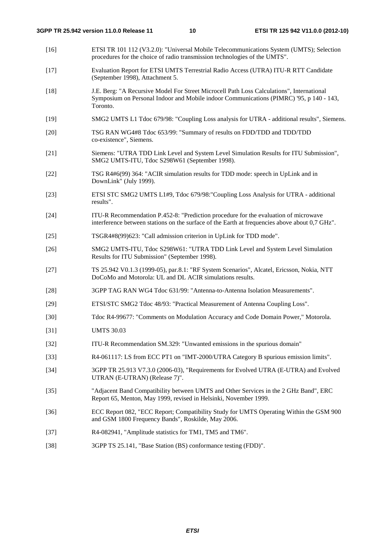- [16] ETSI TR 101 112 (V3.2.0): "Universal Mobile Telecommunications System (UMTS); Selection procedures for the choice of radio transmission technologies of the UMTS".
- [17] Evaluation Report for ETSI UMTS Terrestrial Radio Access (UTRA) ITU-R RTT Candidate (September 1998), Attachment 5.
- [18] J.E. Berg: "A Recursive Model For Street Microcell Path Loss Calculations", International Symposium on Personal Indoor and Mobile indoor Communications (PIMRC) '95, p 140 - 143, Toronto.
- [19] SMG2 UMTS L1 Tdoc 679/98: "Coupling Loss analysis for UTRA additional results", Siemens.
- [20] TSG RAN WG4#8 Tdoc 653/99: "Summary of results on FDD/TDD and TDD/TDD co-existence", Siemens.
- [21] Siemens: "UTRA TDD Link Level and System Level Simulation Results for ITU Submission", SMG2 UMTS-ITU, Tdoc S298W61 (September 1998).
- [22] TSG R4#6(99) 364: "ACIR simulation results for TDD mode: speech in UpLink and in DownLink" (July 1999).
- [23] ETSI STC SMG2 UMTS L1#9, Tdoc 679/98:"Coupling Loss Analysis for UTRA additional results".
- [24] ITU-R Recommendation P.452-8: "Prediction procedure for the evaluation of microwave interference between stations on the surface of the Earth at frequencies above about 0,7 GHz".
- [25] TSGR4#8(99)623: "Call admission criterion in UpLink for TDD mode".
- [26] SMG2 UMTS-ITU, Tdoc S298W61: "UTRA TDD Link Level and System Level Simulation Results for ITU Submission" (September 1998).
- [27] TS 25.942 V0.1.3 (1999-05), par.8.1: "RF System Scenarios", Alcatel, Ericsson, Nokia, NTT DoCoMo and Motorola: UL and DL ACIR simulations results.
- [28] 3GPP TAG RAN WG4 Tdoc 631/99: "Antenna-to-Antenna Isolation Measurements".
- [29] ETSI/STC SMG2 Tdoc 48/93: "Practical Measurement of Antenna Coupling Loss".
- [30] Tdoc R4-99677: "Comments on Modulation Accuracy and Code Domain Power," Motorola.
- [31] UMTS 30.03
- [32] ITU-R Recommendation SM.329: "Unwanted emissions in the spurious domain"
- [33] R4-061117: LS from ECC PT1 on "IMT-2000/UTRA Category B spurious emission limits".
- [34] 3GPP TR 25.913 V7.3.0 (2006-03), "Requirements for Evolved UTRA (E-UTRA) and Evolved UTRAN (E-UTRAN) (Release 7)".
- [35] "Adjacent Band Compatibility between UMTS and Other Services in the 2 GHz Band", ERC Report 65, Menton, May 1999, revised in Helsinki, November 1999.
- [36] ECC Report 082, "ECC Report; Compatibility Study for UMTS Operating Within the GSM 900 and GSM 1800 Frequency Bands", Roskilde, May 2006.
- [37] R4-082941, "Amplitude statistics for TM1, TM5 and TM6".
- [38] 3GPP TS 25.141, "Base Station (BS) conformance testing (FDD)".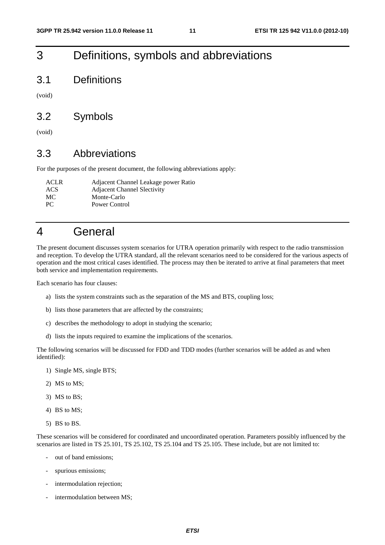## 3 Definitions, symbols and abbreviations

3.1 Definitions

(void)

## 3.2 Symbols

(void)

## 3.3 Abbreviations

For the purposes of the present document, the following abbreviations apply:

| <b>ACLR</b> | Adjacent Channel Leakage power Ratio |
|-------------|--------------------------------------|
| ACS         | <b>Adjacent Channel Slectivity</b>   |
| MC          | Monte-Carlo                          |
| <b>PC</b>   | Power Control                        |

## 4 General

The present document discusses system scenarios for UTRA operation primarily with respect to the radio transmission and reception. To develop the UTRA standard, all the relevant scenarios need to be considered for the various aspects of operation and the most critical cases identified. The process may then be iterated to arrive at final parameters that meet both service and implementation requirements.

Each scenario has four clauses:

- a) lists the system constraints such as the separation of the MS and BTS, coupling loss;
- b) lists those parameters that are affected by the constraints;
- c) describes the methodology to adopt in studying the scenario;
- d) lists the inputs required to examine the implications of the scenarios.

The following scenarios will be discussed for FDD and TDD modes (further scenarios will be added as and when identified):

- 1) Single MS, single BTS;
- 2) MS to MS;
- 3) MS to BS;
- 4) BS to MS;
- 5) BS to BS.

These scenarios will be considered for coordinated and uncoordinated operation. Parameters possibly influenced by the scenarios are listed in TS 25.101, TS 25.102, TS 25.104 and TS 25.105. These include, but are not limited to:

- out of band emissions;
- spurious emissions;
- intermodulation rejection;
- intermodulation between MS;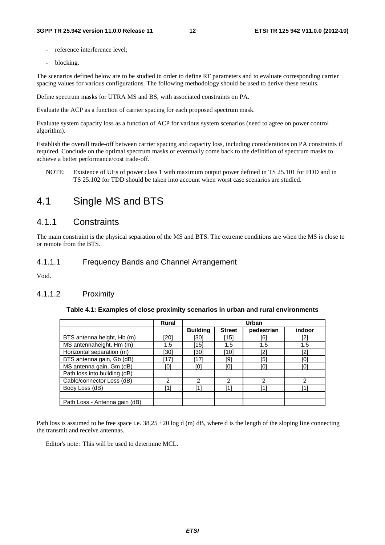- reference interference level:
- blocking.

The scenarios defined below are to be studied in order to define RF parameters and to evaluate corresponding carrier spacing values for various configurations. The following methodology should be used to derive these results.

Define spectrum masks for UTRA MS and BS, with associated constraints on PA.

Evaluate the ACP as a function of carrier spacing for each proposed spectrum mask.

Evaluate system capacity loss as a function of ACP for various system scenarios (need to agree on power control algorithm).

Establish the overall trade-off between carrier spacing and capacity loss, including considerations on PA constraints if required. Conclude on the optimal spectrum masks or eventually come back to the definition of spectrum masks to achieve a better performance/cost trade-off.

NOTE: Existence of UEs of power class 1 with maximum output power defined in TS 25.101 for FDD and in TS 25.102 for TDD should be taken into account when worst case scenarios are studied.

## 4.1 Single MS and BTS

### 4.1.1 Constraints

The main constraint is the physical separation of the MS and BTS. The extreme conditions are when the MS is close to or remote from the BTS.

### 4.1.1.1 Frequency Bands and Channel Arrangement

Void.

### 4.1.1.2 Proximity

### **Table 4.1: Examples of close proximity scenarios in urban and rural environments**

|                               | <b>Rural</b> | Urban           |               |                 |        |
|-------------------------------|--------------|-----------------|---------------|-----------------|--------|
|                               |              | <b>Building</b> | <b>Street</b> | pedestrian      | indoor |
| BTS antenna height, Hb (m)    | [20]         | [30]            | 15            | [6]             | `רי    |
| MS antennaheight, Hm (m)      | 1,5          | (15)            | 1,5           | 1,5             | 1,5    |
| Horizontal separation (m)     | [30]         | [30]            | 101           | Γ2              | ſ?     |
| BTS antenna gain, Gb (dB)     | ้171         | [17]            | [9]           | ſ5 <sup>.</sup> |        |
| MS antenna gain, Gm (dB)      | וסז          | וסז             | וסז           | l0.             |        |
| Path loss into building (dB)  |              |                 |               |                 |        |
| Cable/connector Loss (dB)     | 2            | າ               | 2             | っ               | ⌒      |
| Body Loss (dB)                | [1]          | 11              | [1]           |                 |        |
|                               |              |                 |               |                 |        |
| Path Loss - Antenna gain (dB) |              |                 |               |                 |        |

Path loss is assumed to be free space i.e.  $38.25 + 20 \log d$  (m) dB, where d is the length of the sloping line connecting the transmit and receive antennas.

Editor's note: This will be used to determine MCL.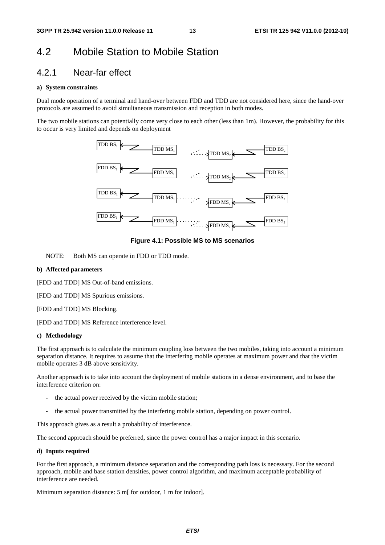## 4.2 Mobile Station to Mobile Station

### 4.2.1 Near-far effect

### **a) System constraints**

Dual mode operation of a terminal and hand-over between FDD and TDD are not considered here, since the hand-over protocols are assumed to avoid simultaneous transmission and reception in both modes.

The two mobile stations can potentially come very close to each other (less than 1m). However, the probability for this to occur is very limited and depends on deployment



**Figure 4.1: Possible MS to MS scenarios** 

NOTE: Both MS can operate in FDD or TDD mode.

### **b) Affected parameters**

[FDD and TDD] MS Out-of-band emissions.

[FDD and TDD] MS Spurious emissions.

[FDD and TDD] MS Blocking.

[FDD and TDD] MS Reference interference level.

### **c) Methodology**

The first approach is to calculate the minimum coupling loss between the two mobiles, taking into account a minimum separation distance. It requires to assume that the interfering mobile operates at maximum power and that the victim mobile operates 3 dB above sensitivity.

Another approach is to take into account the deployment of mobile stations in a dense environment, and to base the interference criterion on:

- the actual power received by the victim mobile station;
- the actual power transmitted by the interfering mobile station, depending on power control.

This approach gives as a result a probability of interference.

The second approach should be preferred, since the power control has a major impact in this scenario.

### **d) Inputs required**

For the first approach, a minimum distance separation and the corresponding path loss is necessary. For the second approach, mobile and base station densities, power control algorithm, and maximum acceptable probability of interference are needed.

Minimum separation distance: 5 m[ for outdoor, 1 m for indoor].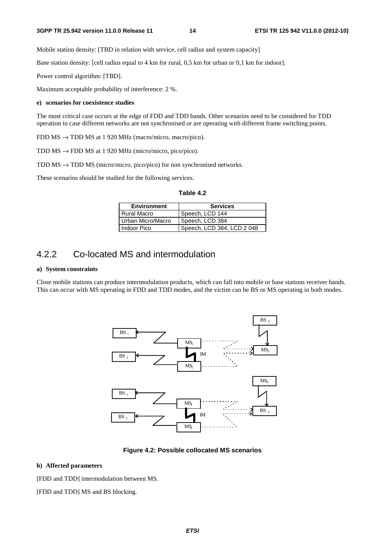Mobile station density: [TBD in relation with service, cell radius and system capacity]

Base station density: [cell radius equal to 4 km for rural, 0,5 km for urban or 0,1 km for indoor].

Power control algorithm: [TBD].

Maximum acceptable probability of interference: 2 %.

### **e) scenarios for coexistence studies**

The most critical case occurs at the edge of FDD and TDD bands. Other scenarios need to be considered for TDD operation in case different networks are not synchronised or are operating with different frame switching points.

FDD MS → TDD MS at 1 920 MHz (macro/micro, macro/pico).

TDD  $\text{MS} \rightarrow \text{FDD} \text{MS}$  at 1 920 MHz (micro/micro, pico/pico).

TDD  $\text{MS} \rightarrow \text{TDD} \text{MS}$  (micro/micro, pico/pico) for non synchronised networks.

These scenarios should be studied for the following services.

| `able | Δ |
|-------|---|
|-------|---|

| <b>Environment</b> | <b>Services</b>            |  |  |
|--------------------|----------------------------|--|--|
| l Rural Macro      | Speech, LCD 144            |  |  |
| Urban Micro/Macro  | Speech, LCD 384            |  |  |
| l Indoor Pico      | Speech, LCD 384, LCD 2 048 |  |  |

## 4.2.2 Co-located MS and intermodulation

### **a) System constraints**

Close mobile stations can produce intermodulation products, which can fall into mobile or base stations receiver bands. This can occur with MS operating in FDD and TDD modes, and the victim can be BS or MS operating in both modes.



**Figure 4.2: Possible collocated MS scenarios** 

### **b) Affected parameters**

[FDD and TDD] intermodulation between MS.

[FDD and TDD] MS and BS blocking.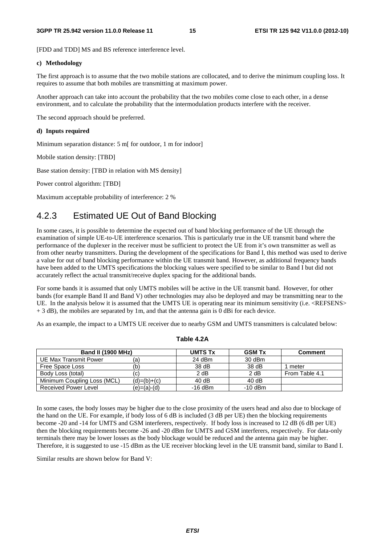[FDD and TDD] MS and BS reference interference level.

### **c) Methodology**

The first approach is to assume that the two mobile stations are collocated, and to derive the minimum coupling loss. It requires to assume that both mobiles are transmitting at maximum power.

Another approach can take into account the probability that the two mobiles come close to each other, in a dense environment, and to calculate the probability that the intermodulation products interfere with the receiver.

The second approach should be preferred.

### **d) Inputs required**

Minimum separation distance: 5 m[ for outdoor, 1 m for indoor]

Mobile station density: [TBD]

Base station density: [TBD in relation with MS density]

Power control algorithm: [TBD]

Maximum acceptable probability of interference: 2 %

## 4.2.3 Estimated UE Out of Band Blocking

In some cases, it is possible to determine the expected out of band blocking performance of the UE through the examination of simple UE-to-UE interference scenarios. This is particularly true in the UE transmit band where the performance of the duplexer in the receiver must be sufficient to protect the UE from it's own transmitter as well as from other nearby transmitters. During the development of the specifications for Band I, this method was used to derive a value for out of band blocking performance within the UE transmit band. However, as additional frequency bands have been added to the UMTS specifications the blocking values were specified to be similar to Band I but did not accurately reflect the actual transmit/receive duplex spacing for the additional bands.

For some bands it is assumed that only UMTS mobiles will be active in the UE transmit band. However, for other bands (for example Band II and Band V) other technologies may also be deployed and may be transmitting near to the UE. In the analysis below it is assumed that the UMTS UE is operating near its minimum sensitivity (i.e. <REFSENS>  $+ 3$  dB), the mobiles are separated by 1m, and that the antenna gain is 0 dBi for each device.

As an example, the impact to a UMTS UE receiver due to nearby GSM and UMTS transmitters is calculated below:

| <b>Band II (1900 MHz)</b>   |               | <b>UMTS Tx</b> | <b>GSM Tx</b> | <b>Comment</b> |
|-----------------------------|---------------|----------------|---------------|----------------|
| UE Max Transmit Power       | (a`           | 24 dBm         | 30 dBm        |                |
| Free Space Loss             | (b)           | 38 dB          | 38 dB         | meter          |
| Body Loss (total)           | (c)           | 2 dB           | 2 dB          | From Table 4.1 |
| Minimum Coupling Loss (MCL) | $(d)=(b)+(c)$ | 40dB           | 40dB          |                |
| Received Power Level        | (e)=(a)-(d)   | $-16$ dBm      | $-10$ dBm     |                |

#### **Table 4.2A**

In some cases, the body losses may be higher due to the close proximity of the users head and also due to blockage of the hand on the UE. For example, if body loss of 6 dB is included (3 dB per UE) then the blocking requirements become -20 and -14 for UMTS and GSM interferers, respectively. If body loss is increased to 12 dB (6 dB per UE) then the blocking requirements become -26 and -20 dBm for UMTS and GSM interferers, respectively. For data-only terminals there may be lower losses as the body blockage would be reduced and the antenna gain may be higher. Therefore, it is suggested to use -15 dBm as the UE receiver blocking level in the UE transmit band, similar to Band I.

Similar results are shown below for Band V: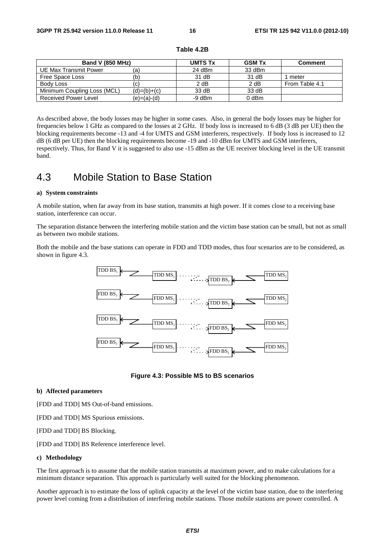| <b>Band V (850 MHz)</b>     | <b>UMTS Tx</b> | <b>GSM Tx</b> | <b>Comment</b> |                |
|-----------------------------|----------------|---------------|----------------|----------------|
| UE Max Transmit Power       | (a)            | 24 dBm        | 33 dBm         |                |
| Free Space Loss             | (b)            | 31 dB         | 31 dB          | meter          |
| Body Loss                   | (c)            | 2 dB          | 2 dB           | From Table 4.1 |
| Minimum Coupling Loss (MCL) | $(d)=(b)+(c)$  | 33 dB         | 33 dB          |                |
| Received Power Level        | (e)=(a)-(d)    | -9 dBm        | 0 dBm          |                |

| Table 4.2B |  |
|------------|--|
|------------|--|

As described above, the body losses may be higher in some cases. Also, in general the body losses may be higher for frequencies below 1 GHz as compared to the losses at 2 GHz. If body loss is increased to 6 dB (3 dB per UE) then the blocking requirements become -13 and -4 for UMTS and GSM interferers, respectively. If body loss is increased to 12 dB (6 dB per UE) then the blocking requirements become -19 and -10 dBm for UMTS and GSM interferers, respectively. Thus, for Band V it is suggested to also use -15 dBm as the UE receiver blocking level in the UE transmit band.

## 4.3 Mobile Station to Base Station

#### **a) System constraints**

A mobile station, when far away from its base station, transmits at high power. If it comes close to a receiving base station, interference can occur.

The separation distance between the interfering mobile station and the victim base station can be small, but not as small as between two mobile stations.

Both the mobile and the base stations can operate in FDD and TDD modes, thus four scenarios are to be considered, as shown in figure 4.3.



### **Figure 4.3: Possible MS to BS scenarios**

#### **b) Affected parameters**

[FDD and TDD] MS Out-of-band emissions.

[FDD and TDD] MS Spurious emissions.

[FDD and TDD] BS Blocking.

[FDD and TDD] BS Reference interference level.

### **c) Methodology**

The first approach is to assume that the mobile station transmits at maximum power, and to make calculations for a minimum distance separation. This approach is particularly well suited for the blocking phenomenon.

Another approach is to estimate the loss of uplink capacity at the level of the victim base station, due to the interfering power level coming from a distribution of interfering mobile stations. Those mobile stations are power controlled. A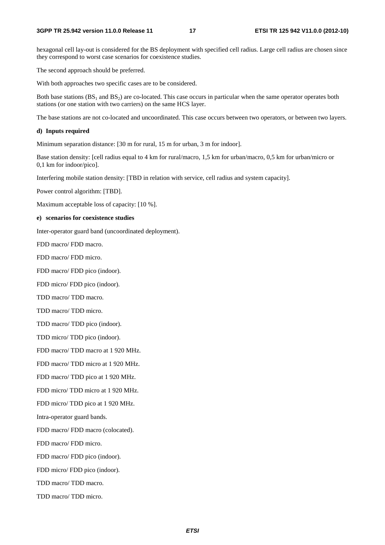hexagonal cell lay-out is considered for the BS deployment with specified cell radius. Large cell radius are chosen since they correspond to worst case scenarios for coexistence studies.

The second approach should be preferred.

With both approaches two specific cases are to be considered.

Both base stations  $(BS_1 \text{ and } BS_2)$  are co-located. This case occurs in particular when the same operator operates both stations (or one station with two carriers) on the same HCS layer.

The base stations are not co-located and uncoordinated. This case occurs between two operators, or between two layers.

### **d) Inputs required**

Minimum separation distance: [30 m for rural, 15 m for urban, 3 m for indoor].

Base station density: [cell radius equal to 4 km for rural/macro, 1,5 km for urban/macro, 0,5 km for urban/micro or 0,1 km for indoor/pico].

Interfering mobile station density: [TBD in relation with service, cell radius and system capacity].

Power control algorithm: [TBD].

Maximum acceptable loss of capacity: [10 %].

### **e) scenarios for coexistence studies**

Inter-operator guard band (uncoordinated deployment).

FDD macro/ FDD macro.

FDD macro/ FDD micro.

FDD macro/ FDD pico (indoor).

FDD micro/ FDD pico (indoor).

TDD macro/ TDD macro.

TDD macro/ TDD micro.

TDD macro/ TDD pico (indoor).

TDD micro/ TDD pico (indoor).

FDD macro/ TDD macro at 1 920 MHz.

FDD macro/ TDD micro at 1 920 MHz.

FDD macro/ TDD pico at 1 920 MHz.

FDD micro/ TDD micro at 1 920 MHz.

FDD micro/ TDD pico at 1 920 MHz.

Intra-operator guard bands.

FDD macro/ FDD macro (colocated).

FDD macro/ FDD micro.

FDD macro/ FDD pico (indoor).

FDD micro/ FDD pico (indoor).

TDD macro/ TDD macro.

TDD macro/ TDD micro.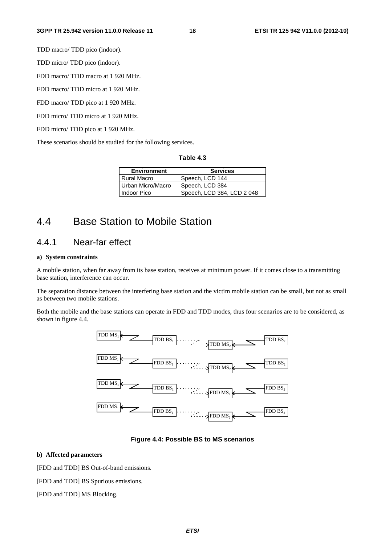TDD macro/ TDD pico (indoor).

TDD micro/ TDD pico (indoor).

FDD macro/ TDD macro at 1 920 MHz.

FDD macro/ TDD micro at 1 920 MHz.

FDD macro/ TDD pico at 1 920 MHz.

FDD micro/ TDD micro at 1 920 MHz.

FDD micro/ TDD pico at 1 920 MHz.

These scenarios should be studied for the following services.

| Table 4.3 |  |
|-----------|--|
|-----------|--|

| <b>Environment</b> | <b>Services</b>            |
|--------------------|----------------------------|
| <b>Rural Macro</b> | Speech, LCD 144            |
| Urban Micro/Macro  | Speech, LCD 384            |
| Indoor Pico        | Speech, LCD 384, LCD 2 048 |

## 4.4 Base Station to Mobile Station

## 4.4.1 Near-far effect

### **a) System constraints**

A mobile station, when far away from its base station, receives at minimum power. If it comes close to a transmitting base station, interference can occur.

The separation distance between the interfering base station and the victim mobile station can be small, but not as small as between two mobile stations.

Both the mobile and the base stations can operate in FDD and TDD modes, thus four scenarios are to be considered, as shown in figure 4.4.



### **Figure 4.4: Possible BS to MS scenarios**

### **b) Affected parameters**

[FDD and TDD] BS Out-of-band emissions.

[FDD and TDD] BS Spurious emissions.

[FDD and TDD] MS Blocking.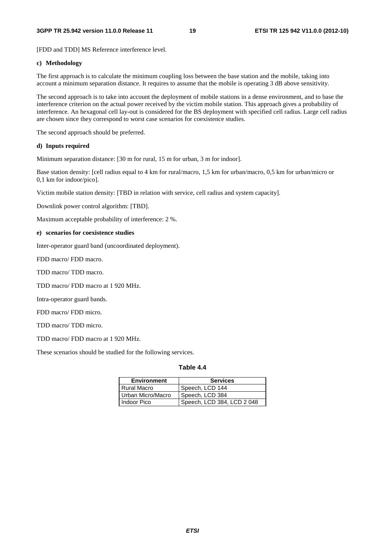[FDD and TDD] MS Reference interference level.

### **c) Methodology**

The first approach is to calculate the minimum coupling loss between the base station and the mobile, taking into account a minimum separation distance. It requires to assume that the mobile is operating 3 dB above sensitivity.

The second approach is to take into account the deployment of mobile stations in a dense environment, and to base the interference criterion on the actual power received by the victim mobile station. This approach gives a probability of interference. An hexagonal cell lay-out is considered for the BS deployment with specified cell radius. Large cell radius are chosen since they correspond to worst case scenarios for coexistence studies.

The second approach should be preferred.

### **d) Inputs required**

Minimum separation distance: [30 m for rural, 15 m for urban, 3 m for indoor].

Base station density: [cell radius equal to 4 km for rural/macro, 1,5 km for urban/macro, 0,5 km for urban/micro or 0,1 km for indoor/pico].

Victim mobile station density: [TBD in relation with service, cell radius and system capacity].

Downlink power control algorithm: [TBD].

Maximum acceptable probability of interference: 2 %.

### **e) scenarios for coexistence studies**

Inter-operator guard band (uncoordinated deployment).

FDD macro/ FDD macro.

TDD macro/ TDD macro.

TDD macro/ FDD macro at 1 920 MHz.

Intra-operator guard bands.

FDD macro/ FDD micro.

TDD macro/ TDD micro.

TDD macro/ FDD macro at 1 920 MHz.

These scenarios should be studied for the following services.

### **Table 4.4**

| <b>Environment</b> | <b>Services</b>            |  |
|--------------------|----------------------------|--|
| Rural Macro        | Speech, LCD 144            |  |
| Urban Micro/Macro  | Speech, LCD 384            |  |
| I Indoor Pico      | Speech, LCD 384, LCD 2 048 |  |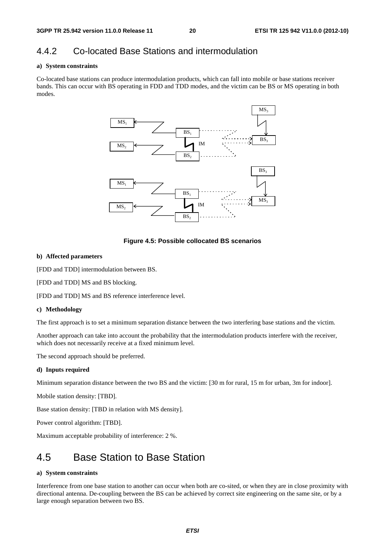## 4.4.2 Co-located Base Stations and intermodulation

### **a) System constraints**

Co-located base stations can produce intermodulation products, which can fall into mobile or base stations receiver bands. This can occur with BS operating in FDD and TDD modes, and the victim can be BS or MS operating in both modes.



**Figure 4.5: Possible collocated BS scenarios** 

### **b) Affected parameters**

[FDD and TDD] intermodulation between BS.

[FDD and TDD] MS and BS blocking.

[FDD and TDD] MS and BS reference interference level.

### **c) Methodology**

The first approach is to set a minimum separation distance between the two interfering base stations and the victim.

Another approach can take into account the probability that the intermodulation products interfere with the receiver, which does not necessarily receive at a fixed minimum level.

The second approach should be preferred.

### **d) Inputs required**

Minimum separation distance between the two BS and the victim: [30 m for rural, 15 m for urban, 3m for indoor].

Mobile station density: [TBD].

Base station density: [TBD in relation with MS density].

Power control algorithm: [TBD].

Maximum acceptable probability of interference: 2 %.

## 4.5 Base Station to Base Station

### **a) System constraints**

Interference from one base station to another can occur when both are co-sited, or when they are in close proximity with directional antenna. De-coupling between the BS can be achieved by correct site engineering on the same site, or by a large enough separation between two BS.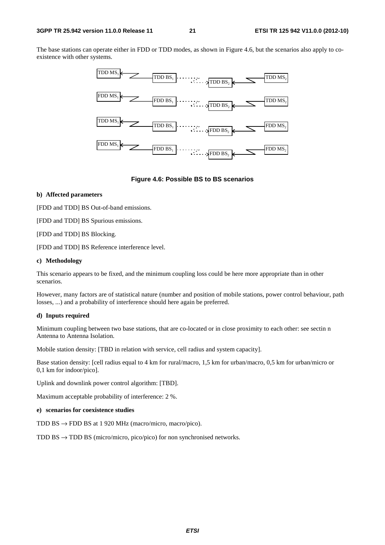#### **3GPP TR 25.942 version 11.0.0 Release 11 21 ETSI TR 125 942 V11.0.0 (2012-10)**

The base stations can operate either in FDD or TDD modes, as shown in Figure 4.6, but the scenarios also apply to coexistence with other systems.



### **Figure 4.6: Possible BS to BS scenarios**

### **b) Affected parameters**

[FDD and TDD] BS Out-of-band emissions.

[FDD and TDD] BS Spurious emissions.

[FDD and TDD] BS Blocking.

[FDD and TDD] BS Reference interference level.

### **c) Methodology**

This scenario appears to be fixed, and the minimum coupling loss could be here more appropriate than in other scenarios.

However, many factors are of statistical nature (number and position of mobile stations, power control behaviour, path losses, ...) and a probability of interference should here again be preferred.

### **d) Inputs required**

Minimum coupling between two base stations, that are co-located or in close proximity to each other: see sectin n Antenna to Antenna Isolation.

Mobile station density: [TBD in relation with service, cell radius and system capacity].

Base station density: [cell radius equal to 4 km for rural/macro, 1,5 km for urban/macro, 0,5 km for urban/micro or 0,1 km for indoor/pico].

Uplink and downlink power control algorithm: [TBD].

Maximum acceptable probability of interference: 2 %.

#### **e) scenarios for coexistence studies**

TDD BS  $\rightarrow$  FDD BS at 1 920 MHz (macro/micro, macro/pico).

TDD BS  $\rightarrow$  TDD BS (micro/micro, pico/pico) for non synchronised networks.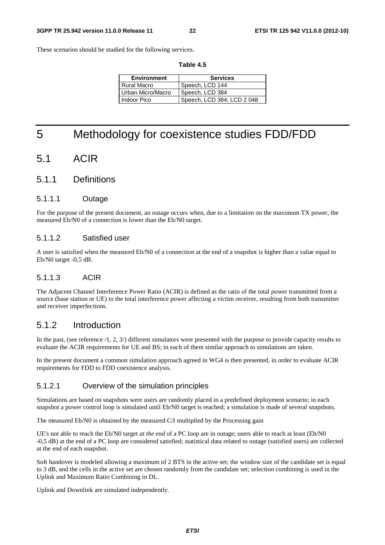These scenarios should be studied for the following services.

| <b>Environment</b> | <b>Services</b>            |
|--------------------|----------------------------|
| Rural Macro        | Speech, LCD 144            |
| Urban Micro/Macro  | Speech, LCD 384            |
| Indoor Pico        | Speech, LCD 384, LCD 2 048 |

**Table 4.5** 

## 5 Methodology for coexistence studies FDD/FDD

## 5.1 ACIR

### 5.1.1 Definitions

### 5.1.1.1 Outage

For the purpose of the present document, an outage occurs when, due to a limitation on the maximum TX power, the measured Eb/N0 of a connection is lower than the Eb/N0 target.

### 5.1.1.2 Satisfied user

A user is satisfied when the measured Eb/N0 of a connection at the end of a snapshot is higher than a value equal to Eb/N0 target -0,5 dB.

### 5.1.1.3 ACIR

The Adjacent Channel Interference Power Ratio (ACIR) is defined as the ratio of the total power transmitted from a source (base station or UE) to the total interference power affecting a victim receiver, resulting from both transmitter and receiver imperfections.

### 5.1.2 Introduction

In the past, (see reference /1, 2, 3/) different simulators were presented with the purpose to provide capacity results to evaluate the ACIR requirements for UE and BS; in each of them similar approach to simulations are taken.

In the present document a common simulation approach agreed in WG4 is then presented, in order to evaluate ACIR requirements for FDD to FDD coexistence analysis.

### 5.1.2.1 Overview of the simulation principles

Simulations are based on snapshots were users are randomly placed in a predefined deployment scenario; in each snapshot a power control loop is simulated until Eb/N0 target is reached; a simulation is made of several snapshots.

The measured Eb/N0 is obtained by the measured C/I multiplied by the Processing gain

UE's not able to reach the Eb/N0 target *at the end* of a PC loop are in outage; users able to reach at least (Eb/N0 -0,5 dB) at the end of a PC loop are considered satisfied; statistical data related to outage (satisfied users) are collected at the end of each snapshot.

Soft handover is modeled allowing a maximum of 2 BTS in the active set; the window size of the candidate set is equal to 3 dB, and the cells in the active set are chosen randomly from the candidate set; selection combining is used in the Uplink and Maximum Ratio Combining in DL.

Uplink and Downlink are simulated independently.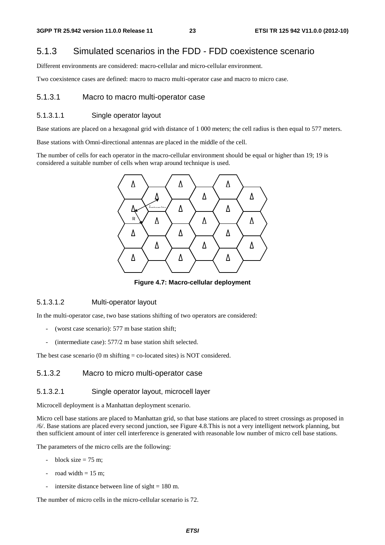### 5.1.3 Simulated scenarios in the FDD - FDD coexistence scenario

Different environments are considered: macro-cellular and micro-cellular environment.

Two coexistence cases are defined: macro to macro multi-operator case and macro to micro case.

### 5.1.3.1 Macro to macro multi-operator case

### 5.1.3.1.1 Single operator layout

Base stations are placed on a hexagonal grid with distance of 1 000 meters; the cell radius is then equal to 577 meters.

Base stations with Omni-directional antennas are placed in the middle of the cell.

The number of cells for each operator in the macro-cellular environment should be equal or higher than 19; 19 is considered a suitable number of cells when wrap around technique is used.



**Figure 4.7: Macro-cellular deployment** 

### 5.1.3.1.2 Multi-operator layout

In the multi-operator case, two base stations shifting of two operators are considered:

- (worst case scenario): 577 m base station shift;
- (intermediate case):  $577/2$  m base station shift selected.

The best case scenario (0 m shifting  $=$  co-located sites) is NOT considered.

### 5.1.3.2 Macro to micro multi-operator case

### 5.1.3.2.1 Single operator layout, microcell layer

Microcell deployment is a Manhattan deployment scenario.

Micro cell base stations are placed to Manhattan grid, so that base stations are placed to street crossings as proposed in /6/. Base stations are placed every second junction, see Figure 4.8.This is not a very intelligent network planning, but then sufficient amount of inter cell interference is generated with reasonable low number of micro cell base stations.

The parameters of the micro cells are the following:

- block size  $= 75$  m;
- road width  $= 15$  m;
- intersite distance between line of sight  $= 180$  m.

The number of micro cells in the micro-cellular scenario is 72.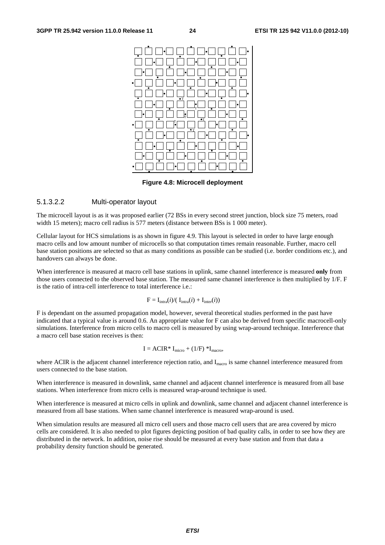

**Figure 4.8: Microcell deployment** 

### 5.1.3.2.2 Multi-operator layout

The microcell layout is as it was proposed earlier (72 BSs in every second street junction, block size 75 meters, road width 15 meters); macro cell radius is 577 meters (distance between BSs is 1 000 meter).

Cellular layout for HCS simulations is as shown in figure 4.9. This layout is selected in order to have large enough macro cells and low amount number of microcells so that computation times remain reasonable. Further, macro cell base station positions are selected so that as many conditions as possible can be studied (i.e. border conditions etc.), and handovers can always be done.

When interference is measured at macro cell base stations in uplink, same channel interference is measured **only** from those users connected to the observed base station. The measured same channel interference is then multiplied by 1/F. F is the ratio of intra-cell interference to total interference i.e.:

$$
F = I_{\text{intra}}(i) / ( I_{\text{intra}}(i) + I_{\text{inter}}(i))
$$

F is dependant on the assumed propagation model, however, several theoretical studies performed in the past have indicated that a typical value is around 0.6. An appropriate value for F can also be derived from specific macrocell-only simulations. Interference from micro cells to macro cell is measured by using wrap-around technique. Interference that a macro cell base station receives is then:

$$
I = ACIR^* I_{micro} + (1/F)^* I_{macro},
$$

where ACIR is the adjacent channel interference rejection ratio, and I<sub>macro</sub> is same channel interference measured from users connected to the base station.

When interference is measured in downlink, same channel and adjacent channel interference is measured from all base stations. When interference from micro cells is measured wrap-around technique is used.

When interference is measured at micro cells in uplink and downlink, same channel and adjacent channel interference is measured from all base stations. When same channel interference is measured wrap-around is used.

When simulation results are measured all micro cell users and those macro cell users that are area covered by micro cells are considered. It is also needed to plot figures depicting position of bad quality calls, in order to see how they are distributed in the network. In addition, noise rise should be measured at every base station and from that data a probability density function should be generated.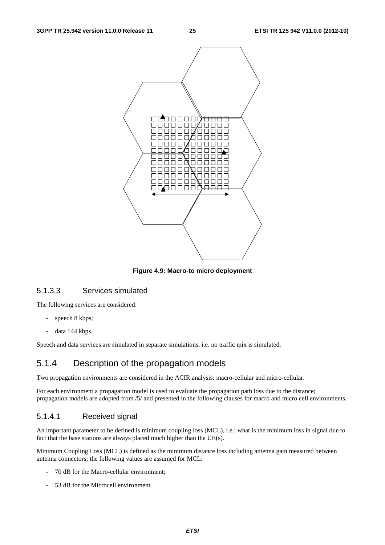

**Figure 4.9: Macro-to micro deployment** 

### 5.1.3.3 Services simulated

The following services are considered:

- speech 8 kbps;
- data 144 kbps.

Speech and data services are simulated in separate simulations, i.e. no traffic mix is simulated.

### 5.1.4 Description of the propagation models

Two propagation environments are considered in the ACIR analysis: macro-cellular and micro-cellular.

For each environment a propagation model is used to evaluate the propagation path loss due to the distance; propagation models are adopted from /5/ and presented in the following clauses for macro and micro cell environments.

### 5.1.4.1 Received signal

An important parameter to be defined is minimum coupling loss (MCL), i.e.: what is the minimum loss in signal due to fact that the base stations are always placed much higher than the UE(s).

Minimum Coupling Loss (MCL) is defined as the minimum distance loss including antenna gain measured between antenna connectors; the following values are assumed for MCL:

- 70 dB for the Macro-cellular environment;
- 53 dB for the Microcell environment.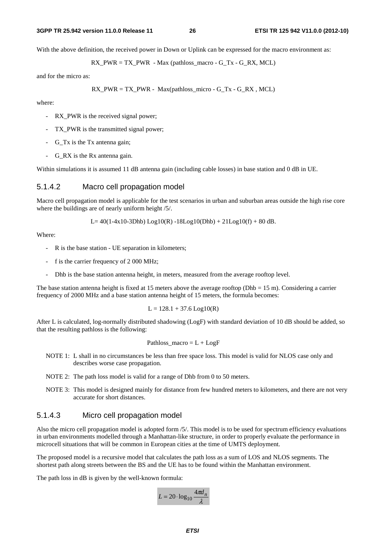#### **3GPP TR 25.942 version 11.0.0 Release 11 26 ETSI TR 125 942 V11.0.0 (2012-10)**

With the above definition, the received power in Down or Uplink can be expressed for the macro environment as:

$$
RX_PWR = TX_PWR - Max (pathloss\_macro - G_Tx - G_RX, MCL)
$$

and for the micro as:

$$
RX_PWR = TX_PWR - Max(pathloss\_micro - G_Tx - G_RX, MCL)
$$

where:

- RX PWR is the received signal power;
- TX\_PWR is the transmitted signal power;
- G\_Tx is the Tx antenna gain;
- G\_RX is the Rx antenna gain.

Within simulations it is assumed 11 dB antenna gain (including cable losses) in base station and 0 dB in UE.

### 5.1.4.2 Macro cell propagation model

Macro cell propagation model is applicable for the test scenarios in urban and suburban areas outside the high rise core where the buildings are of nearly uniform height /5/.

L=  $40(1-4x10-3Dhb)$  Log10(R)  $-18$ Log10(Dhb) + 21Log10(f) + 80 dB.

Where:

- R is the base station UE separation in kilometers;
- f is the carrier frequency of 2 000 MHz;
- Dhb is the base station antenna height, in meters, measured from the average rooftop level.

The base station antenna height is fixed at 15 meters above the average rooftop (Dhb  $= 15$  m). Considering a carrier frequency of 2000 MHz and a base station antenna height of 15 meters, the formula becomes:

 $L = 128.1 + 37.6$  Log10(R)

After L is calculated, log-normally distributed shadowing (LogF) with standard deviation of 10 dB should be added, so that the resulting pathloss is the following:

$$
Path loss\_macro = L + LogF
$$

- NOTE 1: L shall in no circumstances be less than free space loss. This model is valid for NLOS case only and describes worse case propagation.
- NOTE 2: The path loss model is valid for a range of Dhb from 0 to 50 meters.
- NOTE 3: This model is designed mainly for distance from few hundred meters to kilometers, and there are not very accurate for short distances.

### 5.1.4.3 Micro cell propagation model

Also the micro cell propagation model is adopted form /5/. This model is to be used for spectrum efficiency evaluations in urban environments modelled through a Manhattan-like structure, in order to properly evaluate the performance in microcell situations that will be common in European cities at the time of UMTS deployment.

The proposed model is a recursive model that calculates the path loss as a sum of LOS and NLOS segments. The shortest path along streets between the BS and the UE has to be found within the Manhattan environment.

The path loss in dB is given by the well-known formula:

$$
L = 20 \cdot \log_{10} \frac{4\pi d_n}{\lambda}
$$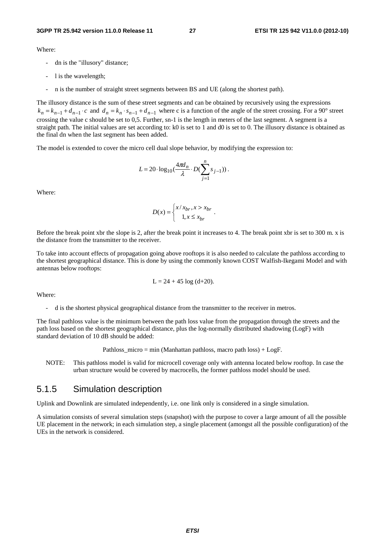Where:

- dn is the "illusory" distance;
- l is the wavelength;
- n is the number of straight street segments between BS and UE (along the shortest path).

The illusory distance is the sum of these street segments and can be obtained by recursively using the expressions  $k_n = k_{n-1} + d_{n-1} \cdot c$  and  $d_n = k_n \cdot s_{n-1} + d_{n-1}$  where c is a function of the angle of the street crossing. For a 90° street crossing the value c should be set to 0,5. Further, sn-1 is the length in meters of the last segment. A segment is a straight path. The initial values are set according to: k0 is set to 1 and d0 is set to 0. The illusory distance is obtained as the final dn when the last segment has been added.

The model is extended to cover the micro cell dual slope behavior, by modifying the expression to:

$$
L = 20 \cdot \log_{10}(\frac{4\pi d_n}{\lambda} \cdot D(\sum_{j=1}^{n} s_{j-1})) .
$$

Where:

$$
D(x) = \begin{cases} x / x_{br}, x > x_{br} \\ 1, x \le x_{br} \end{cases}.
$$

Before the break point xbr the slope is 2, after the break point it increases to 4. The break point xbr is set to 300 m. x is the distance from the transmitter to the receiver.

To take into account effects of propagation going above rooftops it is also needed to calculate the pathloss according to the shortest geographical distance. This is done by using the commonly known COST Walfish-Ikegami Model and with antennas below rooftops:

$$
L = 24 + 45 \log (d+20).
$$

Where:

- d is the shortest physical geographical distance from the transmitter to the receiver in metros.

The final pathloss value is the minimum between the path loss value from the propagation through the streets and the path loss based on the shortest geographical distance, plus the log-normally distributed shadowing (LogF) with standard deviation of 10 dB should be added:

Pathloss\_micro = min (Manhattan pathloss, macro path loss) + LogF.

NOTE: This pathloss model is valid for microcell coverage only with antenna located below rooftop. In case the urban structure would be covered by macrocells, the former pathloss model should be used.

### 5.1.5 Simulation description

Uplink and Downlink are simulated independently, i.e. one link only is considered in a single simulation.

A simulation consists of several simulation steps (snapshot) with the purpose to cover a large amount of all the possible UE placement in the network; in each simulation step, a single placement (amongst all the possible configuration) of the UEs in the network is considered.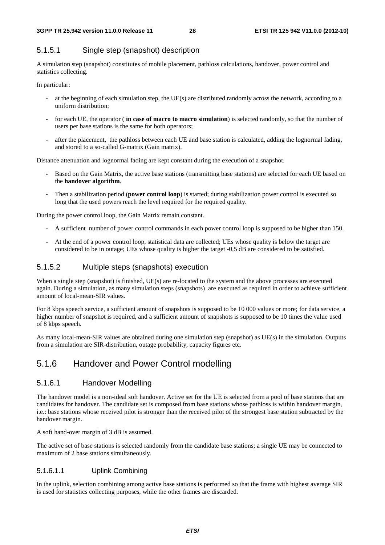### 5.1.5.1 Single step (snapshot) description

A simulation step (snapshot) constitutes of mobile placement, pathloss calculations, handover, power control and statistics collecting.

In particular:

- at the beginning of each simulation step, the UE(s) are distributed randomly across the network, according to a uniform distribution;
- for each UE, the operator (**in case of macro to macro simulation**) is selected randomly, so that the number of users per base stations is the same for both operators;
- after the placement, the pathloss between each UE and base station is calculated, adding the lognormal fading, and stored to a so-called G-matrix (Gain matrix).

Distance attenuation and lognormal fading are kept constant during the execution of a snapshot.

- Based on the Gain Matrix, the active base stations (transmitting base stations) are selected for each UE based on the **handover algorithm**.
- Then a stabilization period (**power control loop**) is started; during stabilization power control is executed so long that the used powers reach the level required for the required quality.

During the power control loop, the Gain Matrix remain constant.

- A sufficient number of power control commands in each power control loop is supposed to be higher than 150.
- At the end of a power control loop, statistical data are collected; UEs whose quality is below the target are considered to be in outage; UEs whose quality is higher the target -0,5 dB are considered to be satisfied.

### 5.1.5.2 Multiple steps (snapshots) execution

When a single step (snapshot) is finished, UE(s) are re-located to the system and the above processes are executed again. During a simulation, as many simulation steps (snapshots) are executed as required in order to achieve sufficient amount of local-mean-SIR values.

For 8 kbps speech service, a sufficient amount of snapshots is supposed to be 10 000 values or more; for data service, a higher number of snapshot is required, and a sufficient amount of snapshots is supposed to be 10 times the value used of 8 kbps speech.

As many local-mean-SIR values are obtained during one simulation step (snapshot) as UE(s) in the simulation. Outputs from a simulation are SIR-distribution, outage probability, capacity figures etc.

## 5.1.6 Handover and Power Control modelling

### 5.1.6.1 Handover Modelling

The handover model is a non-ideal soft handover. Active set for the UE is selected from a pool of base stations that are candidates for handover. The candidate set is composed from base stations whose pathloss is within handover margin, i.e.: base stations whose received pilot is stronger than the received pilot of the strongest base station subtracted by the handover margin.

A soft hand-over margin of 3 dB is assumed.

The active set of base stations is selected randomly from the candidate base stations; a single UE may be connected to maximum of 2 base stations simultaneously.

### 5.1.6.1.1 Uplink Combining

In the uplink, selection combining among active base stations is performed so that the frame with highest average SIR is used for statistics collecting purposes, while the other frames are discarded.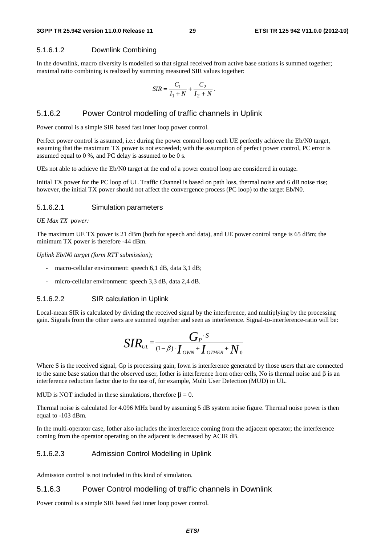### 5.1.6.1.2 Downlink Combining

In the downlink, macro diversity is modelled so that signal received from active base stations is summed together; maximal ratio combining is realized by summing measured SIR values together:

$$
SIR = \frac{C_1}{I_1 + N} + \frac{C_2}{I_2 + N}.
$$

### 5.1.6.2 Power Control modelling of traffic channels in Uplink

Power control is a simple SIR based fast inner loop power control.

Perfect power control is assumed, i.e.: during the power control loop each UE perfectly achieve the Eb/N0 target, assuming that the maximum TX power is not exceeded; with the assumption of perfect power control, PC error is assumed equal to 0 %, and PC delay is assumed to be 0 s.

UEs not able to achieve the Eb/N0 target at the end of a power control loop are considered in outage.

Initial TX power for the PC loop of UL Traffic Channel is based on path loss, thermal noise and 6 dB noise rise; however, the initial TX power should not affect the convergence process (PC loop) to the target Eb/N0.

### 5.1.6.2.1 Simulation parameters

#### *UE Max TX power:*

The maximum UE TX power is 21 dBm (both for speech and data), and UE power control range is 65 dBm; the minimum TX power is therefore -44 dBm.

*Uplink Eb/N0 target (form RTT submission);*

- macro-cellular environment: speech 6,1 dB, data 3,1 dB;
- micro-cellular environment: speech 3,3 dB, data 2,4 dB.

### 5.1.6.2.2 SIR calculation in Uplink

Local-mean SIR is calculated by dividing the received signal by the interference, and multiplying by the processing gain. Signals from the other users are summed together and seen as interference. Signal-to-interference-ratio will be:

$$
SIR_{UL} = \frac{G_P \cdot s}{(1-\beta) \cdot I_{OWN} + I_{OTHER} + N_0}
$$

Where S is the received signal, Gp is processing gain, Iown is interference generated by those users that are connected to the same base station that the observed user, Iother is interference from other cells, No is thermal noise and β is an interference reduction factor due to the use of, for example, Multi User Detection (MUD) in UL.

MUD is NOT included in these simulations, therefore  $\beta = 0$ .

Thermal noise is calculated for 4.096 MHz band by assuming 5 dB system noise figure. Thermal noise power is then equal to -103 dBm.

In the multi-operator case, Iother also includes the interference coming from the adjacent operator; the interference coming from the operator operating on the adjacent is decreased by ACIR dB.

### 5.1.6.2.3 Admission Control Modelling in Uplink

Admission control is not included in this kind of simulation.

### 5.1.6.3 Power Control modelling of traffic channels in Downlink

Power control is a simple SIR based fast inner loop power control.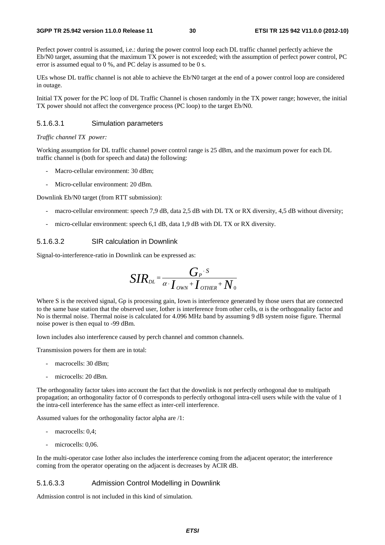Perfect power control is assumed, i.e.: during the power control loop each DL traffic channel perfectly achieve the Eb/N0 target, assuming that the maximum TX power is not exceeded; with the assumption of perfect power control, PC error is assumed equal to 0 %, and PC delay is assumed to be 0 s.

UEs whose DL traffic channel is not able to achieve the Eb/N0 target at the end of a power control loop are considered in outage.

Initial TX power for the PC loop of DL Traffic Channel is chosen randomly in the TX power range; however, the initial TX power should not affect the convergence process (PC loop) to the target Eb/N0.

### 5.1.6.3.1 Simulation parameters

#### *Traffic channel TX power:*

Working assumption for DL traffic channel power control range is 25 dBm, and the maximum power for each DL traffic channel is (both for speech and data) the following:

- Macro-cellular environment: 30 dBm;
- Micro-cellular environment: 20 dBm.

Downlink Eb/N0 target (from RTT submission):

- macro-cellular environment: speech 7,9 dB, data 2,5 dB with DL TX or RX diversity, 4,5 dB without diversity;
- micro-cellular environment: speech 6,1 dB, data 1,9 dB with DL TX or RX diversity.

### 5.1.6.3.2 SIR calculation in Downlink

Signal-to-interference-ratio in Downlink can be expressed as:

$$
SIR_{\scriptscriptstyle{DL}} = \frac{G_{\scriptscriptstyle{P}} \cdot s}{\alpha \cdot I_{\scriptscriptstyle{OWN}} + I_{\scriptscriptstyle{OTHER}} + N_{\scriptscriptstyle{0}}}
$$

Where S is the received signal, Gp is processing gain, Iown is interference generated by those users that are connected to the same base station that the observed user. Iother is interference from other cells, α is the orthogonality factor and No is thermal noise. Thermal noise is calculated for 4.096 MHz band by assuming 9 dB system noise figure. Thermal noise power is then equal to -99 dBm.

Iown includes also interference caused by perch channel and common channels.

Transmission powers for them are in total:

- macrocells: 30 dBm;
- microcells: 20 dBm.

The orthogonality factor takes into account the fact that the downlink is not perfectly orthogonal due to multipath propagation; an orthogonality factor of 0 corresponds to perfectly orthogonal intra-cell users while with the value of 1 the intra-cell interference has the same effect as inter-cell interference.

Assumed values for the orthogonality factor alpha are /1:

- macrocells: 0.4;
- microcells: 0,06.

In the multi-operator case Iother also includes the interference coming from the adjacent operator; the interference coming from the operator operating on the adjacent is decreases by ACIR dB.

### 5.1.6.3.3 Admission Control Modelling in Downlink

Admission control is not included in this kind of simulation.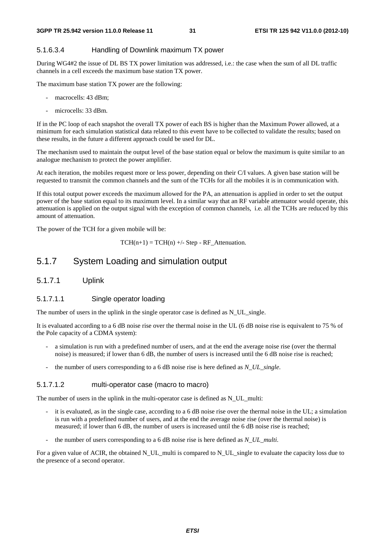### 5.1.6.3.4 Handling of Downlink maximum TX power

During WG4#2 the issue of DL BS TX power limitation was addressed, i.e.: the case when the sum of all DL traffic channels in a cell exceeds the maximum base station TX power.

The maximum base station TX power are the following:

- macrocells: 43 dBm;
- microcells: 33 dBm.

If in the PC loop of each snapshot the overall TX power of each BS is higher than the Maximum Power allowed, at a minimum for each simulation statistical data related to this event have to be collected to validate the results; based on these results, in the future a different approach could be used for DL.

The mechanism used to maintain the output level of the base station equal or below the maximum is quite similar to an analogue mechanism to protect the power amplifier.

At each iteration, the mobiles request more or less power, depending on their C/I values. A given base station will be requested to transmit the common channels and the sum of the TCHs for all the mobiles it is in communication with.

If this total output power exceeds the maximum allowed for the PA, an attenuation is applied in order to set the output power of the base station equal to its maximum level. In a similar way that an RF variable attenuator would operate, this attenuation is applied on the output signal with the exception of common channels, i.e. all the TCHs are reduced by this amount of attenuation.

The power of the TCH for a given mobile will be:

 $TCH(n+1) = TCH(n)$  +/- Step - RF\_Attenuation.

## 5.1.7 System Loading and simulation output

### 5.1.7.1 Uplink

### 5.1.7.1.1 Single operator loading

The number of users in the uplink in the single operator case is defined as N\_UL\_single.

It is evaluated according to a 6 dB noise rise over the thermal noise in the UL (6 dB noise rise is equivalent to 75 % of the Pole capacity of a CDMA system):

- a simulation is run with a predefined number of users, and at the end the average noise rise (over the thermal noise) is measured; if lower than 6 dB, the number of users is increased until the 6 dB noise rise is reached;
- the number of users corresponding to a 6 dB noise rise is here defined as *N\_UL\_single*.

### 5.1.7.1.2 multi-operator case (macro to macro)

The number of users in the uplink in the multi-operator case is defined as  $N$  UL multi:

- it is evaluated, as in the single case, according to a 6 dB noise rise over the thermal noise in the UL; a simulation is run with a predefined number of users, and at the end the average noise rise (over the thermal noise) is measured; if lower than 6 dB, the number of users is increased until the 6 dB noise rise is reached;
- the number of users corresponding to a 6 dB noise rise is here defined as *N\_UL\_multi*.

For a given value of ACIR, the obtained N\_UL\_multi is compared to N\_UL\_single to evaluate the capacity loss due to the presence of a second operator.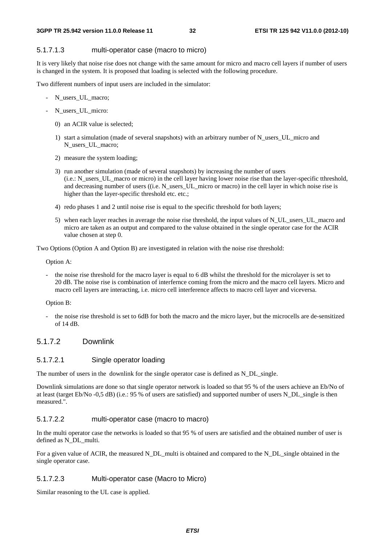### 5.1.7.1.3 multi-operator case (macro to micro)

It is very likely that noise rise does not change with the same amount for micro and macro cell layers if number of users is changed in the system. It is proposed that loading is selected with the following procedure.

Two different numbers of input users are included in the simulator:

- N\_users\_UL\_macro;
- N\_users\_UL\_micro:
	- 0) an ACIR value is selected;
	- 1) start a simulation (made of several snapshots) with an arbitrary number of N\_users\_UL\_micro and N\_users\_UL\_macro;
	- 2) measure the system loading;
	- 3) run another simulation (made of several snapshots) by increasing the number of users (i.e.: N\_users\_UL\_macro or micro) in the cell layer having lower noise rise than the layer-specific tthreshold, and decreasing number of users ((i.e. N\_users\_UL\_micro or macro) in the cell layer in which noise rise is higher than the layer-specific threshold etc. etc.;
	- 4) redo phases 1 and 2 until noise rise is equal to the specific threshold for both layers;
	- 5) when each layer reaches in average the noise rise threshold, the input values of N\_UL\_users\_UL\_macro and micro are taken as an output and compared to the valuse obtained in the single operator case for the ACIR value chosen at step 0.

Two Options (Option A and Option B) are investigated in relation with the noise rise threshold:

Option A:

the noise rise threshold for the macro layer is equal to 6 dB whilst the threshold for the microlayer is set to 20 dB. The noise rise is combination of interfernce coming from the micro and the macro cell layers. Micro and macro cell layers are interacting, i.e. micro cell interference affects to macro cell layer and viceversa.

#### Option B:

- the noise rise threshold is set to 6dB for both the macro and the micro layer, but the microcells are de-sensitized of 14 dB.

### 5.1.7.2 Downlink

### 5.1.7.2.1 Single operator loading

The number of users in the downlink for the single operator case is defined as N\_DL\_single.

Downlink simulations are done so that single operator network is loaded so that 95 % of the users achieve an Eb/No of at least (target Eb/No -0,5 dB) (i.e.: 95 % of users are satisfied) and supported number of users N\_DL\_single is then measured.".

### 5.1.7.2.2 multi-operator case (macro to macro)

In the multi operator case the networks is loaded so that 95 % of users are satisfied and the obtained number of user is defined as N\_DL\_multi.

For a given value of ACIR, the measured N\_DL\_multi is obtained and compared to the N\_DL\_single obtained in the single operator case.

### 5.1.7.2.3 Multi-operator case (Macro to Micro)

Similar reasoning to the UL case is applied.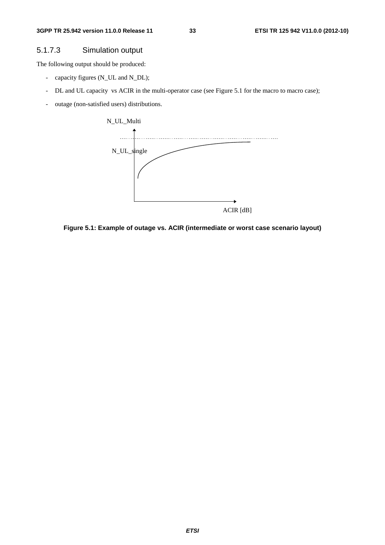### 5.1.7.3 Simulation output

The following output should be produced:

- capacity figures (N\_UL and N\_DL);
- DL and UL capacity vs ACIR in the multi-operator case (see Figure 5.1 for the macro to macro case);
- outage (non-satisfied users) distributions.



**Figure 5.1: Example of outage vs. ACIR (intermediate or worst case scenario layout)**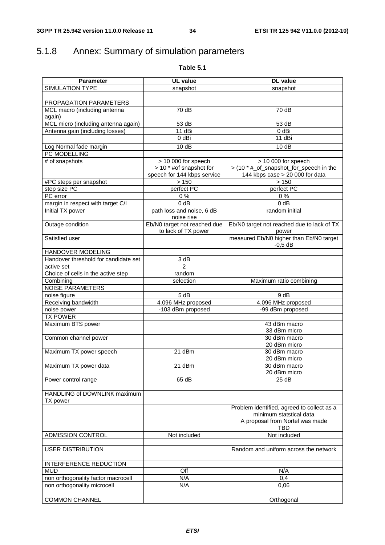## 5.1.8 Annex: Summary of simulation parameters

| able <b>b</b> |  |
|---------------|--|
|---------------|--|

| <b>Parameter</b>                         | <b>UL</b> value                                                               | <b>DL</b> value                                                                                   |
|------------------------------------------|-------------------------------------------------------------------------------|---------------------------------------------------------------------------------------------------|
| SIMULATION TYPE                          | snapshot                                                                      | snapshot                                                                                          |
|                                          |                                                                               |                                                                                                   |
| PROPAGATION PARAMETERS                   |                                                                               |                                                                                                   |
| MCL macro (including antenna<br>again)   | 70 dB                                                                         | 70 dB                                                                                             |
| MCL micro (including antenna again)      | 53 dB                                                                         | 53 dB                                                                                             |
| Antenna gain (including losses)          | 11 dBi                                                                        | 0 dBi                                                                                             |
|                                          | 0 dBi                                                                         | 11 dBi                                                                                            |
| Log Normal fade margin                   | 10dB                                                                          | 10dB                                                                                              |
| PC MODELLING                             |                                                                               |                                                                                                   |
| # of snapshots                           | > 10 000 for speech<br>> 10 * #of snapshot for<br>speech for 144 kbps service | > 10 000 for speech<br>> (10 * #_of_snapshot_for_speech in the<br>144 kbps case > 20 000 for data |
| #PC steps per snapshot                   | >150                                                                          | > 150                                                                                             |
| step size PC                             | perfect PC                                                                    | perfect PC                                                                                        |
| PC error                                 | $0\%$                                                                         | $0\%$                                                                                             |
| margin in respect with target C/I        | 0 dB                                                                          | 0 dB                                                                                              |
| <b>Initial TX power</b>                  | path loss and noise, 6 dB<br>noise rise                                       | random initial                                                                                    |
| Outage condition                         | Eb/N0 target not reached due<br>to lack of TX power                           | Eb/N0 target not reached due to lack of TX<br>power                                               |
| Satisfied user                           |                                                                               | measured Eb/N0 higher than Eb/N0 target<br>$-0.5$ dB                                              |
| HANDOVER MODELING                        |                                                                               |                                                                                                   |
| Handover threshold for candidate set     | $\overline{3}$ dB                                                             |                                                                                                   |
| active set                               | $\mathfrak{p}$                                                                |                                                                                                   |
| Choice of cells in the active step       | random                                                                        |                                                                                                   |
| Combining                                | selection                                                                     | Maximum ratio combining                                                                           |
| <b>NOISE PARAMETERS</b>                  |                                                                               |                                                                                                   |
| noise figure                             | 5 dB                                                                          | 9 dB                                                                                              |
| Receiving bandwidth                      | 4.096 MHz proposed                                                            | 4.096 MHz proposed                                                                                |
| noise power                              | -103 dBm proposed                                                             | -99 dBm proposed                                                                                  |
| <b>TX POWER</b>                          |                                                                               |                                                                                                   |
| Maximum BTS power                        |                                                                               | 43 dBm macro<br>33 dBm micro                                                                      |
| Common channel power                     |                                                                               | 30 dBm macro                                                                                      |
|                                          |                                                                               | 20 dBm micro                                                                                      |
| Maximum TX power speech                  | 21 dBm                                                                        | 30 dBm macro<br>20 dBm micro                                                                      |
| Maximum TX power data                    | 21 dBm                                                                        | 30 dBm macro<br>20 dBm micro                                                                      |
| Power control range                      | 65 dB                                                                         | 25 dB                                                                                             |
|                                          |                                                                               |                                                                                                   |
| HANDLING of DOWNLINK maximum<br>TX power |                                                                               |                                                                                                   |
|                                          |                                                                               | Problem identified, agreed to collect as a<br>minimum statstical data                             |
|                                          |                                                                               | A proposal from Nortel was made<br>TBD                                                            |
| ADMISSION CONTROL                        | Not included                                                                  | Not included                                                                                      |
| <b>USER DISTRIBUTION</b>                 |                                                                               | Random and uniform across the network                                                             |
|                                          |                                                                               |                                                                                                   |
| INTERFERENCE REDUCTION                   |                                                                               |                                                                                                   |
| <b>MUD</b>                               | Off                                                                           | N/A                                                                                               |
| non orthogonality factor macrocell       | N/A                                                                           | 0,4                                                                                               |
| non orthogonality microcell              | N/A                                                                           | 0,06                                                                                              |
|                                          |                                                                               |                                                                                                   |
| <b>COMMON CHANNEL</b>                    |                                                                               | Orthogonal                                                                                        |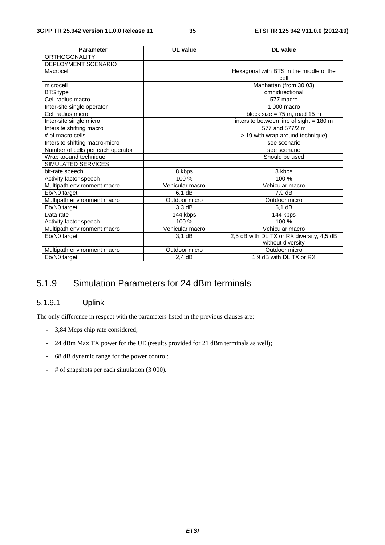| <b>Parameter</b>                  | <b>UL</b> value | <b>DL</b> value                           |
|-----------------------------------|-----------------|-------------------------------------------|
| <b>ORTHOGONALITY</b>              |                 |                                           |
| DEPLOYMENT SCENARIO               |                 |                                           |
| Macrocell                         |                 | Hexagonal with BTS in the middle of the   |
|                                   |                 | cell                                      |
| microcell                         |                 | Manhattan (from 30.03)                    |
| <b>BTS</b> type                   |                 | omnidirectional                           |
| Cell radius macro                 |                 | 577 macro                                 |
| Inter-site single operator        |                 | 1 000 macro                               |
| Cell radius micro                 |                 | block size = $75$ m, road 15 m            |
| Inter-site single micro           |                 | intersite between line of sight = 180 m   |
| Intersite shifting macro          |                 | 577 and 577/2 m                           |
| # of macro cells                  |                 | > 19 with wrap around technique)          |
| Intersite shifting macro-micro    |                 | see scenario                              |
| Number of cells per each operator |                 | see scenario                              |
| Wrap around technique             |                 | Should be used                            |
| SIMULATED SERVICES                |                 |                                           |
| bit-rate speech                   | 8 kbps          | 8 kbps                                    |
| Activity factor speech            | 100 %           | 100 %                                     |
| Multipath environment macro       | Vehicular macro | Vehicular macro                           |
| Eb/N0 target                      | 6.1 dB          | 7,9 dB                                    |
| Multipath environment macro       | Outdoor micro   | Outdoor micro                             |
| Eb/N0 target                      | 3.3 dB          | 6.1 dB                                    |
| Data rate                         | 144 kbps        | 144 kbps                                  |
| Activity factor speech            | 100 %           | 100 %                                     |
| Multipath environment macro       | Vehicular macro | Vehicular macro                           |
| Eb/N0 target                      | $3,1$ dB        | 2,5 dB with DL TX or RX diversity, 4,5 dB |
|                                   |                 | without diversity                         |
| Multipath environment macro       | Outdoor micro   | Outdoor micro                             |
| Eb/N0 target                      | $2,4$ dB        | 1,9 dB with DL TX or RX                   |

## 5.1.9 Simulation Parameters for 24 dBm terminals

### 5.1.9.1 Uplink

The only difference in respect with the parameters listed in the previous clauses are:

- 3,84 Mcps chip rate considered;
- 24 dBm Max TX power for the UE (results provided for 21 dBm terminals as well);
- 68 dB dynamic range for the power control;
- # of snapshots per each simulation (3 000).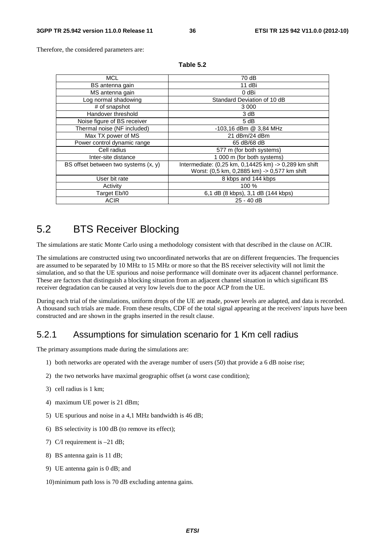Therefore, the considered parameters are:

| 70 dB                                                 |
|-------------------------------------------------------|
| 11 dBi                                                |
| 0 dBi                                                 |
| Standard Deviation of 10 dB                           |
| 3 0 0 0                                               |
| 3 dB                                                  |
| 5 dB                                                  |
| -103,16 dBm @ 3,84 MHz                                |
| 21 dBm/24 dBm                                         |
| 65 dB/68 dB                                           |
| 577 m (for both systems)                              |
| 1 000 m (for both systems)                            |
| Intermediate: (0,25 km, 0,14425 km) -> 0,289 km shift |
| Worst: (0,5 km, 0,2885 km) -> 0,577 km shift          |
| 8 kbps and 144 kbps                                   |
| 100 %                                                 |
| 6,1 dB (8 kbps), 3,1 dB (144 kbps)                    |
| $25 - 40$ dB                                          |
|                                                       |

**Table 5.2** 

# 5.2 BTS Receiver Blocking

The simulations are static Monte Carlo using a methodology consistent with that described in the clause on ACIR.

The simulations are constructed using two uncoordinated networks that are on different frequencies. The frequencies are assumed to be separated by 10 MHz to 15 MHz or more so that the BS receiver selectivity will not limit the simulation, and so that the UE spurious and noise performance will dominate over its adjacent channel performance. These are factors that distinguish a blocking situation from an adjacent channel situation in which significant BS receiver degradation can be caused at very low levels due to the poor ACP from the UE.

During each trial of the simulations, uniform drops of the UE are made, power levels are adapted, and data is recorded. A thousand such trials are made. From these results, CDF of the total signal appearing at the receivers' inputs have been constructed and are shown in the graphs inserted in the result clause.

# 5.2.1 Assumptions for simulation scenario for 1 Km cell radius

The primary assumptions made during the simulations are:

- 1) both networks are operated with the average number of users (50) that provide a 6 dB noise rise;
- 2) the two networks have maximal geographic offset (a worst case condition);
- 3) cell radius is 1 km;
- 4) maximum UE power is 21 dBm;
- 5) UE spurious and noise in a 4,1 MHz bandwidth is 46 dB;
- 6) BS selectivity is 100 dB (to remove its effect);
- 7) C/I requirement is –21 dB;
- 8) BS antenna gain is 11 dB;
- 9) UE antenna gain is 0 dB; and
- 10) minimum path loss is 70 dB excluding antenna gains.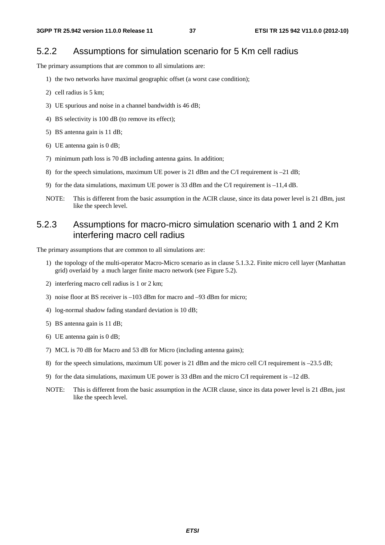### 5.2.2 Assumptions for simulation scenario for 5 Km cell radius

The primary assumptions that are common to all simulations are:

- 1) the two networks have maximal geographic offset (a worst case condition);
- 2) cell radius is 5 km;
- 3) UE spurious and noise in a channel bandwidth is 46 dB;
- 4) BS selectivity is 100 dB (to remove its effect);
- 5) BS antenna gain is 11 dB;
- 6) UE antenna gain is 0 dB;
- 7) minimum path loss is 70 dB including antenna gains. In addition;
- 8) for the speech simulations, maximum UE power is 21 dBm and the C/I requirement is –21 dB;
- 9) for the data simulations, maximum UE power is 33 dBm and the C/I requirement is  $-11.4$  dB.
- NOTE: This is different from the basic assumption in the ACIR clause, since its data power level is 21 dBm, just like the speech level.

# 5.2.3 Assumptions for macro-micro simulation scenario with 1 and 2 Km interfering macro cell radius

The primary assumptions that are common to all simulations are:

- 1) the topology of the multi-operator Macro-Micro scenario as in clause 5.1.3.2. Finite micro cell layer (Manhattan grid) overlaid by a much larger finite macro network (see Figure 5.2).
- 2) interfering macro cell radius is 1 or 2 km;
- 3) noise floor at BS receiver is –103 dBm for macro and –93 dBm for micro;
- 4) log-normal shadow fading standard deviation is 10 dB;
- 5) BS antenna gain is 11 dB;
- 6) UE antenna gain is 0 dB;
- 7) MCL is 70 dB for Macro and 53 dB for Micro (including antenna gains);
- 8) for the speech simulations, maximum UE power is 21 dBm and the micro cell C/I requirement is –23.5 dB;
- 9) for the data simulations, maximum UE power is 33 dBm and the micro C/I requirement is –12 dB.
- NOTE: This is different from the basic assumption in the ACIR clause, since its data power level is 21 dBm, just like the speech level.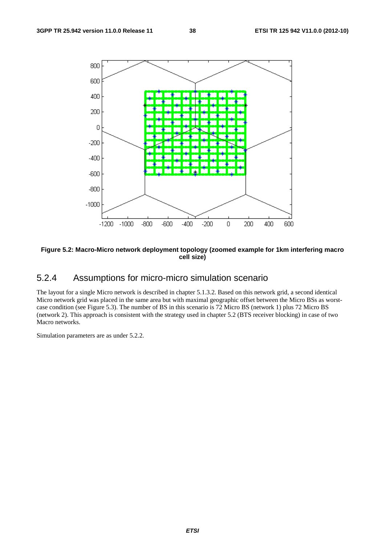

#### **Figure 5.2: Macro-Micro network deployment topology (zoomed example for 1km interfering macro cell size)**

# 5.2.4 Assumptions for micro-micro simulation scenario

The layout for a single Micro network is described in chapter 5.1.3.2. Based on this network grid, a second identical Micro network grid was placed in the same area but with maximal geographic offset between the Micro BSs as worstcase condition (see Figure 5.3). The number of BS in this scenario is 72 Micro BS (network 1) plus 72 Micro BS (network 2). This approach is consistent with the strategy used in chapter 5.2 (BTS receiver blocking) in case of two Macro networks.

Simulation parameters are as under 5.2.2.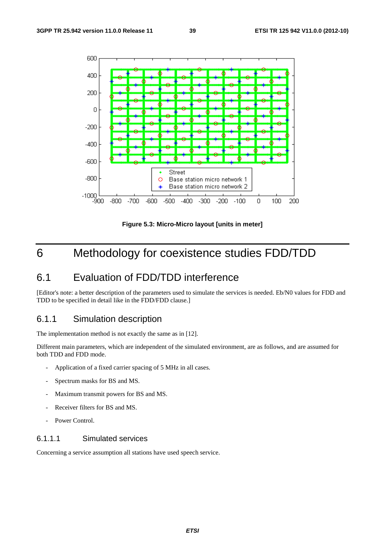

**Figure 5.3: Micro-Micro layout [units in meter]** 

# 6 Methodology for coexistence studies FDD/TDD

# 6.1 Evaluation of FDD/TDD interference

[Editor's note: a better description of the parameters used to simulate the services is needed. Eb/N0 values for FDD and TDD to be specified in detail like in the FDD/FDD clause.]

# 6.1.1 Simulation description

The implementation method is not exactly the same as in [12].

Different main parameters, which are independent of the simulated environment, are as follows, and are assumed for both TDD and FDD mode.

- Application of a fixed carrier spacing of 5 MHz in all cases.
- Spectrum masks for BS and MS.
- Maximum transmit powers for BS and MS.
- Receiver filters for BS and MS.
- Power Control.

### 6.1.1.1 Simulated services

Concerning a service assumption all stations have used speech service.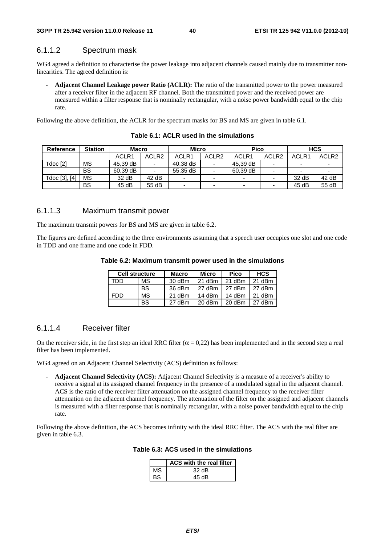### 6.1.1.2 Spectrum mask

WG4 agreed a definition to characterise the power leakage into adjacent channels caused mainly due to transmitter nonlinearities. The agreed definition is:

- **Adjacent Channel Leakage power Ratio (ACLR):** The ratio of the transmitted power to the power measured after a receiver filter in the adjacent RF channel. Both the transmitted power and the received power are measured within a filter response that is nominally rectangular, with a noise power bandwidth equal to the chip rate.

Following the above definition, the ACLR for the spectrum masks for BS and MS are given in table 6.1.

| <b>Reference</b> | <b>Station</b> | <b>Macro</b> |                   | <b>Micro</b>   |                          | Pico                     |                          |                          | <b>HCS</b>        |
|------------------|----------------|--------------|-------------------|----------------|--------------------------|--------------------------|--------------------------|--------------------------|-------------------|
|                  |                | ACLR1        | ACLR <sub>2</sub> | ACLR1          | ACLR <sub>2</sub>        | ACLR1                    | ACLR <sub>2</sub>        | ACLR1                    | ACLR <sub>2</sub> |
| Tdoc [2]         | MS             | 45,39 dB     |                   | 40,38 dB       | $\overline{\phantom{a}}$ | 45,39 dB                 | $\overline{\phantom{0}}$ | -                        |                   |
|                  | <b>BS</b>      | 60.39 dB     |                   | 55.35 dB       | $\overline{\phantom{a}}$ | 60.39 dB                 | $\overline{\phantom{0}}$ | $\overline{\phantom{0}}$ |                   |
| Tdoc [3], [4]    | MS             | 32 dB        | 42dB              |                |                          |                          |                          | 32 dB                    | 42dB              |
|                  | BS             | 45 dB        | 55 dB             | $\blacksquare$ | $\overline{\phantom{0}}$ | $\overline{\phantom{0}}$ | $\overline{\phantom{0}}$ | 45 dB                    | 55 dB             |

**Table 6.1: ACLR used in the simulations** 

### 6.1.1.3 Maximum transmit power

The maximum transmit powers for BS and MS are given in table 6.2.

The figures are defined according to the three environments assuming that a speech user occupies one slot and one code in TDD and one frame and one code in FDD.

|  | Table 6.2: Maximum transmit power used in the simulations |
|--|-----------------------------------------------------------|
|--|-----------------------------------------------------------|

| <b>Cell structure</b> |    | <b>Macro</b> | <b>Micro</b> | Pico   | <b>HCS</b> |
|-----------------------|----|--------------|--------------|--------|------------|
| TDD                   | МS | 30 dBm       | 21 dBm       | 21 dBm | 21 dBm     |
|                       | BS | 36 dBm       | 27 dBm       | 27 dBm | 27 dBm     |
| <b>FDD</b>            | MS | 21 dBm       | 14 dBm       | 14 dBm | 21 dBm     |
|                       | BS | 27 dBm       | 20 dBm       | 20 dBm | 27 dBm     |

### 6.1.1.4 Receiver filter

On the receiver side, in the first step an ideal RRC filter ( $\alpha$  = 0,22) has been implemented and in the second step a real filter has been implemented.

WG4 agreed on an Adjacent Channel Selectivity (ACS) definition as follows:

- **Adjacent Channel Selectivity (ACS):** Adjacent Channel Selectivity is a measure of a receiver's ability to receive a signal at its assigned channel frequency in the presence of a modulated signal in the adjacent channel. ACS is the ratio of the receiver filter attenuation on the assigned channel frequency to the receiver filter attenuation on the adjacent channel frequency. The attenuation of the filter on the assigned and adjacent channels is measured with a filter response that is nominally rectangular, with a noise power bandwidth equal to the chip rate.

Following the above definition, the ACS becomes infinity with the ideal RRC filter. The ACS with the real filter are given in table 6.3.

**Table 6.3: ACS used in the simulations** 

|    | ACS with the real filter |
|----|--------------------------|
| MS | $32 \text{ dB}$          |
|    | 45 dB                    |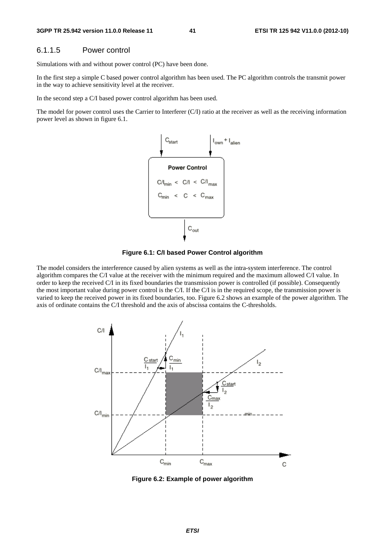### 6.1.1.5 Power control

Simulations with and without power control (PC) have been done.

In the first step a simple C based power control algorithm has been used. The PC algorithm controls the transmit power in the way to achieve sensitivity level at the receiver.

In the second step a C/I based power control algorithm has been used.

The model for power control uses the Carrier to Interferer (C/I) ratio at the receiver as well as the receiving information power level as shown in figure 6.1.





The model considers the interference caused by alien systems as well as the intra-system interference. The control algorithm compares the C/I value at the receiver with the minimum required and the maximum allowed C/I value. In order to keep the received C/I in its fixed boundaries the transmission power is controlled (if possible). Consequently the most important value during power control is the C/I. If the C/I is in the required scope, the transmission power is varied to keep the received power in its fixed boundaries, too. Figure 6.2 shows an example of the power algorithm. The axis of ordinate contains the C/I threshold and the axis of abscissa contains the C-thresholds.



**Figure 6.2: Example of power algorithm**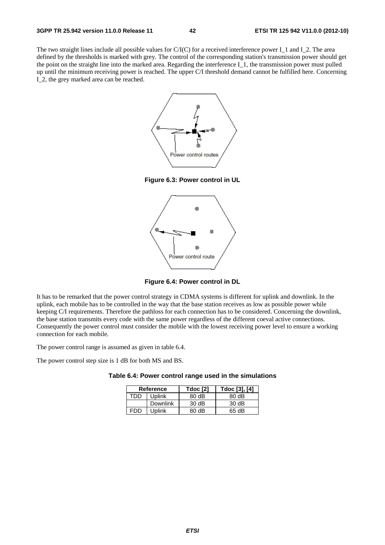The two straight lines include all possible values for  $C/(C)$  for a received interference power I\_1 and I\_2. The area defined by the thresholds is marked with grey. The control of the corresponding station's transmission power should get the point on the straight line into the marked area. Regarding the interference I\_1, the transmission power must pulled up until the minimum receiving power is reached. The upper C/I threshold demand cannot be fulfilled here. Concerning I\_2, the grey marked area can be reached.



**Figure 6.3: Power control in UL** 



**Figure 6.4: Power control in DL** 

It has to be remarked that the power control strategy in CDMA systems is different for uplink and downlink. In the uplink, each mobile has to be controlled in the way that the base station receives as low as possible power while keeping C/I requirements. Therefore the pathloss for each connection has to be considered. Concerning the downlink, the base station transmits every code with the same power regardless of the different coeval active connections. Consequently the power control must consider the mobile with the lowest receiving power level to ensure a working connection for each mobile.

The power control range is assumed as given in table 6.4.

The power control step size is 1 dB for both MS and BS.

|  | Table 6.4: Power control range used in the simulations |  |  |
|--|--------------------------------------------------------|--|--|
|--|--------------------------------------------------------|--|--|

| <b>Reference</b> |               | <b>Tdoc</b> [2]   | Tdoc [3], [4] |
|------------------|---------------|-------------------|---------------|
| חחד              | <b>Uplink</b> | $80 \, \text{dB}$ | 80dB          |
|                  | Downlink      | 30dB              | 30dB          |
| FDD              | <b>Uplink</b> | 80 dB             | 65 dB         |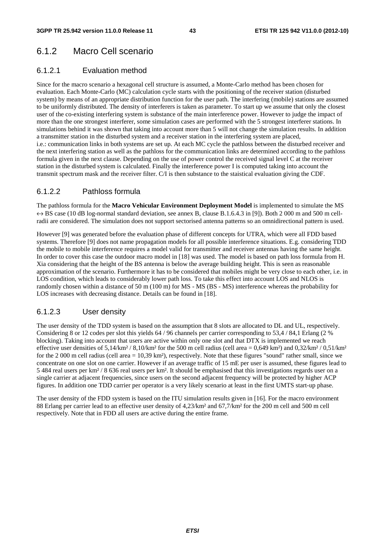# 6.1.2 Macro Cell scenario

### 6.1.2.1 Evaluation method

Since for the macro scenario a hexagonal cell structure is assumed, a Monte-Carlo method has been chosen for evaluation. Each Monte-Carlo (MC) calculation cycle starts with the positioning of the receiver station (disturbed system) by means of an appropriate distribution function for the user path. The interfering (mobile) stations are assumed to be uniformly distributed. The density of interferers is taken as parameter. To start up we assume that only the closest user of the co-existing interfering system is substance of the main interference power. However to judge the impact of more than the one strongest interferer, some simulation cases are performed with the 5 strongest interferer stations. In simulations behind it was shown that taking into account more than 5 will not change the simulation results. In addition a transmitter station in the disturbed system and a receiver station in the interfering system are placed, i.e.: communication links in both systems are set up. At each MC cycle the pathloss between the disturbed receiver and the next interfering station as well as the pathloss for the communication links are determined according to the pathloss formula given in the next clause. Depending on the use of power control the received signal level C at the receiver station in the disturbed system is calculated. Finally the interference power I is computed taking into account the transmit spectrum mask and the receiver filter. C/I is then substance to the staistical evaluation giving the CDF.

### 6.1.2.2 Pathloss formula

The pathloss formula for the **Macro Vehicular Environment Deployment Model** is implemented to simulate the MS  $\leftrightarrow$  BS case (10 dB log-normal standard deviation, see annex B, clause B.1.6.4.3 in [9]). Both 2 000 m and 500 m cellradii are considered. The simulation does not support sectorised antenna patterns so an omnidirectional pattern is used.

However [9] was generated before the evaluation phase of different concepts for UTRA, which were all FDD based systems. Therefore [9] does not name propagation models for all possible interference situations. E.g. considering TDD the mobile to mobile interference requires a model valid for transmitter and receiver antennas having the same height. In order to cover this case the outdoor macro model in [18] was used. The model is based on path loss formula from H. Xia considering that the height of the BS antenna is below the average building height. This is seen as reasonable approximation of the scenario. Furthermore it has to be considered that mobiles might be very close to each other, i.e. in LOS condition, which leads to considerably lower path loss. To take this effect into account LOS and NLOS is randomly chosen within a distance of 50 m (100 m) for MS - MS (BS - MS) interference whereas the probability for LOS increases with decreasing distance. Details can be found in [18].

### 6.1.2.3 User density

The user density of the TDD system is based on the assumption that 8 slots are allocated to DL and UL, respectively. Considering 8 or 12 codes per slot this yields 64 / 96 channels per carrier corresponding to 53,4 / 84,1 Erlang (2 % blocking). Taking into account that users are active within only one slot and that DTX is implemented we reach effective user densities of  $5,14/km^2/8,10/km^2$  for the 500 m cell radius (cell area = 0,649 km²) and 0,32/km² / 0,51/km² for the 2 000 m cell radius (cell area = 10,39 km²), respectively. Note that these figures "sound" rather small, since we concentrate on one slot on one carrier. However if an average traffic of 15 mE per user is assumed, these figures lead to 5 484 real users per km² / 8 636 real users per km². It should be emphasised that this investigations regards user on a single carrier at adjacent frequencies, since users on the second adjacent frequency will be protected by higher ACP figures. In addition one TDD carrier per operator is a very likely scenario at least in the first UMTS start-up phase.

The user density of the FDD system is based on the ITU simulation results given in [16]. For the macro environment 88 Erlang per carrier lead to an effective user density of 4,23/km² and 67,7/km² for the 200 m cell and 500 m cell respectively. Note that in FDD all users are active during the entire frame.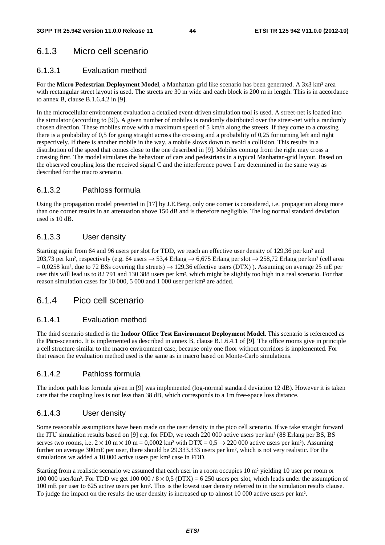# 6.1.3 Micro cell scenario

### 6.1.3.1 Evaluation method

For the **Micro Pedestrian Deployment Model**, a Manhattan-grid like scenario has been generated. A 3x3 km² area with rectangular street layout is used. The streets are 30 m wide and each block is 200 m in length. This is in accordance to annex B, clause B.1.6.4.2 in [9].

In the microcellular environment evaluation a detailed event-driven simulation tool is used. A street-net is loaded into the simulator (according to [9]). A given number of mobiles is randomly distributed over the street-net with a randomly chosen direction. These mobiles move with a maximum speed of 5 km/h along the streets. If they come to a crossing there is a probability of 0,5 for going straight across the crossing and a probability of 0,25 for turning left and right respectively. If there is another mobile in the way, a mobile slows down to avoid a collision. This results in a distribution of the speed that comes close to the one described in [9]. Mobiles coming from the right may cross a crossing first. The model simulates the behaviour of cars and pedestrians in a typical Manhattan-grid layout. Based on the observed coupling loss the received signal C and the interference power I are determined in the same way as described for the macro scenario.

### 6.1.3.2 Pathloss formula

Using the propagation model presented in [17] by J.E.Berg, only one corner is considered, i.e. propagation along more than one corner results in an attenuation above 150 dB and is therefore negligible. The log normal standard deviation used is 10 dB.

### 6.1.3.3 User density

Starting again from 64 and 96 users per slot for TDD, we reach an effective user density of 129,36 per km² and 203,73 per km², respectively (e.g. 64 users  $\rightarrow$  53,4 Erlang  $\rightarrow$  6,675 Erlang per slot  $\rightarrow$  258,72 Erlang per km² (cell area  $= 0.0258$  km<sup>2</sup>, due to 72 BSs covering the streets)  $\rightarrow$  129,36 effective users (DTX)). Assuming on average 25 mE per user this will lead us to 82 791 and 130 388 users per km², which might be slightly too high in a real scenario. For that reason simulation cases for 10 000, 5 000 and 1 000 user per km² are added.

### 6.1.4 Pico cell scenario

### 6.1.4.1 Evaluation method

The third scenario studied is the **Indoor Office Test Environment Deployment Model**. This scenario is referenced as the **Pico**-scenario. It is implemented as described in annex B, clause B.1.6.4.1 of [9]. The office rooms give in principle a cell structure similar to the macro environment case, because only one floor without corridors is implemented. For that reason the evaluation method used is the same as in macro based on Monte-Carlo simulations.

### 6.1.4.2 Pathloss formula

The indoor path loss formula given in [9] was implemented (log-normal standard deviation 12 dB). However it is taken care that the coupling loss is not less than 38 dB, which corresponds to a 1m free-space loss distance.

### 6.1.4.3 User density

Some reasonable assumptions have been made on the user density in the pico cell scenario. If we take straight forward the ITU simulation results based on [9] e.g. for FDD, we reach 220 000 active users per km² (88 Erlang per BS, BS serves two rooms, i.e.  $2 \times 10$  m  $\times$  10 m = 0,0002 km<sup>2</sup> with DTX = 0,5  $\rightarrow$  220 000 active users per km<sup>2</sup>). Assuming further on average 300mE per user, there should be 29.333.333 users per km², which is not very realistic. For the simulations we added a 10 000 active users per km² case in FDD.

Starting from a realistic scenario we assumed that each user in a room occupies 10 m² yielding 10 user per room or 100 000 user/km². For TDD we get 100 000 /  $8 \times 0.5$  (DTX) = 6 250 users per slot, which leads under the assumption of 100 mE per user to 625 active users per km². This is the lowest user density referred to in the simulation results clause. To judge the impact on the results the user density is increased up to almost 10 000 active users per km².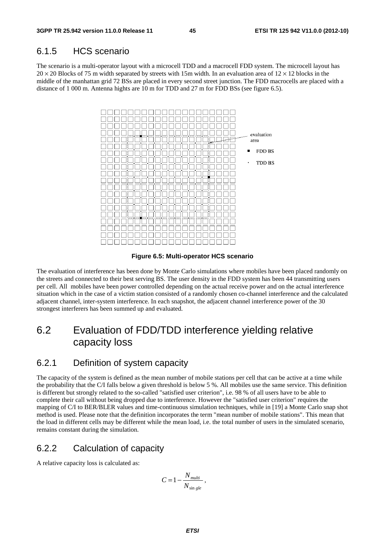### 6.1.5 HCS scenario

The scenario is a multi-operator layout with a microcell TDD and a macrocell FDD system. The microcell layout has  $20 \times 20$  Blocks of 75 m width separated by streets with 15m width. In an evaluation area of  $12 \times 12$  blocks in the middle of the manhattan grid 72 BSs are placed in every second street junction. The FDD macrocells are placed with a distance of 1 000 m. Antenna hights are 10 m for TDD and 27 m for FDD BSs (see figure 6.5).



**Figure 6.5: Multi-operator HCS scenario** 

The evaluation of interference has been done by Monte Carlo simulations where mobiles have been placed randomly on the streets and connected to their best serving BS. The user density in the FDD system has been 44 transmitting users per cell. All mobiles have been power controlled depending on the actual receive power and on the actual interference situation which in the case of a victim station consisted of a randomly chosen co-channel interference and the calculated adjacent channel, inter-system interference. In each snapshot, the adjacent channel interference power of the 30 strongest interferers has been summed up and evaluated.

# 6.2 Evaluation of FDD/TDD interference yielding relative capacity loss

### 6.2.1 Definition of system capacity

The capacity of the system is defined as the mean number of mobile stations per cell that can be active at a time while the probability that the C/I falls below a given threshold is below 5 %. All mobiles use the same service. This definition is different but strongly related to the so-called "satisfied user criterion", i.e. 98 % of all users have to be able to complete their call without being dropped due to interference. However the "satisfied user criterion" requires the mapping of C/I to BER/BLER values and time-continuous simulation techniques, while in [19] a Monte Carlo snap shot method is used. Please note that the definition incorporates the term "mean number of mobile stations". This mean that the load in different cells may be different while the mean load, i.e. the total number of users in the simulated scenario, remains constant during the simulation.

### 6.2.2 Calculation of capacity

A relative capacity loss is calculated as:

$$
C = 1 - \frac{N_{multi}}{N_{\sin gle}},
$$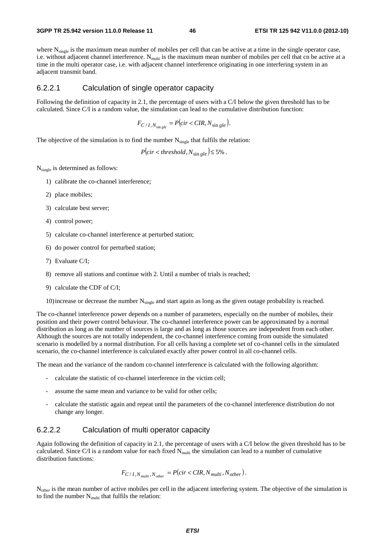where N<sub>single</sub> is the maximum mean number of mobiles per cell that can be active at a time in the single operator case, i.e. without adjacent channel interference. N<sub>multi</sub> is the maximum mean number of mobiles per cell that cn be active at a time in the multi operator case, i.e. with adjacent channel interference originating in one interfering system in an adjacent transmit band.

### 6.2.2.1 Calculation of single operator capacity

Following the definition of capacity in 2.1, the percentage of users with a C/I below the given threshold has to be calculated. Since C/I is a random value, the simulation can lead to the cumulative distribution function:

 $F_{C/I, N_{\sin gle}} = P(cir < CIR, N_{\sin gle}).$ 

The objective of the simulation is to find the number  $N_{single}$  that fulfils the relation:

 $P(cir < threshold, N_{\sin \theta} | \leq 5\%$ .

Nsingle is determined as follows:

- 1) calibrate the co-channel interference;
- 2) place mobiles;
- 3) calculate best server;
- 4) control power;
- 5) calculate co-channel interference at perturbed station;
- 6) do power control for perturbed station;
- 7) Evaluate C/I;
- 8) remove all stations and continue with 2. Until a number of trials is reached;
- 9) calculate the CDF of C/I;

10) increase or decrease the number  $N_{\text{single}}$  and start again as long as the given outage probability is reached.

The co-channel interference power depends on a number of parameters, especially on the number of mobiles, their position and their power control behaviour. The co-channel interference power can be approximated by a normal distribution as long as the number of sources is large and as long as those sources are independent from each other. Although the sources are not totally independent, the co-channel interference coming from outside the simulated scenario is modelled by a normal distribution. For all cells having a complete set of co-channel cells in the simulated scenario, the co-channel interference is calculated exactly after power control in all co-channel cells.

The mean and the variance of the random co-channel interference is calculated with the following algorithm:

- calculate the statistic of co-channel interference in the victim cell;
- assume the same mean and variance to be valid for other cells;
- calculate the statistic again and repeat until the parameters of the co-channel interference distribution do not change any longer.

### 6.2.2.2 Calculation of multi operator capacity

Again following the definition of capacity in 2.1, the percentage of users with a C/I below the given threshold has to be calculated. Since C/I is a random value for each fixed  $N<sub>multi</sub>$  the simulation can lead to a number of cumulative distribution functions:

$$
F_{C/I,N_{multi},N_{other}} = P(cir < CIR,N_{multi},N_{other}).
$$

N<sub>other</sub> is the mean number of active mobiles per cell in the adjacent interfering system. The objective of the simulation is to find the number  $N_{multi}$  that fulfils the relation: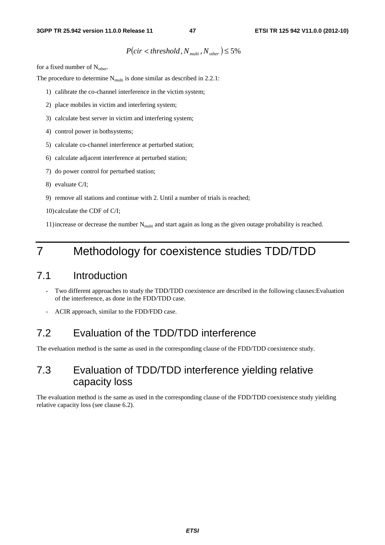# $P(cir < threshold, N_{multi}, N_{other}) \leq 5\%$

for a fixed number of  $N_{other}$ .

The procedure to determine  $N_{\text{multi}}$  is done similar as described in 2.2.1:

- 1) calibrate the co-channel interference in the victim system;
- 2) place mobiles in victim and interfering system;
- 3) calculate best server in victim and interfering system;
- 4) control power in bothsystems;
- 5) calculate co-channel interference at perturbed station;
- 6) calculate adjacent interference at perturbed station;
- 7) do power control for perturbed station;
- 8) evaluate C/I;
- 9) remove all stations and continue with 2. Until a number of trials is reached;
- 10) calculate the CDF of C/I;

11) increase or decrease the number  $N_{multi}$  and start again as long as the given outage probability is reached.

# 7 Methodology for coexistence studies TDD/TDD

# 7.1 Introduction

- Two different approaches to study the TDD/TDD coexistence are described in the following clauses:Evaluation of the interference, as done in the FDD/TDD case.
- ACIR approach, similar to the FDD/FDD case.

# 7.2 Evaluation of the TDD/TDD interference

The eveluation method is the same as used in the corresponding clause of the FDD/TDD coexistence study.

# 7.3 Evaluation of TDD/TDD interference yielding relative capacity loss

The evaluation method is the same as used in the corresponding clause of the FDD/TDD coexistence study yielding relative capacity loss (see clause 6.2).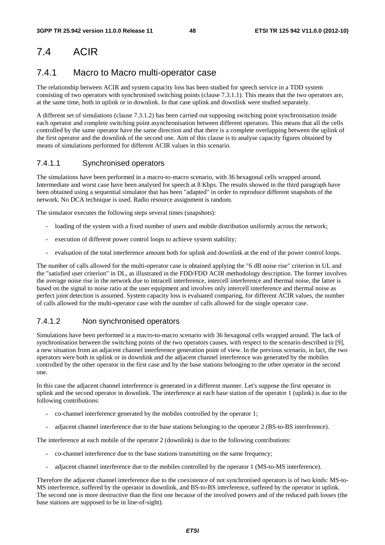# 7.4 ACIR

# 7.4.1 Macro to Macro multi-operator case

The relationship between ACIR and system capacity loss has been studied for speech service in a TDD system consisting of two operators with synchronised switching points (clause 7.3.1.1). This means that the two operators are, at the same time, both in uplink or in downlink. In that case uplink and downlink were studied separately.

A different set of simulations (clause 7.3.1.2) has been carried out supposing switching point synchronisation inside each operator and complete switching point asynchronisation between different operators. This means that all the cells controlled by the same operator have the same direction and that there is a complete overlapping between the uplink of the first operator and the downlink of the second one. Aim of this clause is to analyse capacity figures obtained by means of simulations performed for different ACIR values in this scenario.

### 7.4.1.1 Synchronised operators

The simulations have been performed in a macro-to-macro scenario, with 36 hexagonal cells wrapped around. Intermediate and worst case have been analysed for speech at 8 Kbps. The results showed in the third paragraph have been obtained using a sequential simulator that has been "adapted" in order to reproduce different snapshots of the network. No DCA technique is used. Radio resource assignment is random.

The simulator executes the following steps several times (snapshots):

- loading of the system with a fixed number of users and mobile distribution uniformly across the network;
- execution of different power control loops to achieve system stability;
- evaluation of the total interference amount both for uplink and downlink at the end of the power control loops.

The number of calls allowed for the multi-operator case is obtained applying the "6 dB noise rise" criterion in UL and the "satisfied user criterion" in DL, as illustrated in the FDD/FDD ACIR methodology description. The former involves the average noise rise in the network due to intracell interference, intercell interference and thermal noise, the latter is based on the signal to noise ratio at the user equipment and involves only intercell interference and thermal noise as perfect joint detection is assumed. System capacity loss is evaluated comparing, for different ACIR values, the number of calls allowed for the multi-operator case with the number of calls allowed for the single operator case.

### 7.4.1.2 Non synchronised operators

Simulations have been performed in a macro-to-macro scenario with 36 hexagonal cells wrapped around. The lack of synchronisation between the switching points of the two operators causes, with respect to the scenario described in [9], a new situation from an adjacent channel interference generation point of view. In the previous scenario, in fact, the two operators were both in uplink or in downlink and the adjacent channel interference was generated by the mobiles controlled by the other operator in the first case and by the base stations belonging to the other operator in the second one.

In this case the adjacent channel interference is generated in a different manner. Let's suppose the first operator in uplink and the second operator in downlink. The interference at each base station of the operator 1 (uplink) is due to the following contributions:

- co-channel interference generated by the mobiles controlled by the operator 1;
- adjacent channel interference due to the base stations belonging to the operator 2 (BS-to-BS interference).

The interference at each mobile of the operator 2 (downlink) is due to the following contributions:

- co-channel interference due to the base stations transmitting on the same frequency;
- adjacent channel interference due to the mobiles controlled by the operator 1 (MS-to-MS interference).

Therefore the adjacent channel interference due to the coexistence of not synchronised operators is of two kinds: MS-to-MS interference, suffered by the operator in downlink, and BS-to-BS interference, suffered by the operator in uplink. The second one is more destructive than the first one because of the involved powers and of the reduced path losses (the base stations are supposed to be in line-of-sight).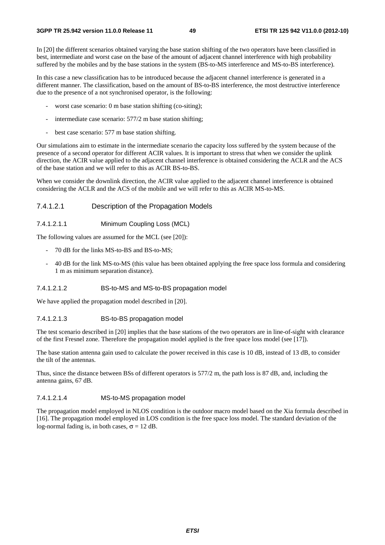In [20] the different scenarios obtained varying the base station shifting of the two operators have been classified in best, intermediate and worst case on the base of the amount of adjacent channel interference with high probability suffered by the mobiles and by the base stations in the system (BS-to-MS interference and MS-to-BS interference).

In this case a new classification has to be introduced because the adjacent channel interference is generated in a different manner. The classification, based on the amount of BS-to-BS interference, the most destructive interference due to the presence of a not synchronised operator, is the following:

- worst case scenario: 0 m base station shifting (co-siting);
- intermediate case scenario: 577/2 m base station shifting;
- best case scenario: 577 m base station shifting.

Our simulations aim to estimate in the intermediate scenario the capacity loss suffered by the system because of the presence of a second operator for different ACIR values. It is important to stress that when we consider the uplink direction, the ACIR value applied to the adjacent channel interference is obtained considering the ACLR and the ACS of the base station and we will refer to this as ACIR BS-to-BS.

When we consider the downlink direction, the ACIR value applied to the adjacent channel interference is obtained considering the ACLR and the ACS of the mobile and we will refer to this as ACIR MS-to-MS.

### 7.4.1.2.1 Description of the Propagation Models

### 7.4.1.2.1.1 Minimum Coupling Loss (MCL)

The following values are assumed for the MCL (see [20]):

- 70 dB for the links MS-to-BS and BS-to-MS;
- 40 dB for the link MS-to-MS (this value has been obtained applying the free space loss formula and considering 1 m as minimum separation distance).

#### 7.4.1.2.1.2 BS-to-MS and MS-to-BS propagation model

We have applied the propagation model described in [20].

#### 7.4.1.2.1.3 BS-to-BS propagation model

The test scenario described in [20] implies that the base stations of the two operators are in line-of-sight with clearance of the first Fresnel zone. Therefore the propagation model applied is the free space loss model (see [17]).

The base station antenna gain used to calculate the power received in this case is 10 dB, instead of 13 dB, to consider the tilt of the antennas.

Thus, since the distance between BSs of different operators is 577/2 m, the path loss is 87 dB, and, including the antenna gains, 67 dB.

#### 7.4.1.2.1.4 MS-to-MS propagation model

The propagation model employed in NLOS condition is the outdoor macro model based on the Xia formula described in [16]. The propagation model employed in LOS condition is the free space loss model. The standard deviation of the log-normal fading is, in both cases,  $\sigma = 12$  dB.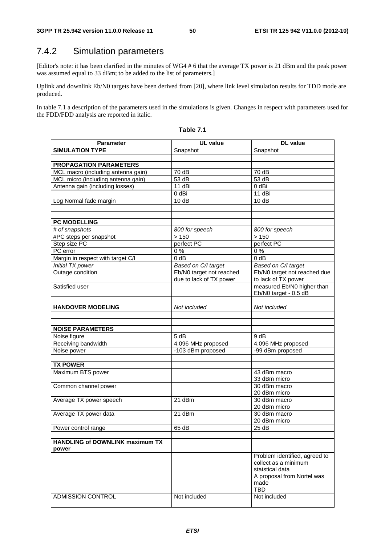# 7.4.2 Simulation parameters

[Editor's note: it has been clarified in the minutes of WG4 # 6 that the average TX power is 21 dBm and the peak power was assumed equal to 33 dBm; to be added to the list of parameters.]

Uplink and downlink Eb/N0 targets have been derived from [20], where link level simulation results for TDD mode are produced.

In table 7.1 a description of the parameters used in the simulations is given. Changes in respect with parameters used for the FDD/FDD analysis are reported in italic.

| <b>Parameter</b>                       | <b>UL</b> value          | <b>DL</b> value                    |
|----------------------------------------|--------------------------|------------------------------------|
| <b>SIMULATION TYPE</b>                 | Snapshot                 | Snapshot                           |
|                                        |                          |                                    |
| <b>PROPAGATION PARAMETERS</b>          |                          |                                    |
| MCL macro (including antenna gain)     | 70 dB                    | 70 dB                              |
| MCL micro (including antenna gain)     | 53 dB                    | $53 \overline{dB}$                 |
| Antenna gain (including losses)        | 11 dBi                   | 0 dBi                              |
|                                        | 0 dBi                    | 11 dBi                             |
| Log Normal fade margin                 | 10dB                     | 10dB                               |
|                                        |                          |                                    |
|                                        |                          |                                    |
| <b>PC MODELLING</b>                    |                          |                                    |
| # of snapshots                         | 800 for speech           | 800 for speech                     |
| #PC steps per snapshot                 | >150                     | >150                               |
| Step size PC                           | perfect PC               | perfect PC                         |
| PC error                               | $\overline{0\%}$         | $\overline{0\%}$                   |
| Margin in respect with target C/I      | $0$ dB                   | $0$ dB                             |
| Initial TX power                       | Based on C/I target      | Based on C/I target                |
| Outage condition                       | Eb/N0 target not reached | Eb/N0 target not reached due       |
|                                        | due to lack of TX power  | to lack of TX power                |
| Satisfied user                         |                          | measured Eb/N0 higher than         |
|                                        |                          | Eb/N0 target - 0.5 dB              |
| <b>HANDOVER MODELING</b>               |                          |                                    |
|                                        | Not included             | Not included                       |
|                                        |                          |                                    |
| <b>NOISE PARAMETERS</b>                |                          |                                    |
| Noise figure                           | 5 dB                     | 9 dB                               |
| Receiving bandwidth                    | 4.096 MHz proposed       | 4.096 MHz proposed                 |
| Noise power                            | -103 dBm proposed        | -99 dBm proposed                   |
|                                        |                          |                                    |
| <b>TX POWER</b>                        |                          |                                    |
| Maximum BTS power                      |                          | 43 dBm macro                       |
|                                        |                          | 33 dBm micro                       |
| Common channel power                   |                          | 30 dBm macro                       |
|                                        |                          | 20 dBm micro                       |
| Average TX power speech                | 21 dBm                   | 30 dBm macro                       |
|                                        |                          | 20 dBm micro                       |
| Average TX power data                  | 21 dBm                   | 30 dBm macro                       |
|                                        |                          | 20 dBm micro                       |
| Power control range                    | 65 dB                    | 25 dB                              |
|                                        |                          |                                    |
| <b>HANDLING of DOWNLINK maximum TX</b> |                          |                                    |
| power                                  |                          |                                    |
|                                        |                          | Problem identified, agreed to      |
|                                        |                          | collect as a minimum               |
|                                        |                          | statstical data                    |
|                                        |                          | A proposal from Nortel was<br>made |
|                                        |                          | <b>TBD</b>                         |
| <b>ADMISSION CONTROL</b>               | Not included             | Not included                       |
|                                        |                          |                                    |

**Table 7.1**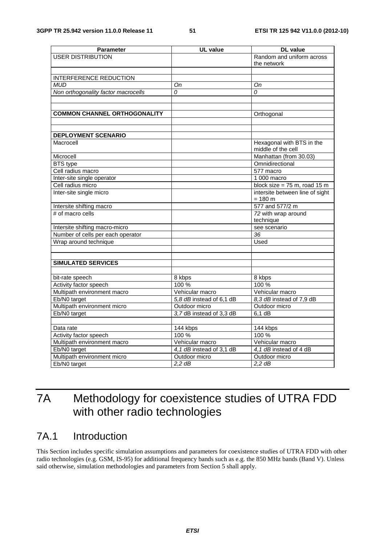| <b>Parameter</b>                    | <b>UL</b> value          | <b>DL</b> value                         |
|-------------------------------------|--------------------------|-----------------------------------------|
| <b>USER DISTRIBUTION</b>            |                          | Random and uniform across               |
|                                     |                          | the network                             |
|                                     |                          |                                         |
| <b>INTERFERENCE REDUCTION</b>       |                          |                                         |
| <b>MUD</b>                          | On                       | Оn                                      |
| Non orthogonality factor macrocells | $\Omega$                 | 0                                       |
|                                     |                          |                                         |
|                                     |                          |                                         |
| <b>COMMON CHANNEL ORTHOGONALITY</b> |                          | Orthogonal                              |
|                                     |                          |                                         |
|                                     |                          |                                         |
| <b>DEPLOYMENT SCENARIO</b>          |                          |                                         |
| Macrocell                           |                          | Hexagonal with BTS in the               |
|                                     |                          | middle of the cell                      |
| Microcell                           |                          | Manhattan (from 30.03)                  |
| <b>BTS</b> type                     |                          | Omnidirectional                         |
| Cell radius macro                   |                          | 577 macro                               |
| Inter-site single operator          |                          | 1 000 macro                             |
| Cell radius micro                   |                          | block size = $75 \text{ m}$ , road 15 m |
| Inter-site single micro             |                          | intersite between line of sight         |
|                                     |                          | $= 180 m$                               |
| Intersite shifting macro            |                          | 577 and 577/2 m                         |
| # of macro cells                    |                          | 72 with wrap around                     |
|                                     |                          | technique                               |
| Intersite shifting macro-micro      |                          | see scenario                            |
| Number of cells per each operator   |                          | $\overline{36}$                         |
| Wrap around technique               |                          | Used                                    |
|                                     |                          |                                         |
|                                     |                          |                                         |
| <b>SIMULATED SERVICES</b>           |                          |                                         |
|                                     |                          |                                         |
| bit-rate speech                     | 8 kbps                   | 8 kbps                                  |
| Activity factor speech              | 100 %                    | 100 %                                   |
| Multipath environment macro         | Vehicular macro          | Vehicular macro                         |
| Eb/N0 target                        | 5,8 dB instead of 6,1 dB | 8,3 dB instead of 7,9 dB                |
| Multipath environment micro         | Outdoor micro            | Outdoor micro                           |
| Eb/N0 target                        | 3,7 dB instead of 3,3 dB | 6.1 dB                                  |
|                                     |                          |                                         |
| Data rate                           | 144 kbps                 | 144 kbps                                |
| Activity factor speech              | $100\,\frac{6}{5}$       | 100%                                    |
| Multipath environment macro         | Vehicular macro          | Vehicular macro                         |
| Eb/N0 target                        | 4,1 dB instead of 3,1 dB | 4,1 dB instead of 4 dB                  |
| Multipath environment micro         | Outdoor micro            | Outdoor micro                           |
| Eb/N0 target                        | $2,2$ dB                 | $2,2$ dB                                |

# 7A Methodology for coexistence studies of UTRA FDD with other radio technologies

# 7A.1 Introduction

This Section includes specific simulation assumptions and parameters for coexistence studies of UTRA FDD with other radio technologies (e.g. GSM, IS-95) for additional frequency bands such as e.g. the 850 MHz bands (Band V). Unless said otherwise, simulation methodologies and parameters from Section 5 shall apply.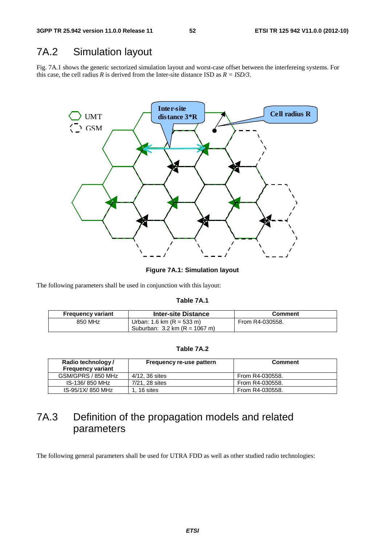# 7A.2 Simulation layout

Fig. 7A.1 shows the generic sectorized simulation layout and worst-case offset between the interfereing systems. For this case, the cell radius *R* is derived from the Inter-site distance ISD as  $R = ISD/3$ .



**Figure 7A.1: Simulation layout** 

The following parameters shall be used in conjunction with this layout:

#### **Table 7A.1**

| <b>Frequency variant</b> | <b>Inter-site Distance</b>              | Comment         |
|--------------------------|-----------------------------------------|-----------------|
| 850 MHz                  | Urban: 1.6 km $(R = 533 \text{ m})$     | From R4-030558. |
|                          | Suburban: $3.2 \text{ km}$ (R = 1067 m) |                 |

### **Table 7A.2**

| Radio technology/<br><b>Frequency variant</b> | Frequency re-use pattern | <b>Comment</b>  |
|-----------------------------------------------|--------------------------|-----------------|
| GSM/GPRS / 850 MHz                            | 4/12, 36 sites           | From R4-030558. |
| IS-136/850 MHz                                | 7/21, 28 sites           | From R4-030558. |
| IS-95/1X/850 MHz                              | 1.16 sites               | From R4-030558. |

# 7A.3 Definition of the propagation models and related parameters

The following general parameters shall be used for UTRA FDD as well as other studied radio technologies: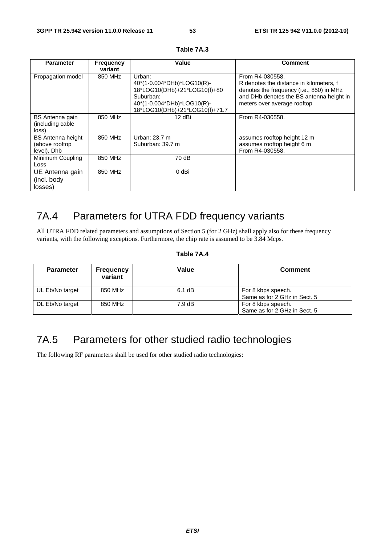| <b>Parameter</b>                                          | <b>Frequency</b><br>variant | Value                                                                                                                                             | <b>Comment</b>                                                                                                                                                                    |
|-----------------------------------------------------------|-----------------------------|---------------------------------------------------------------------------------------------------------------------------------------------------|-----------------------------------------------------------------------------------------------------------------------------------------------------------------------------------|
| Propagation model                                         | 850 MHz                     | Urban:<br>40*(1-0.004*DHb)*LOG10(R)-<br>18*LOG10(DHb)+21*LOG10(f)+80<br>Suburban:<br>40*(1-0.004*DHb)*LOG10(R)-<br>18*LOG10(DHb)+21*LOG10(f)+71.7 | From R4-030558.<br>R denotes the distance in kilometers, f<br>denotes the frequency (i.e., 850) in MHz<br>and DHb denotes the BS antenna height in<br>meters over average rooftop |
| <b>BS</b> Antenna gain<br>(including cable<br>loss)       | 850 MHz                     | 12 dBi                                                                                                                                            | From R4-030558.                                                                                                                                                                   |
| <b>BS</b> Antenna height<br>(above rooftop<br>level), Dhb | 850 MHz                     | Urban: 23.7 m<br>Suburban: 39.7 m                                                                                                                 | assumes rooftop height 12 m<br>assumes rooftop height 6 m<br>From R4-030558.                                                                                                      |
| Minimum Coupling<br>Loss                                  | 850 MHz                     | 70 dB                                                                                                                                             |                                                                                                                                                                                   |
| UE Antenna gain<br>(incl. body<br>losses)                 | 850 MHz                     | 0 dBi                                                                                                                                             |                                                                                                                                                                                   |

**Table 7A.3** 

# 7A.4 Parameters for UTRA FDD frequency variants

All UTRA FDD related parameters and assumptions of Section 5 (for 2 GHz) shall apply also for these frequency variants, with the following exceptions. Furthermore, the chip rate is assumed to be 3.84 Mcps.

### **Table 7A.4**

| <b>Parameter</b> | <b>Frequency</b><br>variant | Value  | <b>Comment</b>                                     |
|------------------|-----------------------------|--------|----------------------------------------------------|
| UL Eb/No target  | 850 MHz                     | 6.1 dB | For 8 kbps speech.<br>Same as for 2 GHz in Sect. 5 |
| DL Eb/No target  | 850 MHz                     | 7.9 dB | For 8 kbps speech.<br>Same as for 2 GHz in Sect. 5 |

# 7A.5 Parameters for other studied radio technologies

The following RF parameters shall be used for other studied radio technologies: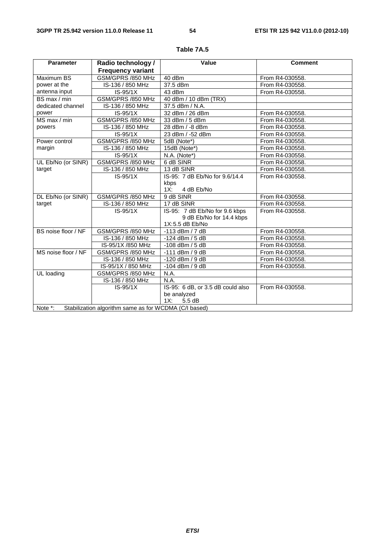| <b>Parameter</b>    | Radio technology /                                    | Value                             | <b>Comment</b>  |
|---------------------|-------------------------------------------------------|-----------------------------------|-----------------|
|                     | <b>Frequency variant</b>                              |                                   |                 |
| Maximum BS          | GSM/GPRS /850 MHz                                     | 40 dBm                            | From R4-030558. |
| power at the        | IS-136 / 850 MHz                                      | 37.5 dBm                          | From R4-030558. |
| antenna input       | $IS-95/1X$                                            | 43 dBm                            | From R4-030558. |
| BS max / min        | GSM/GPRS /850 MHz                                     | 40 dBm / 10 dBm (TRX)             |                 |
| dedicated channel   | IS-136 / 850 MHz                                      | 37.5 dBm / N.A.                   |                 |
| power               | $IS-95/1X$                                            | 32 dBm / 26 dBm                   | From R4-030558. |
| MS max / min        | GSM/GPRS /850 MHz                                     | 33 dBm / 5 dBm                    | From R4-030558. |
| powers              | IS-136 / 850 MHz                                      | 28 dBm / -8 dBm                   | From R4-030558. |
|                     | $IS-95/1X$                                            | 23 dBm / -52 dBm                  | From R4-030558. |
| Power control       | GSM/GPRS /850 MHz                                     | 5dB (Note*)                       | From R4-030558. |
| margin              | IS-136 / 850 MHz                                      | 15dB (Note*)                      | From R4-030558. |
|                     | $IS-95/1X$                                            | N.A. (Note*)                      | From R4-030558. |
| UL Eb/No (or SINR)  | GSM/GPRS /850 MHz                                     | 6 dB SINR                         | From R4-030558. |
| target              | IS-136 / 850 MHz                                      | 13 dB SINR                        | From R4-030558. |
|                     | $IS-95/1X$                                            | IS-95: 7 dB Eb/No for 9.6/14.4    | From R4-030558. |
|                     |                                                       | kbps                              |                 |
|                     |                                                       | 1X:<br>4 dB Eb/No                 |                 |
| DL Eb/No (or SINR)  | GSM/GPRS /850 MHz                                     | 9 dB SINR                         | From R4-030558. |
| target              | IS-136 / 850 MHz                                      | 17 dB SINR                        | From R4-030558. |
|                     | $IS-95/1X$                                            | IS-95: 7 dB Eb/No for 9.6 kbps    | From R4-030558. |
|                     |                                                       | 9 dB Eb/No for 14.4 kbps          |                 |
|                     |                                                       | 1X:5.5 dB Eb/No                   |                 |
| BS noise floor / NF | GSM/GPRS /850 MHz                                     | $-113$ dBm $/7$ dB                | From R4-030558. |
|                     | IS-136 / 850 MHz                                      | $-124$ dBm $/5$ dB                | From R4-030558. |
|                     | IS-95/1X /850 MHz                                     | $-108$ dBm $/5$ dB                | From R4-030558. |
| MS noise floor / NF | GSM/GPRS /850 MHz                                     | $-111$ dBm / 9 dB                 | From R4-030558. |
|                     | IS-136 / 850 MHz                                      | $-120$ dBm / 9 dB                 | From R4-030558. |
|                     | IS-95/1X / 850 MHz                                    | $-104$ dBm / 9 dB                 | From R4-030558. |
| UL loading          | GSM/GPRS /850 MHz                                     | N.A.                              |                 |
|                     | IS-136 / 850 MHz                                      | N.A.                              |                 |
|                     | $IS-95/1X$                                            | IS-95: 6 dB, or 3.5 dB could also | From R4-030558. |
|                     |                                                       | be analyzed                       |                 |
|                     |                                                       | 1X:<br>5.5dB                      |                 |
| Note *:             | Stabilization algorithm same as for WCDMA (C/I based) |                                   |                 |

**Table 7A.5**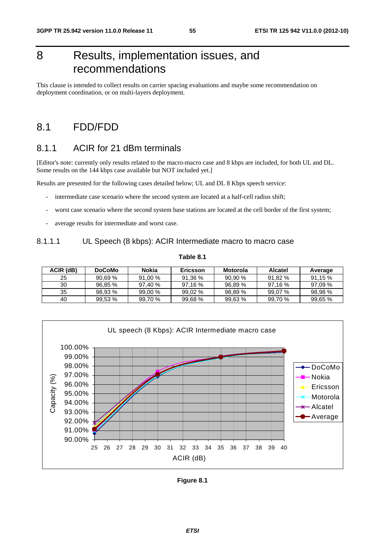# 8 Results, implementation issues, and recommendations

This clause is intended to collect results on carrier spacing evaluations and maybe some recommendation on deployment coordination, or on multi-layers deployment.

# 8.1 FDD/FDD

# 8.1.1 ACIR for 21 dBm terminals

[Editor's note: currently only results related to the macro-macro case and 8 kbps are included, for both UL and DL. Some results on the 144 kbps case available but NOT included yet.]

Results are presented for the following cases detailed below; UL and DL 8 Kbps speech service:

- intermediate case scenario where the second system are located at a half-cell radius shift;
- worst case scenario where the second system base stations are located at the cell border of the first system;
- average results for intermediate and worst case.

### 8.1.1.1 UL Speech (8 kbps): ACIR Intermediate macro to macro case

| ACIR (dB) | <b>DoCoMo</b> | Nokia     | Ericsson | Motorola | <b>Alcatel</b> | Average |
|-----------|---------------|-----------|----------|----------|----------------|---------|
| 25        | 90.69%        | 91.00 %   | 91.36%   | 90,90 %  | 91.82 %        | 91.15 % |
| 30        | 96.85 %       | 97.40%    | 97.16%   | 96.89 %  | 97.16%         | 97.09 % |
| 35        | 98.93 %       | $99.00\%$ | 99.02 %  | 98,89 %  | 99.07 %        | 98.98%  |
| 40        | 99.53%        | 99.70 %   | 99.68 %  | 99,63 %  | 99.70 %        | 99,65 % |



| Figure 8.1 |  |
|------------|--|
|------------|--|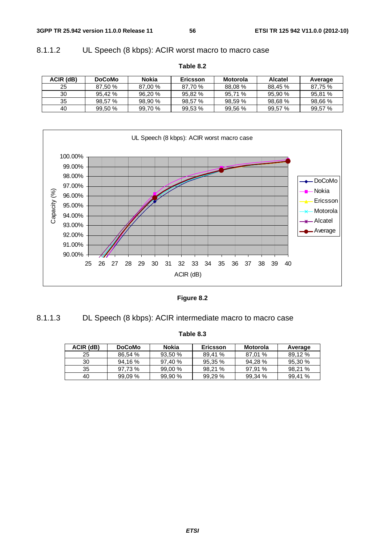# 8.1.1.2 UL Speech (8 kbps): ACIR worst macro to macro case

| ACIR (dB) | <b>DoCoMo</b> | Nokia   | <b>Ericsson</b> | <b>Motorola</b> | <b>Alcatel</b> | Average |
|-----------|---------------|---------|-----------------|-----------------|----------------|---------|
| 25        | 87.50 %       | 87.00 % | 87.70 %         | 88.08 %         | 88.45 %        | 87.75 % |
| 30        | 95.42 %       | 96.20 % | 95.82 %         | 95.71 %         | 95.90 %        | 95,81 % |
| 35        | 98.57 %       | 98.90 % | 98.57 %         | 98.59%          | 98.68%         | 98,66 % |
| 40        | 99,50 %       | 99.70 % | 99,53 %         | 99,56 %         | 99,57 %        | 99,57 % |





**Figure 8.2** 

| 8.1.1 |  |  |  |
|-------|--|--|--|
|       |  |  |  |

|  | able 8 |
|--|--------|

DL Speech (8 kbps): ACIR intermediate macro to macro case

| ACIR (dB) | <b>DoCoMo</b> | Nokia<br>Ericsson |         | Motorola | Average |
|-----------|---------------|-------------------|---------|----------|---------|
| 25        | 86.54 %       | 93.50%            | 89.41 % | 87,01 %  | 89.12 % |
| 30        | 94.16 %       | 97.40 %           | 95,35 % | 94,28 %  | 95,30 % |
| 35        | 97.73 %       | 99,00 %           | 98.21 % | 97.91 %  | 98.21 % |
| 40        | $99.09\%$     | 99.90%            | 99.29 % | 99,34 %  | 99.41 % |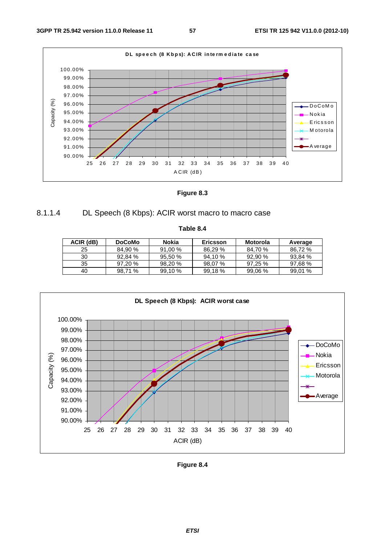

**Figure 8.3** 



**Table 8.4** 

| ACIR (dB) | <b>DoCoMo</b> | Nokia<br>Ericsson |         | Motorola | Average |
|-----------|---------------|-------------------|---------|----------|---------|
| 25        | 84.90 %       | 91.00%            | 86,29 % | 84.70 %  | 86.72 % |
| 30        | 92.84 %       | 95.50%            | 94,10 % | 92,90 %  | 93.84 % |
| 35        | 97.20 %       | 98.20 %           | 98.07 % | 97,25 %  | 97.68%  |
| 40        | 98.71 %       | 99.10%            | 99.18 % | 99,06%   | 99.01%  |



**Figure 8.4**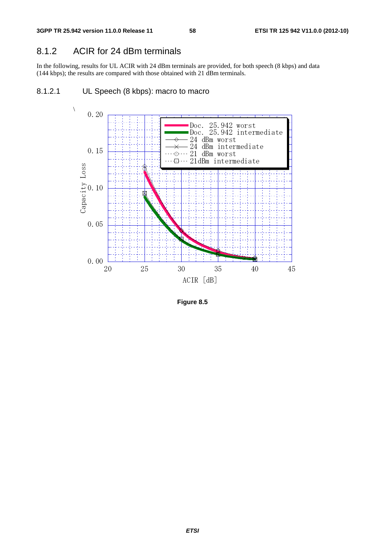# 8.1.2 ACIR for 24 dBm terminals

In the following, results for UL ACIR with 24 dBm terminals are provided, for both speech (8 kbps) and data (144 kbps); the results are compared with those obtained with 21 dBm terminals.

### 8.1.2.1 UL Speech (8 kbps): macro to macro



**Figure 8.5**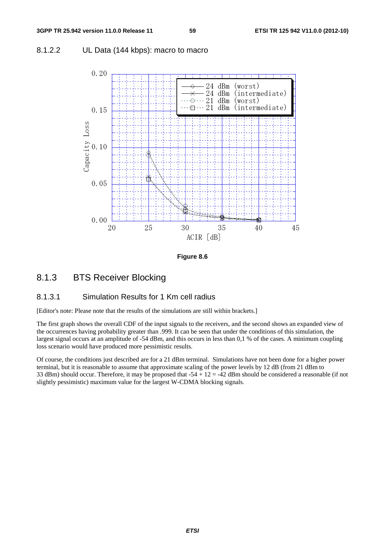### 8.1.2.2 UL Data (144 kbps): macro to macro



**Figure 8.6** 

### 8.1.3 BTS Receiver Blocking

### 8.1.3.1 Simulation Results for 1 Km cell radius

[Editor's note: Please note that the results of the simulations are still within brackets.]

The first graph shows the overall CDF of the input signals to the receivers, and the second shows an expanded view of the occurrences having probability greater than .999. It can be seen that under the conditions of this simulation, the largest signal occurs at an amplitude of -54 dBm, and this occurs in less than 0,1 % of the cases. A minimum coupling loss scenario would have produced more pessimistic results.

Of course, the conditions just described are for a 21 dBm terminal. Simulations have not been done for a higher power terminal, but it is reasonable to assume that approximate scaling of the power levels by 12 dB (from 21 dBm to 33 dBm) should occur. Therefore, it may be proposed that  $-54 + 12 = -42$  dBm should be considered a reasonable (if not slightly pessimistic) maximum value for the largest W-CDMA blocking signals.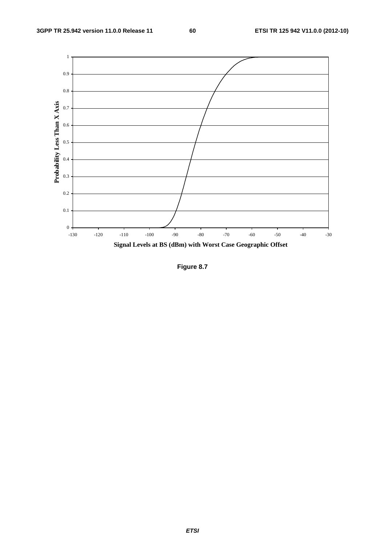

**Figure 8.7**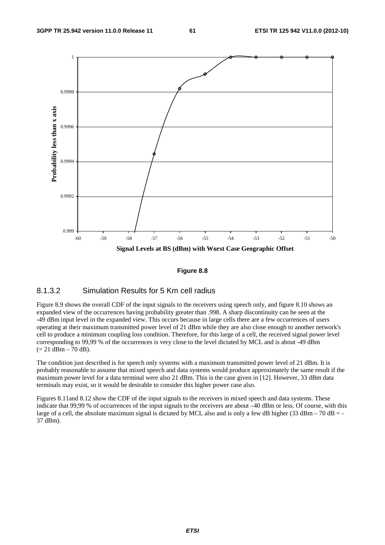

#### **Figure 8.8**

### 8.1.3.2 Simulation Results for 5 Km cell radius

Figure 8.9 shows the overall CDF of the input signals to the receivers using speech only, and figure 8.10 shows an expanded view of the occurrences having probability greater than .998. A sharp discontinuity can be seen at the -49 dBm input level in the expanded view. This occurs because in large cells there are a few occurrences of users operating at their maximum transmitted power level of 21 dBm while they are also close enough to another network's cell to produce a minimum coupling loss condition. Therefore, for this large of a cell, the received signal power level corresponding to 99,99 % of the occurrences is very close to the level dictated by MCL and is about -49 dBm  $(= 21$  dBm  $- 70$  dB).

The condition just described is for speech only systems with a maximum transmitted power level of 21 dBm. It is probably reasonable to assume that mixed speech and data systems would produce approximately the same result if the maximum power level for a data terminal were also 21 dBm. This is the case given in [12]. However, 33 dBm data terminals may exist, so it would be desirable to consider this higher power case also.

Figures 8.11and 8.12 show the CDF of the input signals to the receivers in mixed speech and data systems. These indicate that 99,99 % of occurrences of the input signals to the receivers are about –40 dBm or less. Of course, with this large of a cell, the absolute maximum signal is dictated by MCL also and is only a few dB higher (33 dBm – 70 dB = -37 dBm).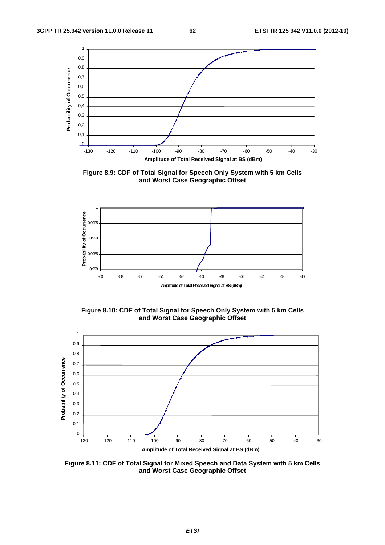

**Figure 8.9: CDF of Total Signal for Speech Only System with 5 km Cells and Worst Case Geographic Offset** 



**Figure 8.10: CDF of Total Signal for Speech Only System with 5 km Cells and Worst Case Geographic Offset** 



**Figure 8.11: CDF of Total Signal for Mixed Speech and Data System with 5 km Cells and Worst Case Geographic Offset**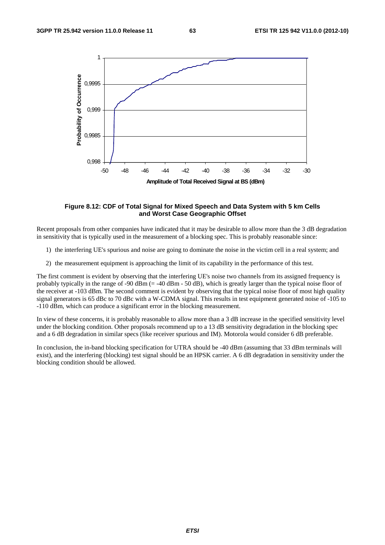

#### **Figure 8.12: CDF of Total Signal for Mixed Speech and Data System with 5 km Cells and Worst Case Geographic Offset**

Recent proposals from other companies have indicated that it may be desirable to allow more than the 3 dB degradation in sensitivity that is typically used in the measurement of a blocking spec. This is probably reasonable since:

- 1) the interfering UE's spurious and noise are going to dominate the noise in the victim cell in a real system; and
- 2) the measurement equipment is approaching the limit of its capability in the performance of this test.

The first comment is evident by observing that the interfering UE's noise two channels from its assigned frequency is probably typically in the range of -90 dBm  $(= -40$  dBm - 50 dB), which is greatly larger than the typical noise floor of the receiver at -103 dBm. The second comment is evident by observing that the typical noise floor of most high quality signal generators is 65 dBc to 70 dBc with a W-CDMA signal. This results in test equipment generated noise of -105 to -110 dBm, which can produce a significant error in the blocking measurement.

In view of these concerns, it is probably reasonable to allow more than a 3 dB increase in the specified sensitivity level under the blocking condition. Other proposals recommend up to a 13 dB sensitivity degradation in the blocking spec and a 6 dB degradation in similar specs (like receiver spurious and IM). Motorola would consider 6 dB preferable.

In conclusion, the in-band blocking specification for UTRA should be -40 dBm (assuming that 33 dBm terminals will exist), and the interfering (blocking) test signal should be an HPSK carrier. A 6 dB degradation in sensitivity under the blocking condition should be allowed.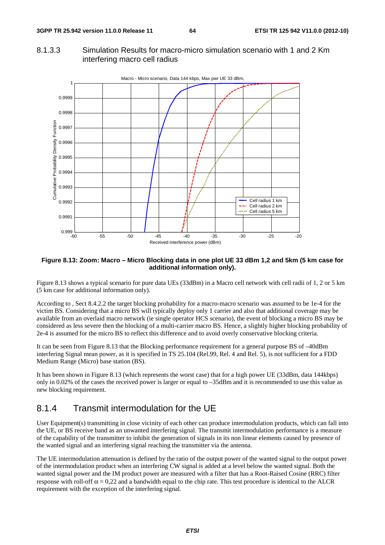### 8.1.3.3 Simulation Results for macro-micro simulation scenario with 1 and 2 Km interfering macro cell radius



#### **Figure 8.13: Zoom: Macro – Micro Blocking data in one plot UE 33 dBm 1,2 and 5km (5 km case for additional information only).**

Figure 8.13 shows a typical scenario for pure data UEs (33dBm) in a Macro cell network with cell radii of 1, 2 or 5 km (5 km case for additional information only).

According to , Sect 8.4.2.2 the target blocking probability for a macro-macro scenario was assumed to be 1e-4 for the victim BS. Considering that a micro BS will typically deploy only 1 carrier and also that additional coverage may be available from an overlaid macro network (ie single operator HCS scenario), the event of blocking a micro BS may be considered as less severe then the blocking of a multi-carrier macro BS. Hence, a slightly higher blocking probability of 2e-4 is assumed for the micro BS to reflect this difference and to avoid overly conservative blocking criteria.

It can be seen from Figure 8.13 that the Blocking performance requirement for a general purpose BS of –40dBm interfering Signal mean power, as it is specified in TS 25.104 (Rel.99, Rel. 4 and Rel. 5), is not sufficient for a FDD Medium Range (Micro) base station (BS).

It has been shown in Figure 8.13 (which represents the worst case) that for a high power UE (33dBm, data 144kbps) only in 0.02% of the cases the received power is larger or equal to –35dBm and it is recommended to use this value as new blocking requirement.

### 8.1.4 Transmit intermodulation for the UE

User Equipment(s) transmitting in close vicinity of each other can produce intermodulation products, which can fall into the UE, or BS receive band as an unwanted interfering signal. The transmit intermodulation performance is a measure of the capability of the transmitter to inhibit the generation of signals in its non linear elements caused by presence of the wanted signal and an interfering signal reaching the transmitter via the antenna.

The UE intermodulation attenuation is defined by the ratio of the output power of the wanted signal to the output power of the intermodulation product when an interfering CW signal is added at a level below the wanted signal. Both the wanted signal power and the IM product power are measured with a filter that has a Root-Raised Cosine (RRC) filter response with roll-off  $\alpha = 0.22$  and a bandwidth equal to the chip rate. This test procedure is identical to the ALCR requirement with the exception of the interfering signal.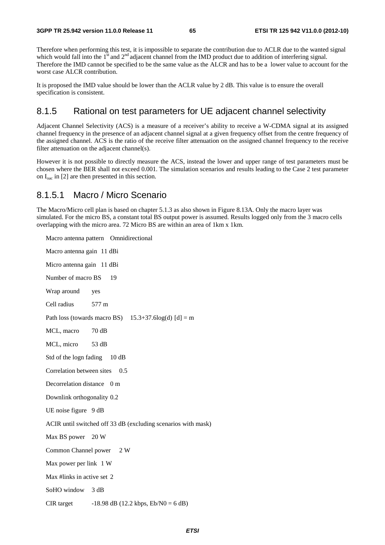Therefore when performing this test, it is impossible to separate the contribution due to ACLR due to the wanted signal which would fall into the  $1<sup>st</sup>$  and  $2<sup>nd</sup>$  adjacent channel from the IMD product due to addition of interfering signal. Therefore the IMD cannot be specified to be the same value as the ALCR and has to be a lower value to account for the worst case ALCR contribution.

It is proposed the IMD value should be lower than the ACLR value by 2 dB. This value is to ensure the overall specification is consistent.

### 8.1.5 Rational on test parameters for UE adjacent channel selectivity

Adjacent Channel Selectivity (ACS) is a measure of a receiver's ability to receive a W-CDMA signal at its assigned channel frequency in the presence of an adjacent channel signal at a given frequency offset from the centre frequency of the assigned channel. ACS is the ratio of the receive filter attenuation on the assigned channel frequency to the receive filter attenuation on the adjacent channel(s).

However it is not possible to directly measure the ACS, instead the lower and upper range of test parameters must be chosen where the BER shall not exceed 0.001. The simulation scenarios and results leading to the Case 2 test parameter on  $I_{\text{oac}}$  in [2] are then presented in this section.

### 8.1.5.1 Macro / Micro Scenario

The Macro/Micro cell plan is based on chapter 5.1.3 as also shown in Figure 8.13A. Only the macro layer was simulated. For the micro BS, a constant total BS output power is assumed. Results logged only from the 3 macro cells overlapping with the micro area. 72 Micro BS are within an area of 1km x 1km.

Macro antenna pattern Omnidirectional Macro antenna gain 11 dBi Micro antenna gain 11 dBi Number of macro BS 19 Wrap around yes Cell radius 577 m Path loss (towards macro BS)  $15.3+37.6\log(d)$  [d] = m MCL, macro 70 dB MCL, micro 53 dB Std of the logn fading 10 dB Correlation between sites 0.5 Decorrelation distance 0 m Downlink orthogonality 0.2 UE noise figure 9 dB ACIR until switched off 33 dB (excluding scenarios with mask) Max BS power 20 W Common Channel power 2 W Max power per link 1 W Max #links in active set 2 SoHO window 3 dB CIR target  $-18.98$  dB (12.2 kbps, Eb/N0 = 6 dB)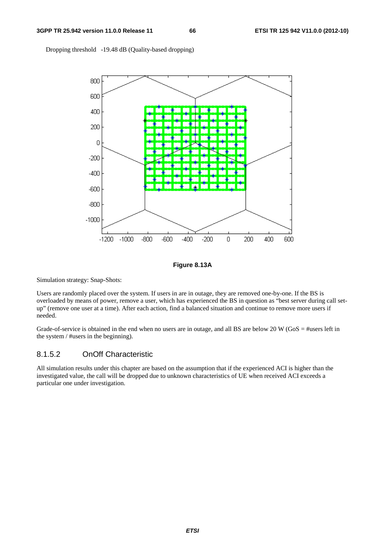Dropping threshold -19.48 dB (Quality-based dropping)



**Figure 8.13A** 

Simulation strategy: Snap-Shots:

Users are randomly placed over the system. If users in are in outage, they are removed one-by-one. If the BS is overloaded by means of power, remove a user, which has experienced the BS in question as "best server during call setup" (remove one user at a time). After each action, find a balanced situation and continue to remove more users if needed.

Grade-of-service is obtained in the end when no users are in outage, and all BS are below 20 W (GoS = #users left in the system / #users in the beginning).

### 8.1.5.2 OnOff Characteristic

All simulation results under this chapter are based on the assumption that if the experienced ACI is higher than the investigated value, the call will be dropped due to unknown characteristics of UE when received ACI exceeds a particular one under investigation.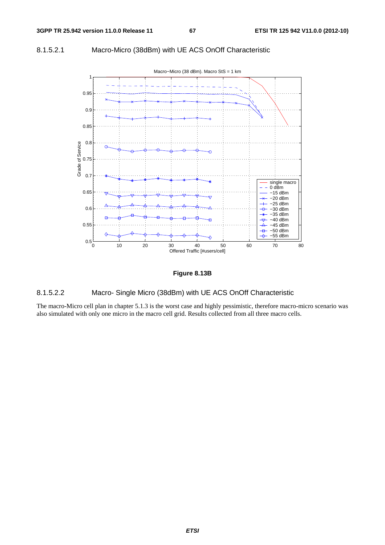### 8.1.5.2.1 Macro-Micro (38dBm) with UE ACS OnOff Characteristic





### 8.1.5.2.2 Macro- Single Micro (38dBm) with UE ACS OnOff Characteristic

The macro-Micro cell plan in chapter 5.1.3 is the worst case and highly pessimistic, therefore macro-micro scenario was also simulated with only one micro in the macro cell grid. Results collected from all three macro cells.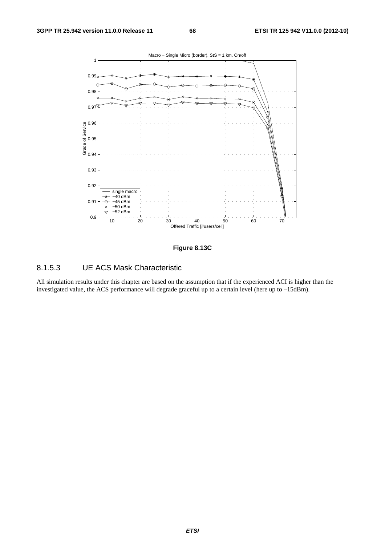



### 8.1.5.3 UE ACS Mask Characteristic

All simulation results under this chapter are based on the assumption that if the experienced ACI is higher than the investigated value, the ACS performance will degrade graceful up to a certain level (here up to –15dBm).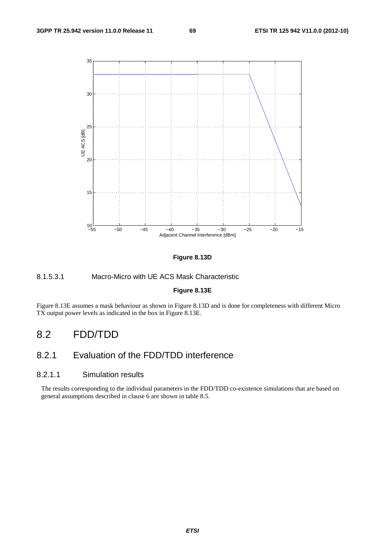

#### **Figure 8.13D**

### 8.1.5.3.1 Macro-Micro with UE ACS Mask Characteristic

### **Figure 8.13E**

Figure 8.13E assumes a mask behaviour as shown in Figure 8.13D and is done for completeness with different Micro TX output power levels as indicated in the box in Figure 8.13E.

# 8.2 FDD/TDD

# 8.2.1 Evaluation of the FDD/TDD interference

### 8.2.1.1 Simulation results

The results corresponding to the individual parameters in the FDD/TDD co-existence simulations that are based on general assumptions described in clause 6 are shown in table 8.5.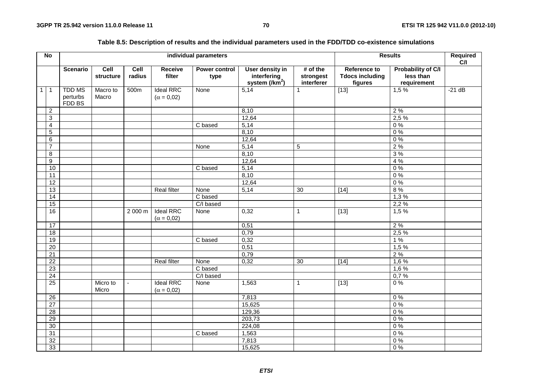|              | $\overline{N}$          |                                     |                   |                |                                       | individual parameters        |                                                          |                                       |                                                   | <b>Results</b>                                        | Required<br>C/I |
|--------------|-------------------------|-------------------------------------|-------------------|----------------|---------------------------------------|------------------------------|----------------------------------------------------------|---------------------------------------|---------------------------------------------------|-------------------------------------------------------|-----------------|
|              |                         | <b>Scenario</b>                     | Cell<br>structure | Cell<br>radius | <b>Receive</b><br>filter              | <b>Power control</b><br>type | User density in<br>interfering<br>system $\frac{1}{m^2}$ | $#$ of the<br>strongest<br>interferer | Reference to<br><b>Tdocs including</b><br>figures | <b>Probability of C/I</b><br>less than<br>requirement |                 |
| $\mathbf{1}$ | $\overline{1}$          | <b>TDD MS</b><br>perturbs<br>FDD BS | Macro to<br>Macro | 500m           | <b>Ideal RRC</b><br>$(\alpha = 0.02)$ | None                         | 5,14                                                     | 1                                     | $\boxed{13}$                                      | 1,5%                                                  | $-21 dB$        |
|              | $\overline{2}$          |                                     |                   |                |                                       |                              | 8,10                                                     |                                       |                                                   | 2%                                                    |                 |
|              | 3                       |                                     |                   |                |                                       |                              | 12,64                                                    |                                       |                                                   | 2,5%                                                  |                 |
|              | $\overline{\mathbf{4}}$ |                                     |                   |                |                                       | C based                      | 5,14                                                     |                                       |                                                   | 0%                                                    |                 |
|              | $\sqrt{5}$              |                                     |                   |                |                                       |                              | 8,10                                                     |                                       |                                                   | 0%                                                    |                 |
|              | $\overline{6}$          |                                     |                   |                |                                       |                              | 12,64                                                    |                                       |                                                   | 0%                                                    |                 |
|              | $\overline{7}$          |                                     |                   |                |                                       | None                         | 5,14                                                     | 5                                     |                                                   | 2%                                                    |                 |
|              | $\overline{8}$          |                                     |                   |                |                                       |                              | 8,10                                                     |                                       |                                                   | 3%                                                    |                 |
|              | $\overline{9}$          |                                     |                   |                |                                       |                              | 12,64                                                    |                                       |                                                   | 4 %                                                   |                 |
|              | 10                      |                                     |                   |                |                                       | C based                      | 5,14                                                     |                                       |                                                   | 0%                                                    |                 |
|              | $\overline{11}$         |                                     |                   |                |                                       |                              | 8,10                                                     |                                       |                                                   | 0%                                                    |                 |
|              | 12                      |                                     |                   |                |                                       |                              | 12,64                                                    |                                       |                                                   | $0\%$                                                 |                 |
|              | $\overline{13}$         |                                     |                   |                | <b>Real filter</b>                    | None                         | 5,14                                                     | 30                                    | $[14]$                                            | 8%                                                    |                 |
|              | 14                      |                                     |                   |                |                                       | C based                      |                                                          |                                       |                                                   | 1,3%                                                  |                 |
|              | 15                      |                                     |                   |                |                                       | $\overline{C/I}$ based       |                                                          |                                       |                                                   | 2,2%                                                  |                 |
|              | 16                      |                                     |                   | 2000 m         | <b>Ideal RRC</b><br>$(\alpha = 0.02)$ | None                         | 0,32                                                     | $\mathbf{1}$                          | $[13]$                                            | 1,5%                                                  |                 |
|              | 17                      |                                     |                   |                |                                       |                              | 0,51                                                     |                                       |                                                   | 2%                                                    |                 |
|              | 18                      |                                     |                   |                |                                       |                              | 0,79                                                     |                                       |                                                   | 2,5%                                                  |                 |
|              | 19                      |                                     |                   |                |                                       | C based                      | 0,32                                                     |                                       |                                                   | 1%                                                    |                 |
|              | 20                      |                                     |                   |                |                                       |                              | 0,51                                                     |                                       |                                                   | 1,5%                                                  |                 |
|              | $\overline{21}$         |                                     |                   |                |                                       |                              | 0,79                                                     |                                       |                                                   | 2%                                                    |                 |
|              | $\overline{22}$         |                                     |                   |                | <b>Real filter</b>                    | None                         | 0,32                                                     | 30                                    | $\boxed{14}$                                      | 1,6%                                                  |                 |
|              | 23                      |                                     |                   |                |                                       | C based                      |                                                          |                                       |                                                   | 1,6%                                                  |                 |
|              | 24                      |                                     |                   |                |                                       | $\overline{C/I}$ based       |                                                          |                                       |                                                   | 0,7%                                                  |                 |
|              | 25                      |                                     | Micro to<br>Micro | $\blacksquare$ | <b>Ideal RRC</b><br>$(\alpha = 0.02)$ | None                         | 1,563                                                    | $\mathbf{1}$                          | $[13]$                                            | $0\%$                                                 |                 |
|              | $\overline{26}$         |                                     |                   |                |                                       |                              | 7,813                                                    |                                       |                                                   | 0%                                                    |                 |
|              | $\overline{27}$         |                                     |                   |                |                                       |                              | 15,625                                                   |                                       |                                                   | 0%                                                    |                 |
|              | 28                      |                                     |                   |                |                                       |                              | 129,36                                                   |                                       |                                                   | 0%                                                    |                 |
|              | 29                      |                                     |                   |                |                                       |                              | 203,73                                                   |                                       |                                                   | 0%                                                    |                 |
|              | 30                      |                                     |                   |                |                                       |                              | 224,08                                                   |                                       |                                                   | 0%                                                    |                 |
|              | 31                      |                                     |                   |                |                                       | C based                      | 1,563                                                    |                                       |                                                   | 0%                                                    |                 |
|              | 32                      |                                     |                   |                |                                       |                              | 7,813                                                    |                                       |                                                   | 0%                                                    |                 |
|              | 33                      |                                     |                   |                |                                       |                              | 15,625                                                   |                                       |                                                   | 0%                                                    |                 |

### **Table 8.5: Description of results and the individual parameters used in the FDD/TDD co-existence simulations**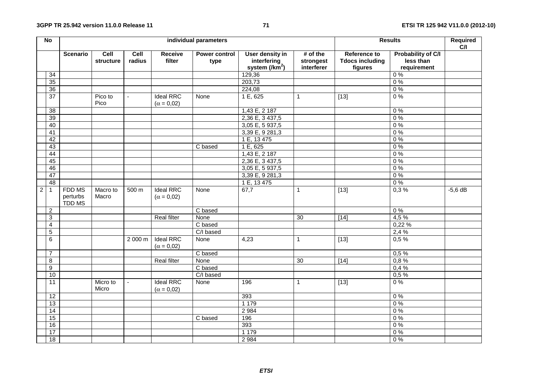|                | $\overline{N}$   | individual parameters               |                                 |                |                                       |                              |                                                   | <b>Results</b>                        | Required<br>C/I                                   |                                                       |           |
|----------------|------------------|-------------------------------------|---------------------------------|----------------|---------------------------------------|------------------------------|---------------------------------------------------|---------------------------------------|---------------------------------------------------|-------------------------------------------------------|-----------|
|                |                  | <b>Scenario</b>                     | Cell<br>structure               | Cell<br>radius | Receive<br>filter                     | <b>Power control</b><br>type | User density in<br>interfering<br>system $(Nm^2)$ | $#$ of the<br>strongest<br>interferer | Reference to<br><b>Tdocs including</b><br>figures | <b>Probability of C/I</b><br>less than<br>requirement |           |
|                | $\overline{34}$  |                                     |                                 |                |                                       |                              | 129,36                                            |                                       |                                                   | $\overline{0\%}$                                      |           |
|                | 35               |                                     |                                 |                |                                       |                              | 203,73                                            |                                       |                                                   | 0%                                                    |           |
|                | $\overline{36}$  |                                     |                                 |                |                                       |                              | 224,08                                            |                                       |                                                   | 0%                                                    |           |
|                | 37               |                                     | Pico to<br>Pico                 | $\overline{a}$ | <b>Ideal RRC</b>                      | None                         | 1 E, 625                                          | 1                                     | $[13]$                                            | $0\%$                                                 |           |
|                |                  |                                     |                                 |                | $(\alpha = 0.02)$                     |                              |                                                   |                                       |                                                   |                                                       |           |
|                | 38               |                                     |                                 |                |                                       |                              | 1,43 E, 2 187                                     |                                       |                                                   | $0\%$                                                 |           |
|                | 39               |                                     |                                 |                |                                       |                              | 2,36 E, 3 437,5                                   |                                       |                                                   | $0\%$                                                 |           |
|                | 40               |                                     |                                 |                |                                       |                              | $3,05 \overline{E}$ , 5 937,5                     |                                       |                                                   | 0%                                                    |           |
|                | $\overline{41}$  |                                     |                                 |                |                                       |                              | 3,39 E, 9 281,3                                   |                                       |                                                   | 0%                                                    |           |
|                | 42               |                                     |                                 |                |                                       |                              | 1 E, 13 475                                       |                                       |                                                   | 0%                                                    |           |
|                | 43               |                                     |                                 |                |                                       | $\overline{C}$ based         | 1 E, 625                                          |                                       |                                                   | 0%                                                    |           |
|                | 44               |                                     |                                 |                |                                       |                              | 1,43 E, 2 187                                     |                                       |                                                   | 0%                                                    |           |
|                | 45               |                                     |                                 |                |                                       |                              | 2,36 E, 3 437,5                                   |                                       |                                                   | $0\%$                                                 |           |
|                | 46               |                                     |                                 |                |                                       |                              | 3,05 E, 5 937,5                                   |                                       |                                                   | $0\%$                                                 |           |
|                | 47               |                                     |                                 |                |                                       |                              | 3,39 E, 9 281,3                                   |                                       |                                                   | 0%                                                    |           |
|                | 48               |                                     |                                 |                |                                       |                              | 1 E, 13 475                                       |                                       |                                                   | $0\%$                                                 |           |
| $\overline{c}$ | $\overline{1}$   | FDD MS<br>perturbs<br><b>TDD MS</b> | Macro to<br>Macro               | 500 m          | <b>Ideal RRC</b><br>$(\alpha = 0.02)$ | None                         | 67,7                                              | $\mathbf{1}$                          | $\boxed{13}$                                      | 0,3%                                                  | $-5,6$ dB |
|                | $\overline{2}$   |                                     |                                 |                |                                       | C based                      |                                                   |                                       |                                                   | $0\%$                                                 |           |
|                | $\sqrt{3}$       |                                     |                                 |                | <b>Real filter</b>                    | None                         |                                                   | 30                                    | $[14]$                                            | 4,5%                                                  |           |
|                | $\overline{4}$   |                                     |                                 |                |                                       | C based                      |                                                   |                                       |                                                   | 0,22 %                                                |           |
|                | $\sqrt{5}$       |                                     |                                 |                |                                       | $\overline{C/I}$ based       |                                                   |                                       |                                                   | 2,4%                                                  |           |
|                | $\,6\,$          |                                     |                                 | 2 000 m        | <b>Ideal RRC</b><br>$(\alpha = 0.02)$ | None                         | 4,23                                              | $\mathbf{1}$                          | $[13]$                                            | 0,5%                                                  |           |
|                | $\overline{7}$   |                                     |                                 |                |                                       | C based                      |                                                   |                                       |                                                   | 0,5%                                                  |           |
|                | 8                |                                     |                                 |                | <b>Real filter</b>                    | None                         |                                                   | 30                                    | $[14]$                                            | 0,8%                                                  |           |
|                | $\boldsymbol{9}$ |                                     |                                 |                |                                       | C based                      |                                                   |                                       |                                                   | 0,4%                                                  |           |
|                | 10               |                                     |                                 |                |                                       | C/I based                    |                                                   |                                       |                                                   | 0,5%                                                  |           |
|                | 11               |                                     | $\overline{M}$ icro to<br>Micro | $\blacksquare$ | <b>Ideal RRC</b><br>$(\alpha = 0.02)$ | None                         | 196                                               | $\mathbf{1}$                          | $[13]$                                            | 0%                                                    |           |
|                | 12               |                                     |                                 |                |                                       |                              | 393                                               |                                       |                                                   | $0\ \%$                                               |           |
|                | $\overline{13}$  |                                     |                                 |                |                                       |                              | 1 1 7 9                                           |                                       |                                                   | 0%                                                    |           |
|                | 14               |                                     |                                 |                |                                       |                              | 2 9 8 4                                           |                                       |                                                   | $0\ \%$                                               |           |
|                | 15               |                                     |                                 |                |                                       | C based                      | 196                                               |                                       |                                                   | $0\%$                                                 |           |
|                | 16               |                                     |                                 |                |                                       |                              | 393                                               |                                       |                                                   | 0%                                                    |           |
|                | $\overline{17}$  |                                     |                                 |                |                                       |                              | 1 1 7 9                                           |                                       |                                                   | 0%                                                    |           |
|                | $\overline{18}$  |                                     |                                 |                |                                       |                              | 2 9 8 4                                           |                                       |                                                   | $0\%$                                                 |           |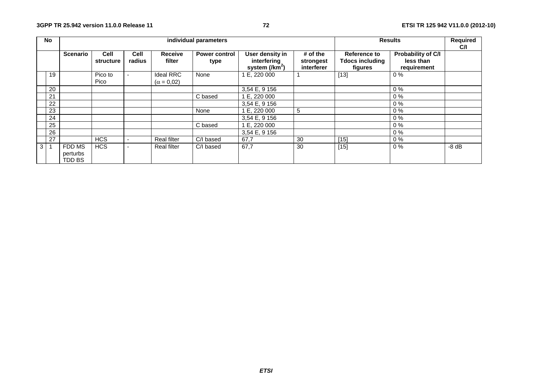|   | No  |                                     |                          |                | individual parameters                 |                              |                                                    | <b>Results</b>                        |                                                          |                                                |         |
|---|-----|-------------------------------------|--------------------------|----------------|---------------------------------------|------------------------------|----------------------------------------------------|---------------------------------------|----------------------------------------------------------|------------------------------------------------|---------|
|   |     | <b>Scenario</b>                     | <b>Cell</b><br>structure | Cell<br>radius | Receive<br>filter                     | <b>Power control</b><br>type | User density in<br>interfering<br>system $(lkm^2)$ | $#$ of the<br>strongest<br>interferer | <b>Reference to</b><br><b>Tdocs including</b><br>figures | Probability of C/I<br>less than<br>requirement |         |
|   | 19  |                                     | Pico to<br>Pico          |                | <b>Ideal RRC</b><br>$(\alpha = 0.02)$ | None                         | 1 E. 220 000                                       |                                       | $[13]$                                                   | $0\%$                                          |         |
|   | 20  |                                     |                          |                |                                       |                              | 3,54 E, 9 156                                      |                                       |                                                          | $0\%$                                          |         |
|   | 21  |                                     |                          |                |                                       | C based                      | 1 E, 220 000                                       |                                       |                                                          | $0\%$                                          |         |
|   | 22  |                                     |                          |                |                                       |                              | 3,54 E, 9 156                                      |                                       |                                                          | $0\%$                                          |         |
|   | 23  |                                     |                          |                |                                       | None                         | 1 E, 220 000                                       | 5                                     |                                                          | $0\%$                                          |         |
|   | 24  |                                     |                          |                |                                       |                              | 3,54 E, 9 156                                      |                                       |                                                          | $0\%$                                          |         |
|   | 25  |                                     |                          |                |                                       | C based                      | 1 E, 220 000                                       |                                       |                                                          | $0\%$                                          |         |
|   | 26  |                                     |                          |                |                                       |                              | 3,54 E, 9 156                                      |                                       |                                                          | $0\%$                                          |         |
|   | 27  |                                     | <b>HCS</b>               |                | <b>Real filter</b>                    | C/I based                    | 67,7                                               | 30                                    | $[15]$                                                   | $0\%$                                          |         |
| 3 | - 1 | FDD MS<br>perturbs<br><b>TDD BS</b> | <b>HCS</b>               |                | Real filter                           | C/I based                    | 67,7                                               | 30                                    | $[15]$                                                   | $0\%$                                          | $-8$ dB |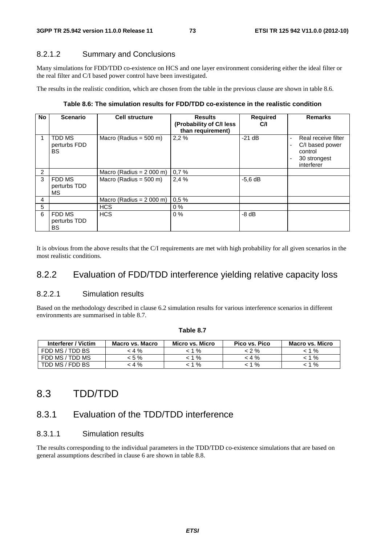#### 8.2.1.2 Summary and Conclusions

Many simulations for FDD/TDD co-existence on HCS and one layer environment considering either the ideal filter or the real filter and C/I based power control have been investigated.

The results in the realistic condition, which are chosen from the table in the previous clause are shown in table 8.6.

#### **Table 8.6: The simulation results for FDD/TDD co-existence in the realistic condition**

| No             | <b>Scenario</b>                     | <b>Cell structure</b>     | <b>Results</b><br>(Probability of C/I less<br>than requirement) | <b>Required</b><br>C/I | <b>Remarks</b>                                                                       |
|----------------|-------------------------------------|---------------------------|-----------------------------------------------------------------|------------------------|--------------------------------------------------------------------------------------|
|                | TDD MS<br>perturbs FDD<br><b>BS</b> | Macro (Radius = $500$ m)  | 2,2%                                                            | $-21$ dB               | Real receive filter<br>C/I based power<br>۰<br>control<br>30 strongest<br>interferer |
| $\overline{c}$ |                                     | Macro (Radius = $2000$ m) | 0.7%                                                            |                        |                                                                                      |
| 3              | FDD MS<br>perturbs TDD<br><b>MS</b> | Macro (Radius = $500$ m)  | 2,4%                                                            | $-5.6$ dB              |                                                                                      |
| 4              |                                     | Macro (Radius = $2000$ m) | 0,5%                                                            |                        |                                                                                      |
| 5              |                                     | <b>HCS</b>                | $0\%$                                                           |                        |                                                                                      |
| 6              | FDD MS<br>perturbs TDD<br><b>BS</b> | <b>HCS</b>                | $0\%$                                                           | $-8$ dB                |                                                                                      |

It is obvious from the above results that the C/I requirements are met with high probability for all given scenarios in the most realistic conditions.

### 8.2.2 Evaluation of FDD/TDD interference yielding relative capacity loss

#### 8.2.2.1 Simulation results

Based on the methodology described in clause 6.2 simulation results for various interference scenarios in different environments are summarised in table 8.7.

| Interferer / Victim | <b>Macro vs. Macro</b> | Micro vs. Micro | Pico vs. Pico | <b>Macro vs. Micro</b> |
|---------------------|------------------------|-----------------|---------------|------------------------|
| FDD MS / TDD BS     | < 4 %                  | %               | < 2 %         | 1 %                    |
| FDD MS / TDD MS     | < 5 %                  | %               | < 4 %         | 1 %                    |
| TDD MS / FDD BS     | : 4 %                  | %               | %             | $\%$                   |

**Table 8.7** 

## 8.3 TDD/TDD

## 8.3.1 Evaluation of the TDD/TDD interference

#### 8.3.1.1 Simulation results

The results corresponding to the individual parameters in the TDD/TDD co-existence simulations that are based on general assumptions described in clause 6 are shown in table 8.8.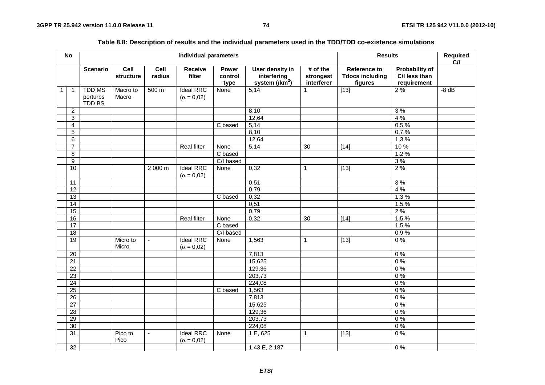|              | $\overline{N}$  |                                            |                   |                          | individual parameters                 |                                 |                                                              |                                       | <b>Results</b>                                           |                                                       | Required<br>C/I |
|--------------|-----------------|--------------------------------------------|-------------------|--------------------------|---------------------------------------|---------------------------------|--------------------------------------------------------------|---------------------------------------|----------------------------------------------------------|-------------------------------------------------------|-----------------|
|              |                 | <b>Scenario</b>                            | Cell<br>structure | Cell<br>radius           | Receive<br>filter                     | <b>Power</b><br>control<br>type | User density in<br>interfering<br>system (/km <sup>2</sup> ) | $#$ of the<br>strongest<br>interferer | <b>Reference to</b><br><b>Tdocs including</b><br>figures | <b>Probability of</b><br>C/I less than<br>requirement |                 |
| $\mathbf{1}$ | $\mathbf{1}$    | <b>TDD MS</b><br>perturbs<br><b>TDD BS</b> | Macro to<br>Macro | 500 m                    | <b>Ideal RRC</b><br>$(\alpha = 0.02)$ | None                            | 5,14                                                         | 1                                     | $\boxed{13}$                                             | 2%                                                    | $-8$ dB         |
|              | $\overline{c}$  |                                            |                   |                          |                                       |                                 | 8,10                                                         |                                       |                                                          | 3%                                                    |                 |
|              | 3               |                                            |                   |                          |                                       |                                 | 12,64                                                        |                                       |                                                          | 4 %                                                   |                 |
|              | 4               |                                            |                   |                          |                                       | $\overline{C}$ based            | 5,14                                                         |                                       |                                                          | 0,5%                                                  |                 |
|              | 5               |                                            |                   |                          |                                       |                                 | 8,10                                                         |                                       |                                                          | 0,7%                                                  |                 |
|              | $\overline{6}$  |                                            |                   |                          |                                       |                                 | 12,64                                                        |                                       |                                                          | 1,3%                                                  |                 |
|              | $\overline{7}$  |                                            |                   |                          | <b>Real filter</b>                    | None                            | $\overline{5,14}$                                            | 30                                    | $[14]$                                                   | 10 %                                                  |                 |
|              | 8               |                                            |                   |                          |                                       | C based                         |                                                              |                                       |                                                          | 1,2%                                                  |                 |
|              | 9               |                                            |                   |                          |                                       | C/I based                       |                                                              |                                       |                                                          | 3%                                                    |                 |
|              | 10              |                                            |                   | 2 000 m                  | <b>Ideal RRC</b><br>$(\alpha = 0.02)$ | None                            | 0,32                                                         | $\mathbf{1}$                          | $[13]$                                                   | 2%                                                    |                 |
|              | 11              |                                            |                   |                          |                                       |                                 | 0,51                                                         |                                       |                                                          | 3%                                                    |                 |
|              | $\overline{12}$ |                                            |                   |                          |                                       |                                 | 0,79                                                         |                                       |                                                          | 4 %                                                   |                 |
|              | 13              |                                            |                   |                          |                                       | C based                         | 0,32                                                         |                                       |                                                          | 1,3%                                                  |                 |
|              | 14              |                                            |                   |                          |                                       |                                 | 0,51                                                         |                                       |                                                          | 1,5%                                                  |                 |
|              | 15              |                                            |                   |                          |                                       |                                 | 0,79                                                         |                                       |                                                          | 2%                                                    |                 |
|              | $\overline{16}$ |                                            |                   |                          | <b>Real filter</b>                    | None                            | 0,32                                                         | $\overline{30}$                       | $\boxed{14}$                                             | 1,5%                                                  |                 |
|              | $\overline{17}$ |                                            |                   |                          |                                       | C based                         |                                                              |                                       |                                                          | 1,5 %                                                 |                 |
|              | 18              |                                            |                   |                          |                                       | C/I based                       |                                                              |                                       |                                                          | 0,9%                                                  |                 |
|              | $\overline{19}$ |                                            | Micro to<br>Micro | $\blacksquare$           | <b>Ideal RRC</b><br>$(\alpha = 0.02)$ | None                            | 1,563                                                        | $\mathbf{1}$                          | $[13]$                                                   | 0%                                                    |                 |
|              | 20              |                                            |                   |                          |                                       |                                 | 7,813                                                        |                                       |                                                          | 0%                                                    |                 |
|              | $\overline{21}$ |                                            |                   |                          |                                       |                                 | 15,625                                                       |                                       |                                                          | 0%                                                    |                 |
|              | $\overline{22}$ |                                            |                   |                          |                                       |                                 | 129,36                                                       |                                       |                                                          | 0%                                                    |                 |
|              | $\overline{23}$ |                                            |                   |                          |                                       |                                 | 203,73                                                       |                                       |                                                          | 0%                                                    |                 |
|              | $\overline{24}$ |                                            |                   |                          |                                       |                                 | 224,08                                                       |                                       |                                                          | 0%                                                    |                 |
|              | 25              |                                            |                   |                          |                                       | C based                         | 1,563                                                        |                                       |                                                          | 0%                                                    |                 |
|              | $\overline{26}$ |                                            |                   |                          |                                       |                                 | 7,813                                                        |                                       |                                                          | 0%                                                    |                 |
|              | $\overline{27}$ |                                            |                   |                          |                                       |                                 | 15,625                                                       |                                       |                                                          | 0%                                                    |                 |
|              | $\overline{28}$ |                                            |                   |                          |                                       |                                 | 129,36                                                       |                                       |                                                          | 0%                                                    |                 |
|              | 29              |                                            |                   |                          |                                       |                                 | 203,73                                                       |                                       |                                                          | 0%                                                    |                 |
|              | 30              |                                            |                   |                          |                                       |                                 | 224,08                                                       |                                       |                                                          | 0%                                                    |                 |
|              | $\overline{31}$ |                                            | Pico to<br>Pico   | $\overline{\phantom{a}}$ | <b>Ideal RRC</b><br>$(\alpha = 0.02)$ | None                            | 1 E, 625                                                     | 1                                     | $[13]$                                                   | 0%                                                    |                 |
|              | $\overline{32}$ |                                            |                   |                          |                                       |                                 | 1,43 E, 2 187                                                |                                       |                                                          | 0%                                                    |                 |

#### **Table 8.8: Description of results and the individual parameters used in the TDD/TDD co-existence simulations**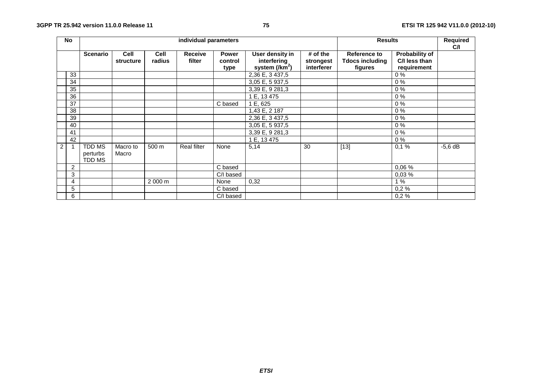|   | No             |                                            |                   |                |                    |                          | individual parameters                              |                                     | <b>Results</b>                                    |                                                | Required<br>C/I |
|---|----------------|--------------------------------------------|-------------------|----------------|--------------------|--------------------------|----------------------------------------------------|-------------------------------------|---------------------------------------------------|------------------------------------------------|-----------------|
|   |                | <b>Scenario</b>                            | Cell<br>structure | Cell<br>radius | Receive<br>filter  | Power<br>control<br>type | User density in<br>interfering<br>system $(lkm^2)$ | # of the<br>strongest<br>interferer | Reference to<br><b>Tdocs including</b><br>figures | Probability of<br>C/I less than<br>requirement |                 |
|   | 33             |                                            |                   |                |                    |                          | 2,36 E, 3 437,5                                    |                                     |                                                   | $0\%$                                          |                 |
|   | 34             |                                            |                   |                |                    |                          | 3,05 E, 5 937,5                                    |                                     |                                                   | $0\%$                                          |                 |
|   | 35             |                                            |                   |                |                    |                          | 3,39 E, 9 281,3                                    |                                     |                                                   | $0\%$                                          |                 |
|   | 36             |                                            |                   |                |                    |                          | 1 E, 13 475                                        |                                     |                                                   | $0\%$                                          |                 |
|   | 37             |                                            |                   |                |                    | C based                  | 1 E, 625                                           |                                     |                                                   | $0\%$                                          |                 |
|   | 38             |                                            |                   |                |                    |                          | 1,43 E, 2 187                                      |                                     |                                                   | $0\%$                                          |                 |
|   | 39             |                                            |                   |                |                    |                          | 2,36 E, 3 437,5                                    |                                     |                                                   | $0\%$                                          |                 |
|   | 40             |                                            |                   |                |                    |                          | 3,05 E, 5 937,5                                    |                                     |                                                   | $0\%$                                          |                 |
|   | 41             |                                            |                   |                |                    |                          | 3,39 E, 9 281,3                                    |                                     |                                                   | $0\%$                                          |                 |
|   | 42             |                                            |                   |                |                    |                          | 1 E, 13 475                                        |                                     |                                                   | $0\%$                                          |                 |
| 2 |                | <b>TDD MS</b><br>perturbs<br><b>TDD MS</b> | Macro to<br>Macro | 500 m          | <b>Real filter</b> | None                     | 5,14                                               | 30                                  | $[13]$                                            | 0.1%                                           | $-5,6$ dB       |
|   | $\overline{2}$ |                                            |                   |                |                    | C based                  |                                                    |                                     |                                                   | 0,06 %                                         |                 |
|   | 3              |                                            |                   |                |                    | C/I based                |                                                    |                                     |                                                   | 0,03%                                          |                 |
|   | 4              |                                            |                   | 2000 m         |                    | None                     | 0,32                                               |                                     |                                                   | 1%                                             |                 |
|   | 5              |                                            |                   |                |                    | C based                  |                                                    |                                     |                                                   | 0,2%                                           |                 |
|   | 6              |                                            |                   |                |                    | C/I based                |                                                    |                                     |                                                   | 0,2%                                           |                 |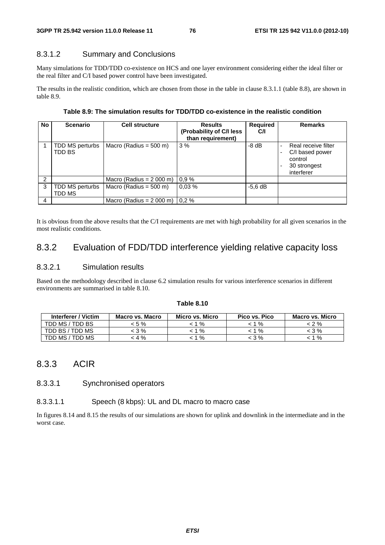#### 8.3.1.2 Summary and Conclusions

Many simulations for TDD/TDD co-existence on HCS and one layer environment considering either the ideal filter or the real filter and C/I based power control have been investigated.

The results in the realistic condition, which are chosen from those in the table in clause 8.3.1.1 (table 8.8), are shown in table 8.9.

| <b>No</b> | <b>Scenario</b>           | <b>Cell structure</b>              | <b>Results</b><br>(Probability of C/I less<br>than requirement) | <b>Required</b><br>C/I | <b>Remarks</b>                                                                  |
|-----------|---------------------------|------------------------------------|-----------------------------------------------------------------|------------------------|---------------------------------------------------------------------------------|
|           | TDD MS perturbs<br>TDD BS | Macro (Radius = $500$ m)           | 3%                                                              | $-8$ dB                | Real receive filter<br>C/I based power<br>control<br>30 strongest<br>interferer |
| 2         |                           | Macro (Radius = $2000$ m)          | 0.9%                                                            |                        |                                                                                 |
| 3         | TDD MS perturbs<br>TDD MS | Macro (Radius = $500$ m)           | 0.03%                                                           | $-5,6$ dB              |                                                                                 |
| 4         |                           | Macro (Radius = $2000$ m) $10.2$ % |                                                                 |                        |                                                                                 |

It is obvious from the above results that the C/I requirements are met with high probability for all given scenarios in the most realistic conditions.

# 8.3.2 Evaluation of FDD/TDD interference yielding relative capacity loss

#### 8.3.2.1 Simulation results

Based on the methodology described in clause 6.2 simulation results for various interference scenarios in different environments are summarised in table 8.10.

#### **Table 8.10**

| Interferer / Victim | <b>Macro vs. Macro</b> | Micro vs. Micro | Pico vs. Pico | <b>Macro vs. Micro</b> |
|---------------------|------------------------|-----------------|---------------|------------------------|
| TDD MS / TDD BS     | < 5 %                  | %               | 1 $%$         | < 2 %                  |
| TDD BS / TDD MS     | : 3 %                  | %               | %             | < 3 %                  |
| TDD MS / TDD MS     | $4\%$                  | %               | - 3 %         | 1 %                    |

### 8.3.3 ACIR

#### 8.3.3.1 Synchronised operators

#### 8.3.3.1.1 Speech (8 kbps): UL and DL macro to macro case

In figures 8.14 and 8.15 the results of our simulations are shown for uplink and downlink in the intermediate and in the worst case.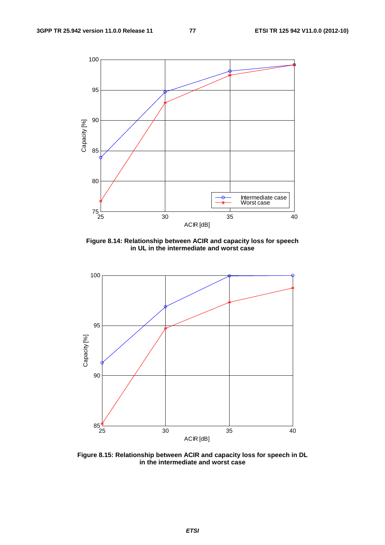

**Figure 8.14: Relationship between ACIR and capacity loss for speech in UL in the intermediate and worst case** 



**Figure 8.15: Relationship between ACIR and capacity loss for speech in DL in the intermediate and worst case**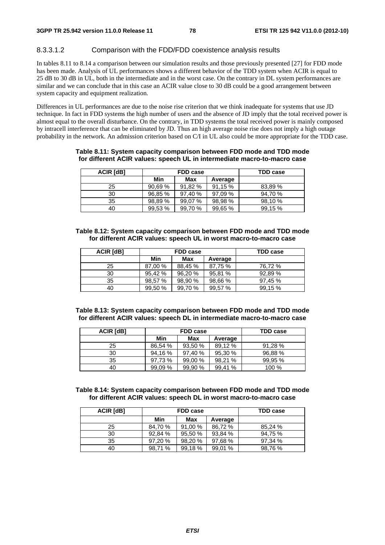#### 8.3.3.1.2 Comparison with the FDD/FDD coexistence analysis results

In tables 8.11 to 8.14 a comparison between our simulation results and those previously presented [27] for FDD mode has been made. Analysis of UL performances shows a different behavior of the TDD system when ACIR is equal to 25 dB to 30 dB in UL, both in the intermediate and in the worst case. On the contrary in DL system performances are similar and we can conclude that in this case an ACIR value close to 30 dB could be a good arrangement between system capacity and equipment realization.

Differences in UL performances are due to the noise rise criterion that we think inadequate for systems that use JD technique. In fact in FDD systems the high number of users and the absence of JD imply that the total received power is almost equal to the overall disturbance. On the contrary, in TDD systems the total received power is mainly composed by intracell interference that can be eliminated by JD. Thus an high average noise rise does not imply a high outage probability in the network. An admission criterion based on C/I in UL also could be more appropriate for the TDD case.

| <b>ACIR [dB]</b> |         | <b>FDD case</b> | <b>TDD case</b> |        |
|------------------|---------|-----------------|-----------------|--------|
|                  | Min     | Max             | Average         |        |
| 25               | 90,69 % | 91,82 %         | 91,15 %         | 83,89% |
| 30               | 96,85 % | 97,40 %         | 97,09 %         | 94.70% |
| 35               | 98,89 % | 99,07 %         | 98,98 %         | 98,10% |
| 40               | 99,53 % | 99.70 %         | 99,65 %         | 99,15% |

#### **Table 8.11: System capacity comparison between FDD mode and TDD mode for different ACIR values: speech UL in intermediate macro-to-macro case**

| Table 8.12: System capacity comparison between FDD mode and TDD mode |  |
|----------------------------------------------------------------------|--|
| for different ACIR values: speech UL in worst macro-to-macro case    |  |

| <b>ACIR</b> [dB] |         | <b>FDD case</b> | TDD case |         |
|------------------|---------|-----------------|----------|---------|
|                  | Min     | Max             | Average  |         |
| 25               | 87,00 % | 88,45 %         | 87.75 %  | 76.72 % |
| 30               | 95.42 % | 96,20%          | 95.81 %  | 92.89%  |
| 35               | 98,57 % | 98,90 %         | 98,66 %  | 97.45 % |
| 40               | 99,50 % | 99,70 %         | 99,57 %  | 99,15 % |

#### **Table 8.13: System capacity comparison between FDD mode and TDD mode for different ACIR values: speech DL in intermediate macro-to-macro case**

| <b>ACIR [dB]</b> |         | FDD case | TDD case |         |
|------------------|---------|----------|----------|---------|
|                  | Min     | Max      | Average  |         |
| 25               | 86.54 % | 93,50 %  | 89.12 %  | 91.28%  |
| 30               | 94.16%  | 97.40 %  | 95,30 %  | 96,88%  |
| 35               | 97.73 % | 99,00 %  | 98,21 %  | 99,95 % |
| 40               | 99,09 % | 99,90 %  | 99,41 %  | 100 %   |

#### **Table 8.14: System capacity comparison between FDD mode and TDD mode for different ACIR values: speech DL in worst macro-to-macro case**

| <b>ACIR [dB]</b> | <b>FDD case</b> |         |         | <b>TDD case</b> |
|------------------|-----------------|---------|---------|-----------------|
|                  | Min             | Max     | Average |                 |
| 25               | 84,70 %         | 91,00 % | 86.72%  | 85,24 %         |
| 30               | 92,84 %         | 95,50 % | 93,84 % | 94.75%          |
| 35               | 97,20 %         | 98,20%  | 97,68%  | 97,34 %         |
| 40               | 98,71 %         | 99.18%  | 99,01 % | 98.76%          |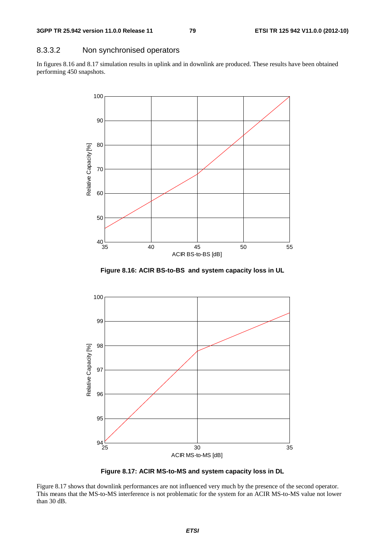### 8.3.3.2 Non synchronised operators

In figures 8.16 and 8.17 simulation results in uplink and in downlink are produced. These results have been obtained performing 450 snapshots.



**Figure 8.16: ACIR BS-to-BS and system capacity loss in UL** 



**Figure 8.17: ACIR MS-to-MS and system capacity loss in DL** 

Figure 8.17 shows that downlink performances are not influenced very much by the presence of the second operator. This means that the MS-to-MS interference is not problematic for the system for an ACIR MS-to-MS value not lower than 30 dB.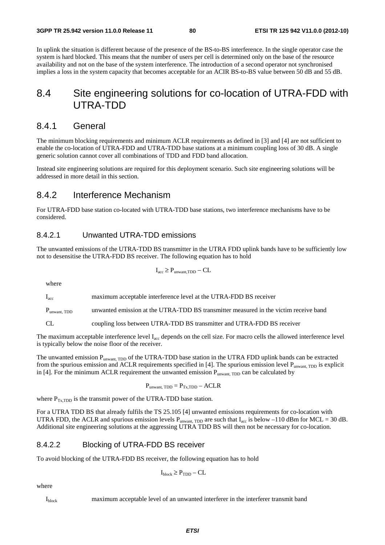In uplink the situation is different because of the presence of the BS-to-BS interference. In the single operator case the system is hard blocked. This means that the number of users per cell is determined only on the base of the resource availability and not on the base of the system interference. The introduction of a second operator not synchronised implies a loss in the system capacity that becomes acceptable for an ACIR BS-to-BS value between 50 dB and 55 dB.

## 8.4 Site engineering solutions for co-location of UTRA-FDD with UTRA-TDD

### 8.4.1 General

The minimum blocking requirements and minimum ACLR requirements as defined in [3] and [4] are not sufficient to enable the co-location of UTRA-FDD and UTRA-TDD base stations at a minimum coupling loss of 30 dB. A single generic solution cannot cover all combinations of TDD and FDD band allocation.

Instead site engineering solutions are required for this deployment scenario. Such site engineering solutions will be addressed in more detail in this section.

### 8.4.2 Interference Mechanism

For UTRA-FDD base station co-located with UTRA-TDD base stations, two interference mechanisms have to be considered.

#### 8.4.2.1 Unwanted UTRA-TDD emissions

The unwanted emissions of the UTRA-TDD BS transmitter in the UTRA FDD uplink bands have to be sufficiently low not to desensitise the UTRA-FDD BS receiver. The following equation has to hold

$$
I_{\rm acc} \ge P_{\rm{unwant, TDD}} - CL
$$

where

Iacc maximum acceptable interference level at the UTRA-FDD BS receiver

P<sub>unwant</sub>, TDD unwanted emission at the UTRA-TDD BS transmitter measured in the victim receive band

CL coupling loss between UTRA-TDD BS transmitter and UTRA-FDD BS receiver

The maximum acceptable interference level I<sub>acc</sub> depends on the cell size. For macro cells the allowed interference level is typically below the noise floor of the receiver.

The unwanted emission P<sub>unwant, TDD</sub> of the UTRA-TDD base station in the UTRA FDD uplink bands can be extracted from the spurious emission and ACLR requirements specified in [4]. The spurious emission level  $P_{unwant, TDD}$  is explicit in [4]. For the minimum ACLR requirement the unwanted emission  $P_{\text{unwant TDD}}$  can be calculated by

 $P_{\text{unwant, TDD}} = P_{\text{Tx,TDD}} - \text{ACLR}$ 

where  $P_{Tx,TDD}$  is the transmit power of the UTRA-TDD base station.

For a UTRA TDD BS that already fulfils the TS 25.105 [4] unwanted emissions requirements for co-location with UTRA FDD, the ACLR and spurious emission levels  $P_{unwant, TDD}$  are such that  $I_{acc}$  is below –110 dBm for MCL = 30 dB. Additional site engineering solutions at the aggressing UTRA TDD BS will then not be necessary for co-location.

#### 8.4.2.2 Blocking of UTRA-FDD BS receiver

To avoid blocking of the UTRA-FDD BS receiver, the following equation has to hold

$$
I_{block} \ge P_{TDD} - CL
$$

where

Iblock maximum acceptable level of an unwanted interferer in the interferer transmit band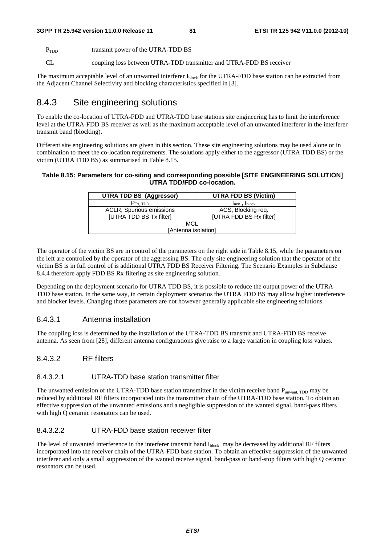P<sub>TDD</sub> transmit power of the UTRA-TDD BS

CL coupling loss between UTRA-TDD transmitter and UTRA-FDD BS receiver

The maximum acceptable level of an unwanted interferer  $I_{block}$  for the UTRA-FDD base station can be extracted from the Adjacent Channel Selectivity and blocking characteristics specified in [3].

### 8.4.3 Site engineering solutions

To enable the co-location of UTRA-FDD and UTRA-TDD base stations site engineering has to limit the interference level at the UTRA-FDD BS receiver as well as the maximum acceptable level of an unwanted interferer in the interferer transmit band (blocking).

Different site engineering solutions are given in this section. These site engineering solutions may be used alone or in combination to meet the co-location requirements. The solutions apply either to the aggressor (UTRA TDD BS) or the victim (UTRA FDD BS) as summarised in Table 8.15.

#### **Table 8.15: Parameters for co-siting and corresponding possible [SITE ENGINEERING SOLUTION] UTRA TDD/FDD co-location.**

| <b>UTRA TDD BS (Aggressor)</b> | <b>UTRA FDD BS (Victim)</b> |  |
|--------------------------------|-----------------------------|--|
| $Prx$ , TDD                    | $I_{acc}$ , $I_{block}$     |  |
| ACLR, Spurious emissions       | ACS, Blocking req.          |  |
| [UTRA TDD BS Tx filter]        | [UTRA FDD BS Rx filter]     |  |
| <b>MCL</b>                     |                             |  |
| [Antenna isolation]            |                             |  |

The operator of the victim BS are in control of the parameters on the right side in Table 8.15, while the parameters on the left are controlled by the operator of the aggressing BS. The only site engineering solution that the operator of the victim BS is in full control of is additional UTRA FDD BS Receiver Filtering. The Scenario Examples in Subclause 8.4.4 therefore apply FDD BS Rx filtering as site engineering solution.

Depending on the deployment scenario for UTRA TDD BS, it is possible to reduce the output power of the UTRA-TDD base station. In the same way, in certain deployment scenarios the UTRA FDD BS may allow higher interference and blocker levels. Changing those parameters are not however generally applicable site engineering solutions.

#### 8.4.3.1 Antenna installation

The coupling loss is determined by the installation of the UTRA-TDD BS transmit and UTRA-FDD BS receive antenna. As seen from [28], different antenna configurations give raise to a large variation in coupling loss values.

### 8.4.3.2 RF filters

#### 8.4.3.2.1 UTRA-TDD base station transmitter filter

The unwanted emission of the UTRA-TDD base station transmitter in the victim receive band  $P_{unwant, TDD}$  may be reduced by additional RF filters incorporated into the transmitter chain of the UTRA-TDD base station. To obtain an effective suppression of the unwanted emissions and a negligible suppression of the wanted signal, band-pass filters with high Q ceramic resonators can be used.

#### 8.4.3.2.2 UTRA-FDD base station receiver filter

The level of unwanted interference in the interferer transmit band I<sub>block</sub> may be decreased by additional RF filters incorporated into the receiver chain of the UTRA-FDD base station. To obtain an effective suppression of the unwanted interferer and only a small suppression of the wanted receive signal, band-pass or band-stop filters with high Q ceramic resonators can be used.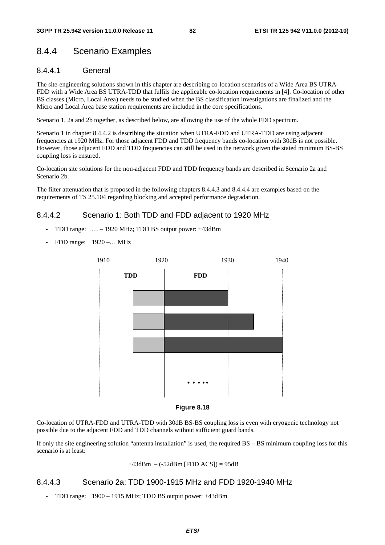### 8.4.4 Scenario Examples

#### 8.4.4.1 General

The site-engineering solutions shown in this chapter are describing co-location scenarios of a Wide Area BS UTRA-FDD with a Wide Area BS UTRA-TDD that fulfils the applicable co-location requirements in [4]. Co-location of other BS classes (Micro, Local Area) needs to be studied when the BS classification investigations are finalized and the Micro and Local Area base station requirements are included in the core specifications.

Scenario 1, 2a and 2b together, as described below, are allowing the use of the whole FDD spectrum.

Scenario 1 in chapter 8.4.4.2 is describing the situation when UTRA-FDD and UTRA-TDD are using adjacent frequencies at 1920 MHz. For those adjacent FDD and TDD frequency bands co-location with 30dB is not possible. However, those adjacent FDD and TDD frequencies can still be used in the network given the stated minimum BS-BS coupling loss is ensured.

Co-location site solutions for the non-adjacent FDD and TDD frequency bands are described in Scenario 2a and Scenario 2b.

The filter attenuation that is proposed in the following chapters 8.4.4.3 and 8.4.4.4 are examples based on the requirements of TS 25.104 regarding blocking and accepted performance degradation.

#### 8.4.4.2 Scenario 1: Both TDD and FDD adjacent to 1920 MHz

- TDD range: … 1920 MHz; TDD BS output power: +43dBm
- FDD range: 1920 –… MHz





Co-location of UTRA-FDD and UTRA-TDD with 30dB BS-BS coupling loss is even with cryogenic technology not possible due to the adjacent FDD and TDD channels without sufficient guard bands.

If only the site engineering solution "antenna installation" is used, the required BS – BS minimum coupling loss for this scenario is at least:

#### $+43$ dBm – (-52dBm [FDD ACS]) = 95dB

#### 8.4.4.3 Scenario 2a: TDD 1900-1915 MHz and FDD 1920-1940 MHz

- TDD range: 1900 – 1915 MHz; TDD BS output power: +43dBm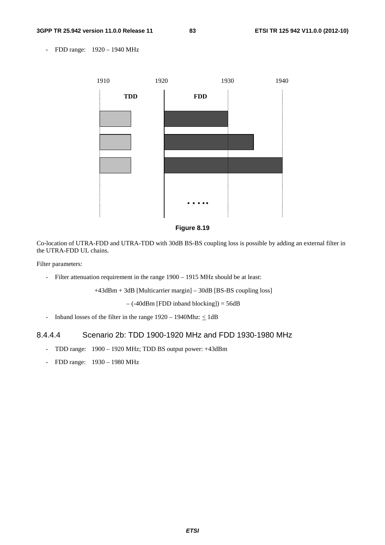- FDD range: 1920 – 1940 MHz





Co-location of UTRA-FDD and UTRA-TDD with 30dB BS-BS coupling loss is possible by adding an external filter in the UTRA-FDD UL chains.

Filter parameters:

- Filter attenuation requirement in the range 1900 – 1915 MHz should be at least:

+43dBm + 3dB [Multicarrier margin] – 30dB [BS-BS coupling loss]

 $-$  (-40dBm [FDD inband blocking]) = 56dB

- Inband losses of the filter in the range  $1920 - 1940$ Mhz:  $\leq 1$ dB

#### 8.4.4.4 Scenario 2b: TDD 1900-1920 MHz and FDD 1930-1980 MHz

- TDD range: 1900 1920 MHz; TDD BS output power: +43dBm
- FDD range: 1930 1980 MHz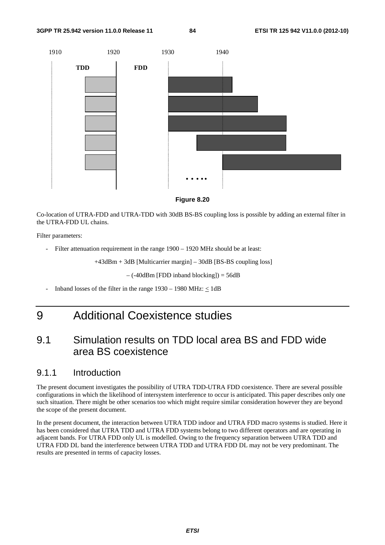



Co-location of UTRA-FDD and UTRA-TDD with 30dB BS-BS coupling loss is possible by adding an external filter in the UTRA-FDD UL chains.

Filter parameters:

Filter attenuation requirement in the range  $1900 - 1920$  MHz should be at least:

+43dBm + 3dB [Multicarrier margin] – 30dB [BS-BS coupling loss]

– (-40dBm [FDD inband blocking]) = 56dB

Inband losses of the filter in the range  $1930 - 1980$  MHz:  $\leq 1$ dB

# 9 Additional Coexistence studies

# 9.1 Simulation results on TDD local area BS and FDD wide area BS coexistence

### 9.1.1 Introduction

The present document investigates the possibility of UTRA TDD-UTRA FDD coexistence. There are several possible configurations in which the likelihood of intersystem interference to occur is anticipated. This paper describes only one such situation. There might be other scenarios too which might require similar consideration however they are beyond the scope of the present document.

In the present document, the interaction between UTRA TDD indoor and UTRA FDD macro systems is studied. Here it has been considered that UTRA TDD and UTRA FDD systems belong to two different operators and are operating in adjacent bands. For UTRA FDD only UL is modelled. Owing to the frequency separation between UTRA TDD and UTRA FDD DL band the interference between UTRA TDD and UTRA FDD DL may not be very predominant. The results are presented in terms of capacity losses.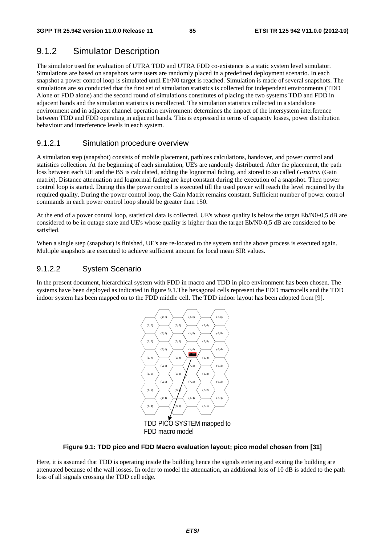### 9.1.2 Simulator Description

The simulator used for evaluation of UTRA TDD and UTRA FDD co-existence is a static system level simulator. Simulations are based on snapshots were users are randomly placed in a predefined deployment scenario. In each snapshot a power control loop is simulated until Eb/N0 target is reached. Simulation is made of several snapshots. The simulations are so conducted that the first set of simulation statistics is collected for independent environments (TDD Alone or FDD alone) and the second round of simulations constitutes of placing the two systems TDD and FDD in adjacent bands and the simulation statistics is recollected. The simulation statistics collected in a standalone environment and in adjacent channel operation environment determines the impact of the intersystem interference between TDD and FDD operating in adjacent bands. This is expressed in terms of capacity losses, power distribution behaviour and interference levels in each system.

#### 9.1.2.1 Simulation procedure overview

A simulation step (snapshot) consists of mobile placement, pathloss calculations, handover, and power control and statistics collection. At the beginning of each simulation, UE's are randomly distributed. After the placement, the path loss between each UE and the BS is calculated, adding the lognormal fading, and stored to so called *G-matrix* (Gain matrix). Distance attenuation and lognormal fading are kept constant during the execution of a snapshot. Then power control loop is started. During this the power control is executed till the used power will reach the level required by the required quality. During the power control loop, the Gain Matrix remains constant. Sufficient number of power control commands in each power control loop should be greater than 150.

At the end of a power control loop, statistical data is collected. UE's whose quality is below the target Eb/N0-0,5 dB are considered to be in outage state and UE's whose quality is higher than the target Eb/N0-0,5 dB are considered to be satisfied.

When a single step (snapshot) is finished, UE's are re-located to the system and the above process is executed again. Multiple snapshots are executed to achieve sufficient amount for local mean SIR values.

#### 9.1.2.2 System Scenario

In the present document, hierarchical system with FDD in macro and TDD in pico environment has been chosen. The systems have been deployed as indicated in figure 9.1.The hexagonal cells represent the FDD macrocells and the TDD indoor system has been mapped on to the FDD middle cell. The TDD indoor layout has been adopted from [9].



#### **Figure 9.1: TDD pico and FDD Macro evaluation layout; pico model chosen from [31]**

Here, it is assumed that TDD is operating inside the building hence the signals entering and exiting the building are attenuated because of the wall losses. In order to model the attenuation, an additional loss of 10 dB is added to the path loss of all signals crossing the TDD cell edge.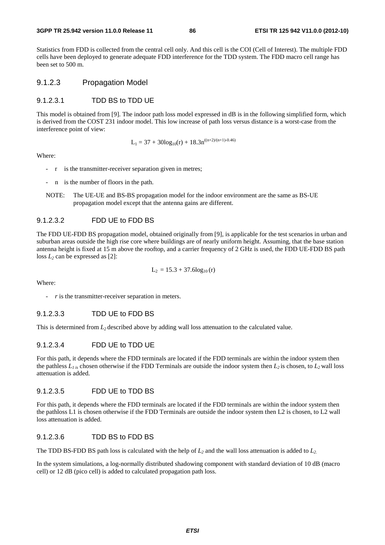#### **3GPP TR 25.942 version 11.0.0 Release 11 86 ETSI TR 125 942 V11.0.0 (2012-10)**

Statistics from FDD is collected from the central cell only. And this cell is the COI (Cell of Interest). The multiple FDD cells have been deployed to generate adequate FDD interference for the TDD system. The FDD macro cell range has been set to 500 m.

#### 9.1.2.3 Propagation Model

#### 9.1.2.3.1 TDD BS to TDD UE

This model is obtained from [9]. The indoor path loss model expressed in dB is in the following simplified form, which is derived from the COST 231 indoor model. This low increase of path loss versus distance is a worst-case from the interference point of view:

$$
L_1 = 37 + 30\log_{10}(r) + 18.3n^{((n+2)/(n+1)-0.46)}
$$

Where:

- r is the transmitter-receiver separation given in metres;
- n is the number of floors in the path.
- NOTE: The UE-UE and BS-BS propagation model for the indoor environment are the same as BS-UE propagation model except that the antenna gains are different.

#### 9.1.2.3.2 FDD UE to FDD BS

The FDD UE-FDD BS propagation model, obtained originally from [9], is applicable for the test scenarios in urban and suburban areas outside the high rise core where buildings are of nearly uniform height. Assuming, that the base station antenna height is fixed at 15 m above the rooftop, and a carrier frequency of 2 GHz is used, the FDD UE-FDD BS path loss  $L_2$  can be expressed as [2]:

$$
L_2 = 15.3 + 37.6 \log_{10}(r)
$$

Where:

#### 9.1.2.3.3 TDD UE to FDD BS

This is determined from *L2* described above by adding wall loss attenuation to the calculated value.

#### 9.1.2.3.4 FDD UE to TDD UE

For this path, it depends where the FDD terminals are located if the FDD terminals are within the indoor system then the pathless  $L_{1,i}$  chosen otherwise if the FDD Terminals are outside the indoor system then  $L_2$  is chosen, to  $L_2$  wall loss attenuation is added.

#### 9.1.2.3.5 FDD UE to TDD BS

For this path, it depends where the FDD terminals are located if the FDD terminals are within the indoor system then the pathloss L1 is chosen otherwise if the FDD Terminals are outside the indoor system then L2 is chosen, to L2 wall loss attenuation is added.

#### 9.1.2.3.6 TDD BS to FDD BS

The TDD BS-FDD BS path loss is calculated with the help of  $L_2$  and the wall loss attenuation is added to  $L_2$ .

In the system simulations, a log-normally distributed shadowing component with standard deviation of 10 dB (macro cell) or 12 dB (pico cell) is added to calculated propagation path loss.

r is the transmitter-receiver separation in meters.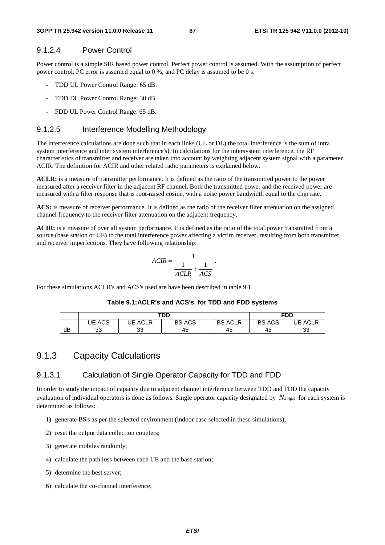### 9.1.2.4 Power Control

Power control is a simple SIR based power control. Perfect power control is assumed. With the assumption of perfect power control, PC error is assumed equal to 0 %, and PC delay is assumed to be 0 s.

- TDD UL Power Control Range: 65 dB.
- TDD DL Power Control Range: 30 dB.
- FDD UL Power Control Range: 65 dB.

#### 9.1.2.5 Interference Modelling Methodology

The interference calculations are done such that in each links (UL or DL) the total interference is the sum of intra system interference and inter system interference's). In calculations for the intersystem interference, the RF characteristics of transmitter and receiver are taken into account by weighting adjacent system signal with a parameter ACIR. The definition for ACIR and other related radio parameters is explained below.

**ACLR:** is a measure of transmitter performance. It is defined as the ratio of the transmitted power to the power measured after a receiver filter in the adjacent RF channel. Both the transmitted power and the received power are measured with a filter response that is root-raised cosine, with a noise power bandwidth equal to the chip rate.

**ACS:** is measure of receiver performance. It is defined as the ratio of the receiver filter attenuation on the assigned channel frequency to the receiver filter attenuation on the adjacent frequency.

**ACIR:** is a measure of over all system performance. It is defined as the ratio of the total power transmitted from a source (base station or UE) to the total interference power affecting a victim receiver, resulting from both transmitter and receiver imperfections. They have following relationship:

$$
ACIR = \frac{1}{\frac{1}{ACLR} + \frac{1}{ACS}}.
$$

For these simulations ACLR's and ACS's used are have been described in table 9.1.

#### **Table 9.1:ACLR's and ACS's for TDD and FDD systems**

|    |                  | TDD               | <b>FDD</b>    |                   |               |                   |
|----|------------------|-------------------|---------------|-------------------|---------------|-------------------|
|    | <b>ACS</b><br>JE | <b>ACLR</b><br>JE | <b>BS ACS</b> | <b>ACLR</b><br>BS | <b>BS ACS</b> | <b>ACLR</b><br>JE |
| dB | າາ<br>აა         | 33                | 45            | 45                | 45            | 33                |

### 9.1.3 Capacity Calculations

#### 9.1.3.1 Calculation of Single Operator Capacity for TDD and FDD

In order to study the impact of capacity due to adjacent channel interference between TDD and FDD the capacity evaluation of individual operators is done as follows. Single operator capacity designated by *NSingle* for each system is determined as follows:

- 1) generate BS's as per the selected environment (indoor case selected in these simulations);
- 2) reset the output data collection counters;
- 3) generate mobiles randomly;
- 4) calculate the path loss between each UE and the base station;
- 5) determine the best server;
- 6) calculate the co-channel interference;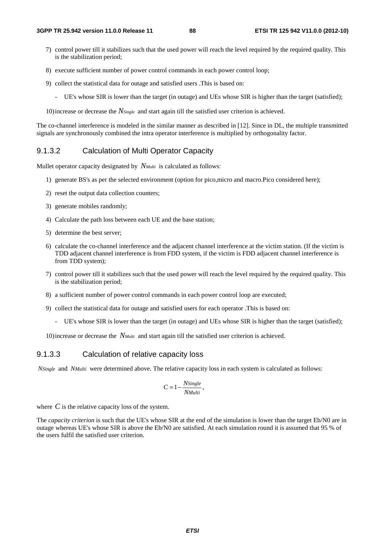- 7) control power till it stabilizes such that the used power will reach the level required by the required quality. This is the stabilization period;
- 8) execute sufficient number of power control commands in each power control loop;
- 9) collect the statistical data for outage and satisfied users .This is based on:
	- UE's whose SIR is lower than the target (in outage) and UEs whose SIR is higher than the target (satisfied);

10) increase or decrease the *NSingle* and start again till the satisfied user criterion is achieved.

The co-channel interference is modeled in the similar manner as described in [12]. Since in DL, the multiple transmitted signals are synchronously combined the intra operator interference is multiplied by orthogonality factor.

#### 9.1.3.2 Calculation of Multi Operator Capacity

Mullet operator capacity designated by *N<sub>Multi*</sub> is calculated as follows:

- 1) generate BS's as per the selected environment (option for pico,micro and macro.Pico considered here);
- 2) reset the output data collection counters;
- 3) generate mobiles randomly;
- 4) Calculate the path loss between each UE and the base station;
- 5) determine the best server;
- 6) calculate the co-channel interference and the adjacent channel interference at the victim station. (If the victim is TDD adjacent channel interference is from FDD system, if the victim is FDD adjacent channel interference is from TDD system);
- 7) control power till it stabilizes such that the used power will reach the level required by the required quality. This is the stabilization period;
- 8) a sufficient number of power control commands in each power control loop are executed;
- 9) collect the statistical data for outage and satisfied users for each operator .This is based on:
	- UE's whose SIR is lower than the target (in outage) and UEs whose SIR is higher than the target (satisfied);

10) increase or decrease the *NMulti* and start again till the satisfied user criterion is achieved.

#### 9.1.3.3 Calculation of relative capacity loss

*NSingle* and *NMulti* were determined above. The relative capacity loss in each system is calculated as follows:

$$
C = 1 - \frac{N \text{Single}}{N \text{Multi}},
$$

where  $C$  is the relative capacity loss of the system.

The *capacity criterion* is such that the UE's whose SIR at the end of the simulation is lower than the target Eb/N0 are in outage whereas UE's whose SIR is above the Eb/N0 are satisfied. At each simulation round it is assumed that 95 % of the users fulfil the satisfied user criterion.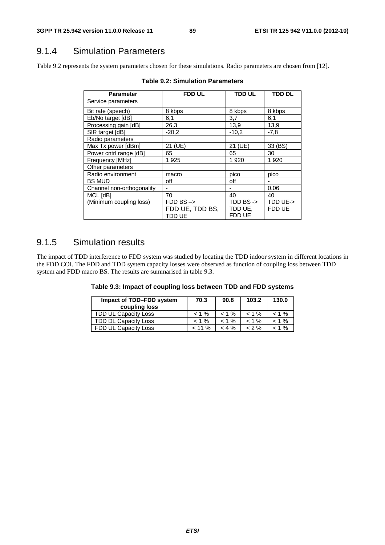### 9.1.4 Simulation Parameters

Table 9.2 represents the system parameters chosen for these simulations. Radio parameters are chosen from [12].

| <b>Parameter</b>          | <b>FDD UL</b>                                       | <b>TDD UL</b>                             | <b>TDD DL</b>      |
|---------------------------|-----------------------------------------------------|-------------------------------------------|--------------------|
| Service parameters        |                                                     |                                           |                    |
| Bit rate (speech)         | 8 kbps                                              | 8 kbps                                    | 8 kbps             |
| Eb/No target [dB]         | 6,1                                                 | 3,7                                       | 6,1                |
| Processing gain [dB]      | 26,3                                                | 13,9                                      | 13,9               |
| SIR target [dB]           | $-20.2$                                             | $-10,2$                                   | $-7,8$             |
| Radio parameters          |                                                     |                                           |                    |
| Max Tx power [dBm]        | 21 (UE)                                             | 21 (UE)                                   | 33 (BS)            |
| Power cntrl range [dB]    | 65                                                  | 65                                        | 30                 |
| Frequency [MHz]           | 1925                                                | 1920                                      | 1920               |
| Other parameters          |                                                     |                                           |                    |
| Radio environment         | macro                                               | pico                                      | pico               |
| <b>BS MUD</b>             | off                                                 | off                                       |                    |
| Channel non-orthogonality |                                                     |                                           | 0.06               |
| MCL [dB]                  | 70                                                  | 40                                        | 40                 |
| (Minimum coupling loss)   | $FDD$ BS $\rightarrow$<br>FDD UE, TDD BS,<br>TDD UE | TDD BS $\rightarrow$<br>TDD UE.<br>FDD UE | TDD UE-><br>FDD UE |

**Table 9.2: Simulation Parameters** 

### 9.1.5 Simulation results

The impact of TDD interference to FDD system was studied by locating the TDD indoor system in different locations in the FDD COI. The FDD and TDD system capacity losses were observed as function of coupling loss between TDD system and FDD macro BS. The results are summarised in table 9.3.

| Table 9.3: Impact of coupling loss between TDD and FDD systems |  |  |  |  |  |  |  |  |  |  |
|----------------------------------------------------------------|--|--|--|--|--|--|--|--|--|--|
|----------------------------------------------------------------|--|--|--|--|--|--|--|--|--|--|

| Impact of TDD-FDD system<br>coupling loss | 70.3      | 90.8     | 103.2    | 130.0    |
|-------------------------------------------|-----------|----------|----------|----------|
| TDD UL Capacity Loss                      | $< 1\%$   | $< 1 \%$ | $< 1 \%$ | $< 1 \%$ |
| TDD DL Capacity Loss                      | $< 1\%$   | $< 1 \%$ | $< 1 \%$ | $< 1 \%$ |
| FDD UL Capacity Loss                      | $< 11 \%$ | $< 4 \%$ | < 2 %    | $< 1 \%$ |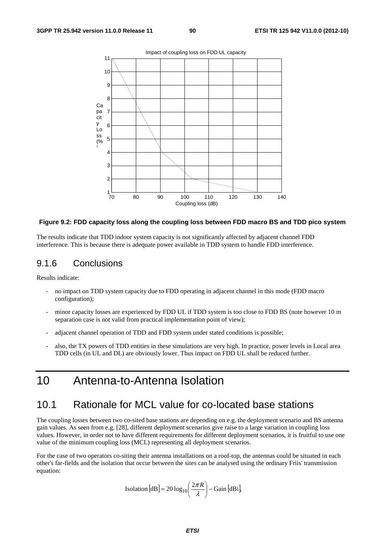

#### **Figure 9.2: FDD capacity loss along the coupling loss between FDD macro BS and TDD pico system**

The results indicate that TDD indoor system capacity is not significantly affected by adjacent channel FDD interference. This is because there is adequate power available in TDD system to handle FDD interference.

### 9.1.6 Conclusions

Results indicate:

- no impact on TDD system capacity due to FDD operating in adjacent channel in this mode (FDD macro configuration);
- minor capacity losses are experienced by FDD UL if TDD system is too close to FDD BS (note however 10 m separation case is not valid from practical implementation point of view);
- adjacent channel operation of TDD and FDD system under stated conditions is possible;
- also, the TX powers of TDD entities in these simulations are very high. In practice, power levels in Local area TDD cells (in UL and DL) are obviously lower. Thus impact on FDD UL shall be reduced further.

# 10 Antenna-to-Antenna Isolation

### 10.1 Rationale for MCL value for co-located base stations

The coupling losses between two co-sited base stations are depending on e.g. the deployment scenario and BS antenna gain values. As seen from e.g. [28], different deployment scenarios give raise to a large variation in coupling loss values. However, in order not to have different requirements for different deployment scenarios, it is fruitful to use one value of the minimum coupling loss (MCL) representing all deployment scenarios.

For the case of two operators co-siting their antenna installations on a roof-top, the antennas could be situated in each other's far-fields and the isolation that occur between the sites can be analysed using the ordinary Friis' transmission equation:

Isolation [dB] = 20 log<sub>10</sub> 
$$
\left( \frac{2\pi R}{\lambda} \right)
$$
 - Gain [dBi],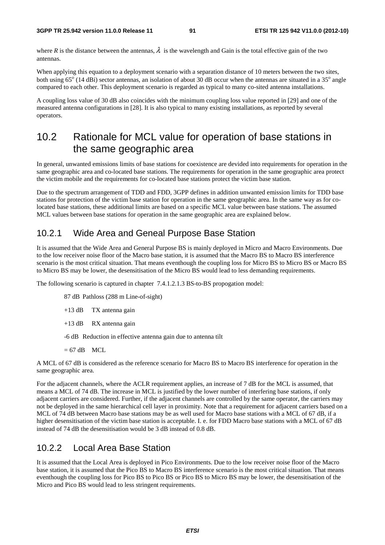where *R* is the distance between the antennas,  $\lambda$  is the wavelength and Gain is the total effective gain of the two antennas.

When applying this equation to a deployment scenario with a separation distance of 10 meters between the two sites, both using  $65^{\circ}$  (14 dBi) sector antennas, an isolation of about 30 dB occur when the antennas are situated in a 35 $^{\circ}$  angle compared to each other. This deployment scenario is regarded as typical to many co-sited antenna installations.

A coupling loss value of 30 dB also coincides with the minimum coupling loss value reported in [29] and one of the measured antenna configurations in [28]. It is also typical to many existing installations, as reported by several operators.

# 10.2 Rationale for MCL value for operation of base stations in the same geographic area

In general, unwanted emissions limits of base stations for coexistence are devided into requirements for operation in the same geographic area and co-located base stations. The requirements for operation in the same geographic area protect the victim mobile and the requirements for co-located base stations protect the victim base station.

Due to the spectrum arrangement of TDD and FDD, 3GPP defines in addition unwanted emission limits for TDD base stations for protection of the victim base station for operation in the same geographic area. In the same way as for colocated base stations, these additional limits are based on a specific MCL value between base stations. The assumed MCL values between base stations for operation in the same geographic area are explained below.

### 10.2.1 Wide Area and Geneal Purpose Base Station

It is assumed that the Wide Area and General Purpose BS is mainly deployed in Micro and Macro Environments. Due to the low receiver noise floor of the Macro base station, it is assumed that the Macro BS to Macro BS interference scenario is the most critical situation. That means eventhough the coupling loss for Micro BS to Micro BS or Macro BS to Micro BS may be lower, the desensitisation of the Micro BS would lead to less demanding requirements.

The following scenario is captured in chapter 7.4.1.2.1.3 BS-to-BS propogation model:

87 dB Pathloss (288 m Line-of-sight)

+13 dB TX antenna gain

+13 dB RX antenna gain

-6 dB Reduction in effective antenna gain due to antenna tilt

 $= 67$  dB MCL

A MCL of 67 dB is considered as the reference scenario for Macro BS to Macro BS interference for operation in the same geographic area.

For the adjacent channels, where the ACLR requirement applies, an increase of 7 dB for the MCL is assumed, that means a MCL of 74 dB. The increase in MCL is justified by the lower number of interfering base stations, if only adjacent carriers are considered. Further, if the adjacent channels are controlled by the same operator, the carriers may not be deployed in the same hierarchical cell layer in proximity. Note that a requirement for adjacent carriers based on a MCL of 74 dB between Macro base stations may be as well used for Macro base stations with a MCL of 67 dB, if a higher desensitisation of the victim base station is acceptable. I. e. for FDD Macro base stations with a MCL of 67 dB instead of 74 dB the desensitisation would be 3 dB instead of 0.8 dB.

### 10.2.2 Local Area Base Station

It is assumed that the Local Area is deployed in Pico Environments. Due to the low receiver noise floor of the Macro base station, it is assumed that the Pico BS to Macro BS interference scenario is the most critical situation. That means eventhough the coupling loss for Pico BS to Pico BS or Pico BS to Micro BS may be lower, the desensitisation of the Micro and Pico BS would lead to less stringent requirements.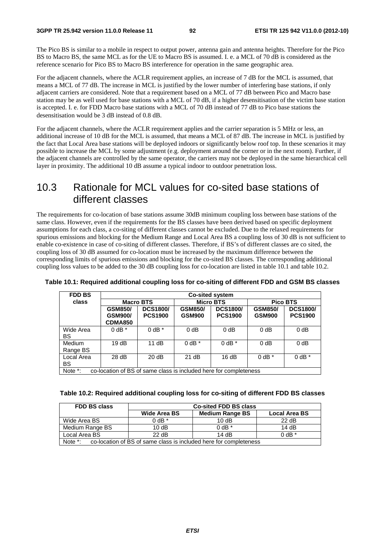The Pico BS is similar to a mobile in respect to output power, antenna gain and antenna heights. Therefore for the Pico BS to Macro BS, the same MCL as for the UE to Macro BS is assumed. I. e. a MCL of 70 dB is considered as the reference scenario for Pico BS to Macro BS interference for operation in the same geographic area.

For the adjacent channels, where the ACLR requirement applies, an increase of 7 dB for the MCL is assumed, that means a MCL of 77 dB. The increase in MCL is justified by the lower number of interfering base stations, if only adjacent carriers are considered. Note that a requirement based on a MCL of 77 dB between Pico and Macro base station may be as well used for base stations with a MCL of 70 dB, if a higher desensitisation of the victim base station is accepted. I. e. for FDD Macro base stations with a MCL of 70 dB instead of 77 dB to Pico base stations the desensitisation would be 3 dB instead of 0.8 dB.

For the adjacent channels, where the ACLR requirement applies and the carrier separation is 5 MHz or less, an additional increase of 10 dB for the MCL is assumed, that means a MCL of 87 dB. The increase in MCL is justified by the fact that Local Area base stations will be deployed indoors or significantly below roof top. In these scenarios it may possible to increase the MCL by some adjustment (e.g. deployment around the corner or in the next room). Further, if the adjacent channels are controlled by the same operator, the carriers may not be deployed in the same hierarchical cell layer in proximity. The additional 10 dB assume a typical indoor to outdoor penetration loss.

# 10.3 Rationale for MCL values for co-sited base stations of different classes

The requirements for co-location of base stations assume 30dB minimum coupling loss between base stations of the same class. However, even if the requirements for the BS classes have been derived based on specific deployment assumptions for each class, a co-siting of different classes cannot be excluded. Due to the relaxed requirements for spurious emissions and blocking for the Medium Range and Local Area BS a coupling loss of 30 dB is not sufficient to enable co-existence in case of co-siting of different classes. Therefore, if BS's of different classes are co sited, the coupling loss of 30 dB assumed for co-location must be increased by the maximum difference between the corresponding limits of spurious emissions and blocking for the co-sited BS classes. The corresponding additional coupling loss values to be added to the 30 dB coupling loss for co-location are listed in table 10.1 and table 10.2.

| <b>FDD BS</b>             | <b>Co-sited system</b>                                            |                                   |                                 |                                   |                                 |                                   |  |
|---------------------------|-------------------------------------------------------------------|-----------------------------------|---------------------------------|-----------------------------------|---------------------------------|-----------------------------------|--|
| class                     |                                                                   | <b>Macro BTS</b>                  |                                 | <b>Micro BTS</b>                  |                                 | <b>Pico BTS</b>                   |  |
|                           | <b>GSM850/</b><br><b>GSM900/</b><br><b>CDMA850</b>                | <b>DCS1800/</b><br><b>PCS1900</b> | <b>GSM850/</b><br><b>GSM900</b> | <b>DCS1800/</b><br><b>PCS1900</b> | <b>GSM850/</b><br><b>GSM900</b> | <b>DCS1800/</b><br><b>PCS1900</b> |  |
| Wide Area<br>BS           | $0$ dB $*$                                                        | $0$ dB $*$                        | $0$ dB                          | $0$ dB                            | $0$ dB                          | $0$ dB                            |  |
| <b>Medium</b><br>Range BS | 19dB                                                              | 11 $dB$                           | $0$ dB $*$                      | $0$ dB $*$                        | $0$ dB                          | $0$ dB                            |  |
| Local Area<br>BS          | 28 dB                                                             | 20 dB                             | 21 dB                           | 16dB                              | $0$ dB $*$                      | $0$ dB $*$                        |  |
| Note *:                   | co-location of BS of same class is included here for completeness |                                   |                                 |                                   |                                 |                                   |  |

**Table 10.1: Required additional coupling loss for co-siting of different FDD and GSM BS classes** 

|  |  | Table 10.2: Required additional coupling loss for co-siting of different FDD BS classes |
|--|--|-----------------------------------------------------------------------------------------|
|  |  |                                                                                         |

| <b>FDD BS class</b>                                                          | <b>Co-sited FDD BS class</b>                                   |            |            |  |  |
|------------------------------------------------------------------------------|----------------------------------------------------------------|------------|------------|--|--|
|                                                                              | <b>Medium Range BS</b><br>Wide Area BS<br><b>Local Area BS</b> |            |            |  |  |
| Wide Area BS                                                                 | $0$ dB $*$                                                     | 10dB       | 22 dB      |  |  |
| Medium Range BS                                                              | 10dB                                                           | $0$ dB $*$ | 14 $dB$    |  |  |
| Local Area BS                                                                | 22 dB<br>14dB                                                  |            | $0$ dB $*$ |  |  |
| Note *:<br>co-location of BS of same class is included here for completeness |                                                                |            |            |  |  |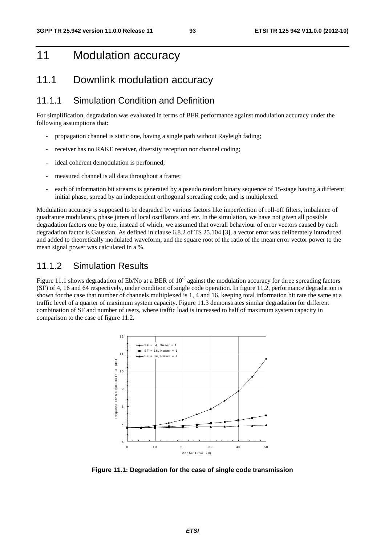# 11 Modulation accuracy

## 11.1 Downlink modulation accuracy

### 11.1.1 Simulation Condition and Definition

For simplification, degradation was evaluated in terms of BER performance against modulation accuracy under the following assumptions that:

- propagation channel is static one, having a single path without Rayleigh fading;
- receiver has no RAKE receiver, diversity reception nor channel coding;
- ideal coherent demodulation is performed;
- measured channel is all data throughout a frame;
- each of information bit streams is generated by a pseudo random binary sequence of 15-stage having a different initial phase, spread by an independent orthogonal spreading code, and is multiplexed.

Modulation accuracy is supposed to be degraded by various factors like imperfection of roll-off filters, imbalance of quadrature modulators, phase jitters of local oscillators and etc. In the simulation, we have not given all possible degradation factors one by one, instead of which, we assumed that overall behaviour of error vectors caused by each degradation factor is Gaussian. As defined in clause 6.8.2 of TS 25.104 [3], a vector error was deliberately introduced and added to theoretically modulated waveform, and the square root of the ratio of the mean error vector power to the mean signal power was calculated in a %.

### 11.1.2 Simulation Results

Figure 11.1 shows degradation of Eb/No at a BER of  $10^{-3}$  against the modulation accuracy for three spreading factors (SF) of 4, 16 and 64 respectively, under condition of single code operation. In figure 11.2, performance degradation is shown for the case that number of channels multiplexed is 1, 4 and 16, keeping total information bit rate the same at a traffic level of a quarter of maximum system capacity. Figure 11.3 demonstrates similar degradation for different combination of SF and number of users, where traffic load is increased to half of maximum system capacity in comparison to the case of figure 11.2.



**Figure 11.1: Degradation for the case of single code transmission**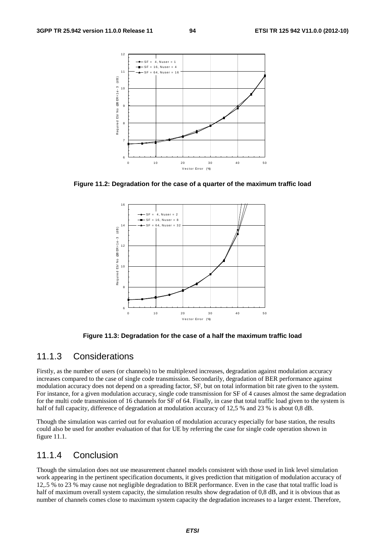

**Figure 11.2: Degradation for the case of a quarter of the maximum traffic load** 



**Figure 11.3: Degradation for the case of a half the maximum traffic load** 

### 11.1.3 Considerations

Firstly, as the number of users (or channels) to be multiplexed increases, degradation against modulation accuracy increases compared to the case of single code transmission. Secondarily, degradation of BER performance against modulation accuracy does not depend on a spreading factor, SF, but on total information bit rate given to the system. For instance, for a given modulation accuracy, single code transmission for SF of 4 causes almost the same degradation for the multi code transmission of 16 channels for SF of 64. Finally, in case that total traffic load given to the system is half of full capacity, difference of degradation at modulation accuracy of 12,5 % and 23 % is about 0,8 dB.

Though the simulation was carried out for evaluation of modulation accuracy especially for base station, the results could also be used for another evaluation of that for UE by referring the case for single code operation shown in figure 11.1.

### 11.1.4 Conclusion

Though the simulation does not use measurement channel models consistent with those used in link level simulation work appearing in the pertinent specification documents, it gives prediction that mitigation of modulation accuracy of 12,.5 % to 23 % may cause not negligible degradation to BER performance. Even in the case that total traffic load is half of maximum overall system capacity, the simulation results show degradation of 0,8 dB, and it is obvious that as number of channels comes close to maximum system capacity the degradation increases to a larger extent. Therefore,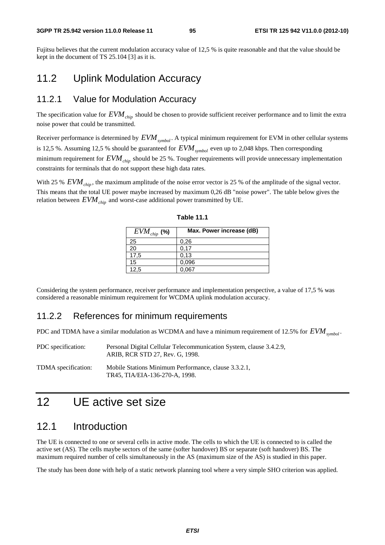#### **3GPP TR 25.942 version 11.0.0 Release 11 95 ETSI TR 125 942 V11.0.0 (2012-10)**

Fujitsu believes that the current modulation accuracy value of 12,5 % is quite reasonable and that the value should be kept in the document of TS 25.104 [3] as it is.

# 11.2 Uplink Modulation Accuracy

### 11.2.1 Value for Modulation Accuracy

The specification value for  $EVM<sub>chin</sub>$  should be chosen to provide sufficient receiver performance and to limit the extra noise power that could be transmitted.

Receiver performance is determined by  $EVM_{symbol}$ . A typical minimum requirement for EVM in other cellular systems is 12,5 %. Assuming 12,5 % should be guaranteed for  $EVM$ <sub>symbol</sub> even up to 2,048 kbps. Then corresponding minimum requirement for  $EVM<sub>chip</sub>$  should be 25 %. Tougher requirements will provide unnecessary implementation constraints for terminals that do not support these high data rates.

With 25 %  $EVM<sub>chin</sub>$ , the maximum amplitude of the noise error vector is 25 % of the amplitude of the signal vector. This means that the total UE power maybe increased by maximum 0,26 dB "noise power". The table below gives the relation between  $EVM<sub>chin</sub>$  and worst-case additional power transmitted by UE.

| $EVM_{\textit{chip}}$ (%) | Max. Power increase (dB) |
|---------------------------|--------------------------|
| 25                        | 0,26                     |
| 20                        | 0.17                     |
| 17,5                      | 0.13                     |
| 15                        | 0,096                    |
| 12,5                      | 0,067                    |

**Table 11.1** 

Considering the system performance, receiver performance and implementation perspective, a value of 17,5 % was considered a reasonable minimum requirement for WCDMA uplink modulation accuracy.

### 11.2.2 References for minimum requirements

PDC and TDMA have a similar modulation as WCDMA and have a minimum requirement of 12.5% for *EVM*<sub>symbol</sub>.

| PDC specification:  | Personal Digital Cellular Telecommunication System, clause 3.4.2.9,<br>ARIB. RCR STD 27. Rev. G. 1998. |
|---------------------|--------------------------------------------------------------------------------------------------------|
| TDMA specification: | Mobile Stations Minimum Performance, clause 3.3.2.1.<br>TR45. TIA/EIA-136-270-A. 1998.                 |

# 12 UE active set size

### 12.1 Introduction

The UE is connected to one or several cells in active mode. The cells to which the UE is connected to is called the active set (AS). The cells maybe sectors of the same (softer handover) BS or separate (soft handover) BS. The maximum required number of cells simultaneously in the AS (maximum size of the AS) is studied in this paper.

The study has been done with help of a static network planning tool where a very simple SHO criterion was applied.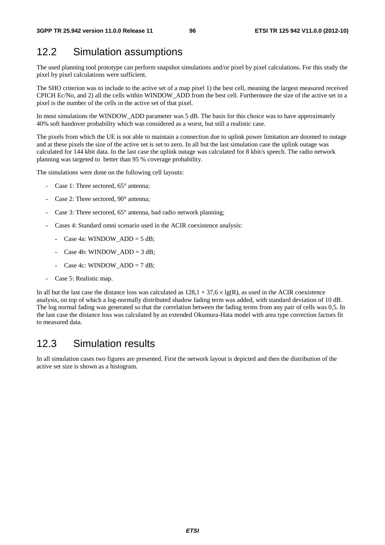# 12.2 Simulation assumptions

The used planning tool prototype can perform snapshot simulations and/or pixel by pixel calculations. For this study the pixel by pixel calculations were sufficient.

The SHO criterion was to include to the active set of a map pixel 1) the best cell, meaning the largest measured received CPICH Ec/No, and 2) all the cells within WINDOW\_ADD from the best cell. Furthermore the size of the active set in a pixel is the number of the cells in the active set of that pixel.

In most simulations the WINDOW ADD parameter was 5 dB. The basis for this choice was to have approximately 40% soft handover probability which was considered as a worst, but still a realistic case.

The pixels from which the UE is not able to maintain a connection due to uplink power limitation are doomed to outage and at these pixels the size of the active set is set to zero. In all but the last simulation case the uplink outage was calculated for 144 kbit data. In the last case the uplink outage was calculated for 8 kbit/s speech. The radio network planning was targeted to better than 95 % coverage probability.

The simulations were done on the following cell layouts:

- Case 1: Three sectored,  $65^{\circ}$  antenna;
- Case 2: Three sectored, 90° antenna;
- Case 3: Three sectored,  $65^\circ$  antenna, bad radio network planning;
- Cases 4: Standard omni scenario used in the ACIR coexistence analysis:
	- Case 4a: WINDOW\_ADD =  $5 dB$ ;
	- Case 4b: WINDOW  $ADD = 3 dB$ ;
	- Case 4c: WINDOW\_ADD =  $7 \text{ dB}$ ;
- Case 5: Realistic map.

In all but the last case the distance loss was calculated as  $128.1 + 37.6 \times \log(R)$ , as used in the ACIR coexistence analysis, on top of which a log-normally distributed shadow fading term was added, with standard deviation of 10 dB. The log normal fading was generated so that the correlation between the fading terms from any pair of cells was 0,5. In the last case the distance loss was calculated by an extended Okumura-Hata model with area type correction factors fit to measured data.

# 12.3 Simulation results

In all simulation cases two figures are presented. First the network layout is depicted and then the distribution of the active set size is shown as a histogram.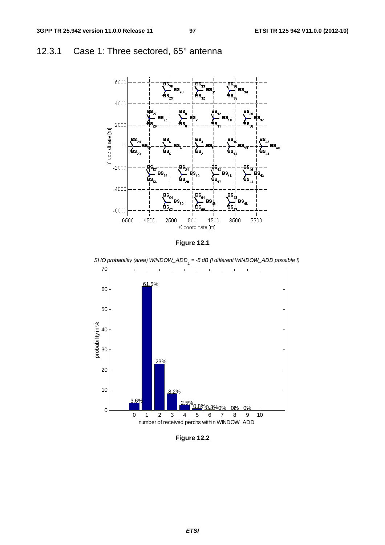# 12.3.1 Case 1: Three sectored, 65° antenna



**Figure 12.1** 



*SHO probability (area) WINDOW\_ADD1 = -5 dB (! different WINDOW\_ADD possible !)*

**Figure 12.2**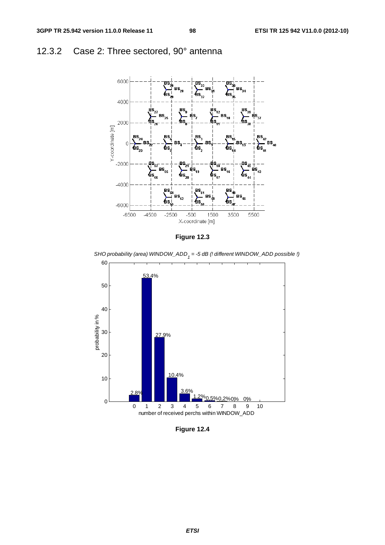# 12.3.2 Case 2: Three sectored, 90° antenna





*SHO probability (area) WINDOW\_ADD1 = -5 dB (! different WINDOW\_ADD possible !)*



**Figure 12.4**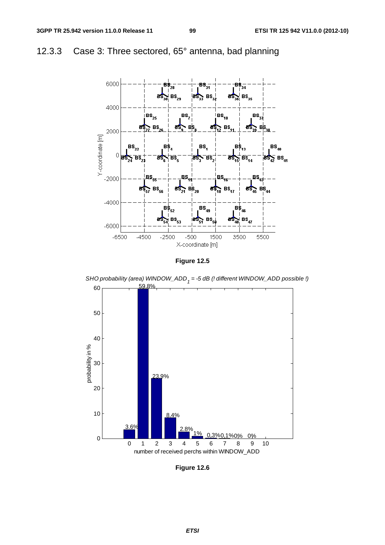

# 12.3.3 Case 3: Three sectored, 65° antenna, bad planning





*SHO probability (area) WINDOW\_ADD1 = -5 dB (! different WINDOW\_ADD possible !)*

**Figure 12.6**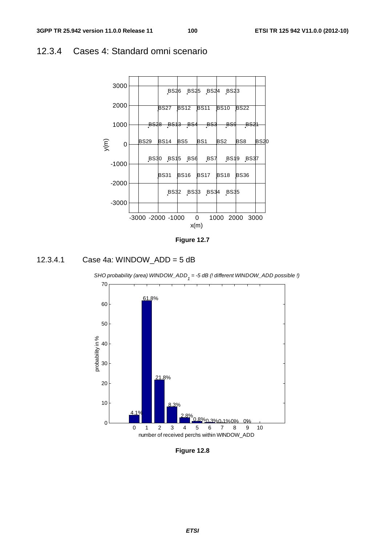### 12.3.4 Cases 4: Standard omni scenario









**Figure 12.8**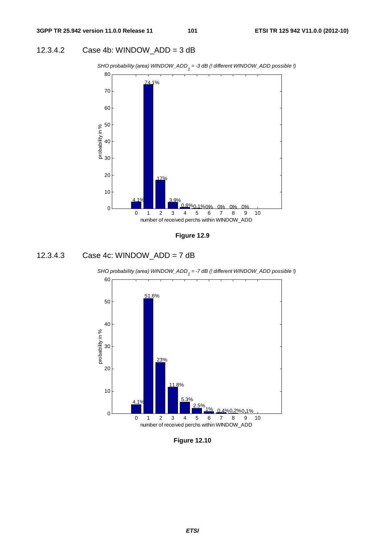#### 12.3.4.2 Case 4b: WINDOW\_ADD = 3 dB





#### 12.3.4.3 Case 4c: WINDOW\_ADD = 7 dB





**Figure 12.10**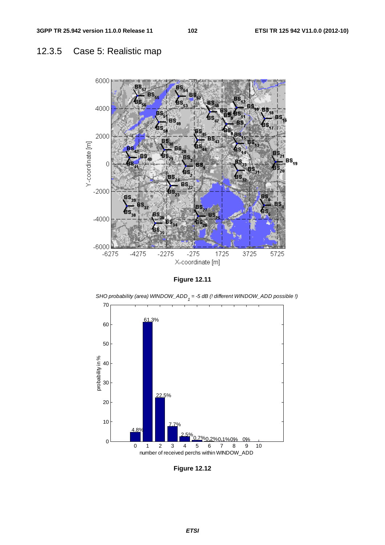# 12.3.5 Case 5: Realistic map



**Figure 12.11** 



**Figure 12.12**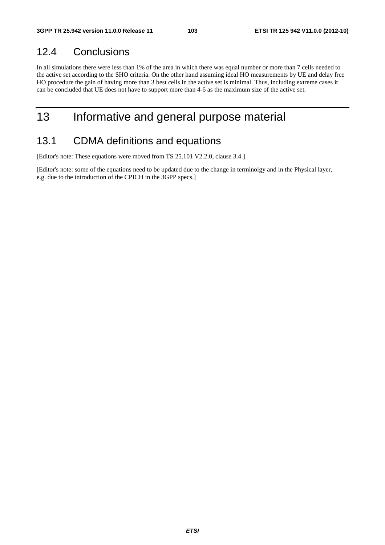## 12.4 Conclusions

In all simulations there were less than 1% of the area in which there was equal number or more than 7 cells needed to the active set according to the SHO criteria. On the other hand assuming ideal HO measurements by UE and delay free HO procedure the gain of having more than 3 best cells in the active set is minimal. Thus, including extreme cases it can be concluded that UE does not have to support more than 4-6 as the maximum size of the active set.

# 13 Informative and general purpose material

# 13.1 CDMA definitions and equations

[Editor's note: These equations were moved from TS 25.101 V2.2.0, clause 3.4.]

[Editor's note: some of the equations need to be updated due to the change in terminolgy and in the Physical layer, e.g. due to the introduction of the CPICH in the 3GPP specs.]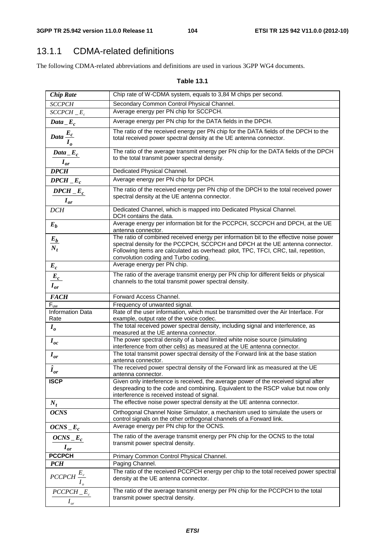# 13.1.1 CDMA-related definitions

The following CDMA-related abbreviations and definitions are used in various 3GPP WG4 documents.

#### **Table 13.1**

| <b>Chip Rate</b>                                                               | Chip rate of W-CDMA system, equals to 3,84 M chips per second.                                                                                                                                                                                                                                          |
|--------------------------------------------------------------------------------|---------------------------------------------------------------------------------------------------------------------------------------------------------------------------------------------------------------------------------------------------------------------------------------------------------|
| <b>SCCPCH</b>                                                                  | Secondary Common Control Physical Channel.                                                                                                                                                                                                                                                              |
| $SCCPCH$ $E_c$                                                                 | Average energy per PN chip for SCCPCH.                                                                                                                                                                                                                                                                  |
| $Data$ <sub>_</sub> $E_c$                                                      | Average energy per PN chip for the DATA fields in the DPCH.                                                                                                                                                                                                                                             |
| $rac{E_c}{Data}$                                                               | The ratio of the received energy per PN chip for the DATA fields of the DPCH to the<br>total received power spectral density at the UE antenna connector.                                                                                                                                               |
| $Data$ <sub>_</sub> $E_c$<br>$I_{or}$                                          | The ratio of the average transmit energy per PN chip for the DATA fields of the DPCH<br>to the total transmit power spectral density.                                                                                                                                                                   |
| <b>DPCH</b>                                                                    | Dedicated Physical Channel.                                                                                                                                                                                                                                                                             |
| $DPCH$ <sub>_</sub> $E_c$                                                      | Average energy per PN chip for DPCH.                                                                                                                                                                                                                                                                    |
| $DPCH$ $E_c$<br>$I_{or}$                                                       | The ratio of the received energy per PN chip of the DPCH to the total received power<br>spectral density at the UE antenna connector.                                                                                                                                                                   |
| <b>DCH</b>                                                                     | Dedicated Channel, which is mapped into Dedicated Physical Channel.<br>DCH contains the data.                                                                                                                                                                                                           |
| $E_b$                                                                          | Average energy per information bit for the PCCPCH, SCCPCH and DPCH, at the UE<br>antenna connector.                                                                                                                                                                                                     |
| $\frac{E_b}{N_t}$                                                              | The ratio of combined received energy per information bit to the effective noise power<br>spectral density for the PCCPCH, SCCPCH and DPCH at the UE antenna connector.<br>Following items are calculated as overhead: pilot, TPC, TFCI, CRC, tail, repetition,<br>convolution coding and Turbo coding. |
| $E_c$                                                                          | Average energy per PN chip.                                                                                                                                                                                                                                                                             |
| $\frac{E_c}{I_{or}}$                                                           | The ratio of the average transmit energy per PN chip for different fields or physical<br>channels to the total transmit power spectral density.                                                                                                                                                         |
| <b>FACH</b>                                                                    | Forward Access Channel.                                                                                                                                                                                                                                                                                 |
| $F_{uw}$                                                                       | Frequency of unwanted signal.                                                                                                                                                                                                                                                                           |
| Information Data<br>Rate                                                       | Rate of the user information, which must be transmitted over the Air Interface. For<br>example, output rate of the voice codec.                                                                                                                                                                         |
| $I_{o}$                                                                        | The total received power spectral density, including signal and interference, as<br>measured at the UE antenna connector.                                                                                                                                                                               |
| $I_{oc}$                                                                       | The power spectral density of a band limited white noise source (simulating<br>interference from other cells) as measured at the UE antenna connector.                                                                                                                                                  |
| $I_{or}$                                                                       | The total transmit power spectral density of the Forward link at the base station<br>antenna connector.                                                                                                                                                                                                 |
| $\overline{\hat{I}_{or}}$                                                      | The received power spectral density of the Forward link as measured at the UE<br>antenna connector.                                                                                                                                                                                                     |
| <b>ISCP</b>                                                                    | Given only interference is received, the average power of the received signal after<br>despreading to the code and combining. Equivalent to the RSCP value but now only<br>interference is received instead of signal.                                                                                  |
| $N_t$                                                                          | The effective noise power spectral density at the UE antenna connector.                                                                                                                                                                                                                                 |
| <b>OCNS</b>                                                                    | Orthogonal Channel Noise Simulator, a mechanism used to simulate the users or<br>control signals on the other orthogonal channels of a Forward link.                                                                                                                                                    |
| $OCNS$ <sub>-E<sub>c</sub></sub>                                               | Average energy per PN chip for the OCNS.                                                                                                                                                                                                                                                                |
| $OCNS$ <sub>-</sub> $E_c$<br>$I_{or}$                                          | The ratio of the average transmit energy per PN chip for the OCNS to the total<br>transmit power spectral density.                                                                                                                                                                                      |
| <b>PCCPCH</b>                                                                  | Primary Common Control Physical Channel.                                                                                                                                                                                                                                                                |
| <b>PCH</b>                                                                     | Paging Channel.                                                                                                                                                                                                                                                                                         |
| $\ensuremath{\mathit{PCCPCH}} \xrightarrow{E_c}$<br>$I_{\scriptscriptstyle o}$ | The ratio of the received PCCPCH energy per chip to the total received power spectral<br>density at the UE antenna connector.                                                                                                                                                                           |
| $\textit{PCCPCH}_{E_c}$<br>$I_{\scriptscriptstyle or}$                         | The ratio of the average transmit energy per PN chip for the PCCPCH to the total<br>transmit power spectral density.                                                                                                                                                                                    |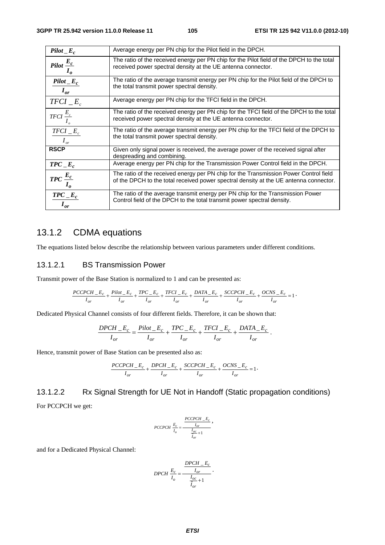| $Pilot$ <sub>_</sub> $E_c$                                         | Average energy per PN chip for the Pilot field in the DPCH.                                                                                                                    |
|--------------------------------------------------------------------|--------------------------------------------------------------------------------------------------------------------------------------------------------------------------------|
| $Pilot \frac{E_c}{I_o}$                                            | The ratio of the received energy per PN chip for the Pilot field of the DPCH to the total<br>received power spectral density at the UE antenna connector.                      |
| $Pilot$ <sub>_</sub> $E_c$<br>$I_{or}$                             | The ratio of the average transmit energy per PN chip for the Pilot field of the DPCH to<br>the total transmit power spectral density.                                          |
| $TFCI$ <sub>_</sub> $E_c$                                          | Average energy per PN chip for the TFCI field in the DPCH.                                                                                                                     |
| TFCI $\frac{E_c}{I_a}$                                             | The ratio of the received energy per PN chip for the TFCI field of the DPCH to the total<br>received power spectral density at the UE antenna connector.                       |
| $TFCI$ <sub>-<math>E_c</math></sub><br>$I_{\scriptscriptstyle or}$ | The ratio of the average transmit energy per PN chip for the TFCI field of the DPCH to<br>the total transmit power spectral density.                                           |
| <b>RSCP</b>                                                        | Given only signal power is received, the average power of the received signal after<br>despreading and combining.                                                              |
| $TPC$ <sub>-E<sub>c</sub></sub>                                    | Average energy per PN chip for the Transmission Power Control field in the DPCH.                                                                                               |
| $TPC \frac{E_c}{I_o}$                                              | The ratio of the received energy per PN chip for the Transmission Power Control field<br>of the DPCH to the total received power spectral density at the UE antenna connector. |
| $TPC$ <sub>-E<sub>c</sub></sub><br>$I_{or}$                        | The ratio of the average transmit energy per PN chip for the Transmission Power<br>Control field of the DPCH to the total transmit power spectral density.                     |

### 13.1.2 CDMA equations

The equations listed below describe the relationship between various parameters under different conditions.

#### 13.1.2.1 BS Transmission Power

Transmit power of the Base Station is normalized to 1 and can be presented as:

$$
\frac{PCCPCH\_E_c}{I_{or}}+\frac{Pilot\_E_c}{I_{or}}+\frac{TPC\_E_c}{I_{or}}+\frac{TFCI\_E_c}{I_{or}}+\frac{DATA\_E_c}{I_{or}}+\frac{SCCPCH\_E_c}{I_{or}}+\frac{OCNS\_E_c}{I_{or}}=1
$$

Dedicated Physical Channel consists of four different fields. Therefore, it can be shown that:

$$
\frac{DPCH\_E_c}{I_{or}} = \frac{Pilot\_E_c}{I_{or}} + \frac{TPC\_E_c}{I_{or}} + \frac{TFCI\_E_c}{I_{or}} + \frac{DATA\_E_c}{I_{or}}.
$$

Hence, transmit power of Base Station can be presented also as:

$$
\frac{PCCPCR\_\_E_c}{I_{or}} + \frac{DPCR\_\_E_c}{I_{or}} + \frac{SCCPCR\_\_E_c}{I_{or}} + \frac{OCNS\_\_E_c}{I_{or}} = 1
$$

13.1.2.2 Rx Signal Strength for UE Not in Handoff (Static propagation conditions) For PCCPCH we get:

$$
PCCPCR \frac{E_c}{I_o} = \frac{\frac{PCCPCR \_E_c}{I_{or}}}{\frac{I_{oc}}{\hat{I}_{or}}+1},
$$

and for a Dedicated Physical Channel:

$$
DPCH \frac{E_c}{I_o} = \frac{\frac{DPCH}{I_{or}}}{\frac{I_{oc}}{I_{or}} + 1}.
$$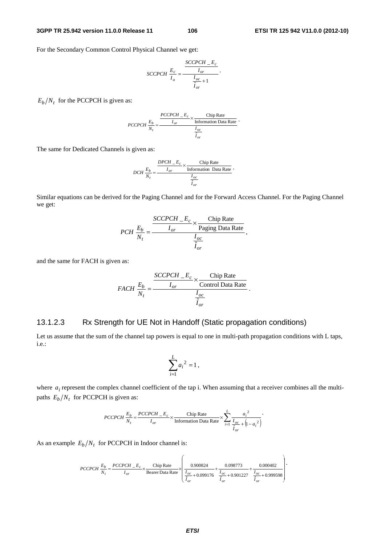#### **3GPP TR 25.942 version 11.0.0 Release 11 106 ETSI TR 125 942 V11.0.0 (2012-10)**

.

For the Secondary Common Control Physical Channel we get:

$$
SCCPCR \frac{E_c}{I_o} = \frac{\frac{SCCPCH}{I_{or}}}{\frac{I_{oc}}{I_{or}} + 1}.
$$

 $E_b/N_t$  for the PCCPCH is given as:

$$
PCCPCH \frac{E_b}{N_t} = \frac{\frac{PCCPCH}{I_{or}} \times \frac{Chip Rate}{Information Data Rate}}{\frac{I_{oc}}{\hat{I}_{or}}}
$$

The same for Dedicated Channels is given as:

$$
DCH \frac{E_b}{N_t} = \frac{\frac{DPCH - E_c}{I_{or}} \times \frac{\text{Chip Rate}}{\text{Information Data Rate}}}{\frac{I_{oc}}{\hat{I}_{or}}}.
$$

Similar equations can be derived for the Paging Channel and for the Forward Access Channel. For the Paging Channel we get:

$$
PCH \frac{E_b}{N_t} = \frac{\frac{SCCPCH}{I_{or}} \times \frac{Chip Rate}{Paging Data Rate}}{\frac{I_{oc}}{\hat{I}_{or}}},
$$

and the same for FACH is given as:

$$
FACH \frac{E_b}{N_t} = \frac{\frac{SCCPCH}{I_{or}} \times \frac{Chip Rate}{Control Data Rate}}{\frac{I_{oc}}{\hat{I}_{or}}}.
$$

#### 13.1.2.3 Rx Strength for UE Not in Handoff (Static propagation conditions)

Let us assume that the sum of the channel tap powers is equal to one in multi-path propagation conditions with L taps, i.e.:

$$
\sum_{i=1}^L a_i^2 = 1,
$$

where  $a_i$  represent the complex channel coefficient of the tap i. When assuming that a receiver combines all the multipaths  $E_b/N_t$  for PCCPCH is given as:

$$
PCCPCH \frac{E_b}{N_t} = \frac{PCCPCH\_E_c}{I_{or}} \times \frac{\text{Chip Rate}}{\text{Information Data Rate}} \times \sum_{i=1}^{L} \frac{a_i^2}{\frac{I_{oc}}{I_{or}} + (1 - a_i^2)}.
$$

As an example  $E_b/N_t$  for PCCPCH in Indoor channel is:

$$
PCCPCH \frac{E_b}{N_I} = \frac{PCCPCH - E_c}{I_{or}} \times \frac{Chip Rate}{\text{Bearer Data Rate}} \times \left(\frac{0.900824}{\frac{I_{oc}}{\hat{I}_{or}} + 0.099176} + \frac{0.098773}{\frac{I_{oc}}{\hat{I}_{or}} + 0.901227} + \frac{0.000402}{\frac{I_{oc}}{\hat{I}_{or}} + 0.999598}\right)
$$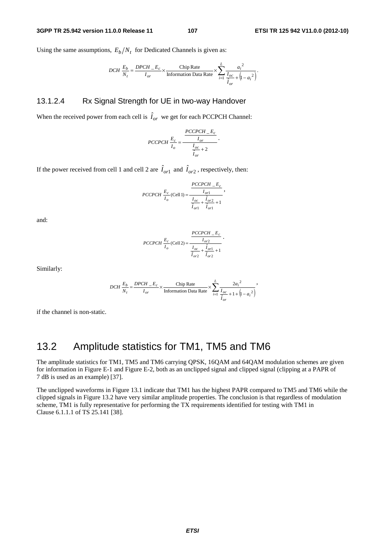Using the same assumptions,  $E_b/N_t$  for Dedicated Channels is given as:

$$
DCH \frac{E_b}{N_t} = \frac{DPCH\_E_c}{I_{or}} \times \frac{\text{Chip Rate}}{\text{Information Data Rate}} \times \sum_{i=1}^{L} \frac{a_i^2}{\frac{I_{oc}}{I_{or}} + (1 - a_i^2)}.
$$

#### 13.1.2.4 Rx Signal Strength for UE in two-way Handover

When the received power from each cell is  $\hat{I}_{or}$  we get for each PCCPCH Channel:

$$
PCCPCH \frac{E_c}{I_o} = \frac{\frac{PCCPCH \_E_c}{I_{or}}}{\frac{I_{oc}}{\tilde{I}_{or}} + 2}.
$$

If the power received from cell 1 and cell 2 are  $\hat{I}_{or1}$  and  $\hat{I}_{or2}$ , respectively, then:

$$
PCCPCH \frac{E_c}{I_o} (Cell 1) = \frac{\frac{PCCPCH \_E_c}{I_{or1}}}{\frac{I_{oc}}{\hat{I}_{or1}} + \frac{\hat{I}_{or2}}{\hat{I}_{or1}} + 1},
$$

and:

$$
PCCPCH \frac{E_c}{I_o} \text{(Cell 2)} = \frac{\frac{PCCPCH}{I_{or2}}}{\frac{I_{oc}}{I_{or2}} + \frac{\hat{I}_{or1}}{\hat{I}_{or2}} + 1}.
$$

Similarly:

$$
DCH \frac{E_b}{N_t} = \frac{DPCH\_E_c}{I_{or}} \times \frac{\text{Chip Rate}}{\text{Information Data Rate}} \times \sum_{i=1}^{L} \frac{2a_i^2}{\frac{I_{oc}}{\hat{I}_{or}} + 1 + (1 - a_i^2)},
$$

if the channel is non-static.

## 13.2 Amplitude statistics for TM1, TM5 and TM6

The amplitude statistics for TM1, TM5 and TM6 carrying QPSK, 16QAM and 64QAM modulation schemes are given for information in Figure E-1 and Figure E-2, both as an unclipped signal and clipped signal (clipping at a PAPR of 7 dB is used as an example) [37].

The unclipped waveforms in Figure 13.1 indicate that TM1 has the highest PAPR compared to TM5 and TM6 while the clipped signals in Figure 13.2 have very similar amplitude properties. The conclusion is that regardless of modulation scheme, TM1 is fully representative for performing the TX requirements identified for testing with TM1 in Clause 6.1.1.1 of TS 25.141 [38].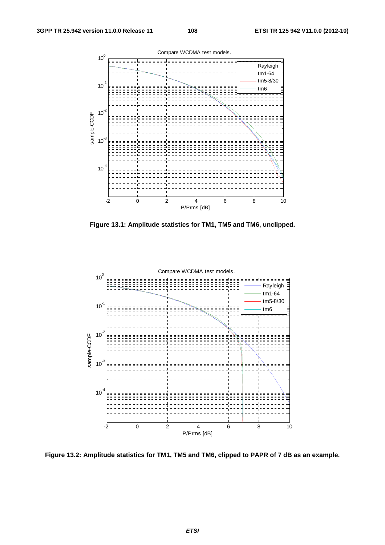

**Figure 13.1: Amplitude statistics for TM1, TM5 and TM6, unclipped.** 



**Figure 13.2: Amplitude statistics for TM1, TM5 and TM6, clipped to PAPR of 7 dB as an example.**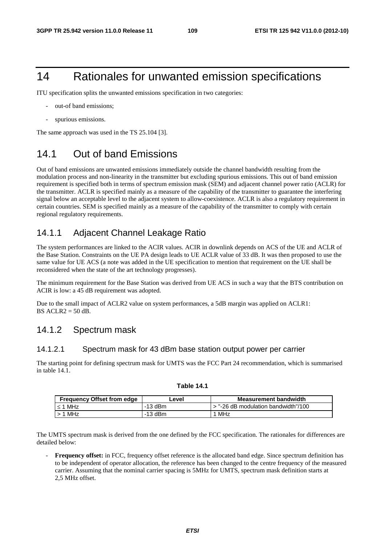# 14 Rationales for unwanted emission specifications

ITU specification splits the unwanted emissions specification in two categories:

- out-of band emissions;
- spurious emissions.

The same approach was used in the TS 25.104 [3].

# 14.1 Out of band Emissions

Out of band emissions are unwanted emissions immediately outside the channel bandwidth resulting from the modulation process and non-linearity in the transmitter but excluding spurious emissions. This out of band emission requirement is specified both in terms of spectrum emission mask (SEM) and adjacent channel power ratio (ACLR) for the transmitter. ACLR is specified mainly as a measure of the capability of the transmitter to guarantee the interfering signal below an acceptable level to the adjacent system to allow-coexistence. ACLR is also a regulatory requirement in certain countries. SEM is specified mainly as a measure of the capability of the transmitter to comply with certain regional regulatory requirements.

# 14.1.1 Adjacent Channel Leakage Ratio

The system performances are linked to the ACIR values. ACIR in downlink depends on ACS of the UE and ACLR of the Base Station. Constraints on the UE PA design leads to UE ACLR value of 33 dB. It was then proposed to use the same value for UE ACS (a note was added in the UE specification to mention that requirement on the UE shall be reconsidered when the state of the art technology progresses).

The minimum requirement for the Base Station was derived from UE ACS in such a way that the BTS contribution on ACIR is low: a 45 dB requirement was adopted.

Due to the small impact of ACLR2 value on system performances, a 5dB margin was applied on ACLR1: BS  $ACLR2 = 50$  dB.

# 14.1.2 Spectrum mask

## 14.1.2.1 Spectrum mask for 43 dBm base station output power per carrier

The starting point for defining spectrum mask for UMTS was the FCC Part 24 recommendation, which is summarised in table 14.1.

**Table 14.1** 

| <b>Frequency Offset from edge</b> | evel.     | <b>Measurement bandwidth</b>        |
|-----------------------------------|-----------|-------------------------------------|
| $\leq$ 1 MHz                      | -13 dBm   | ⋅ "-26 dB modulation bandwidth"/100 |
| $> 1$ MHz                         | $-13$ dBm | 1 MHz                               |

#### The UMTS spectrum mask is derived from the one defined by the FCC specification. The rationales for differences are detailed below:

**Frequency offset:** in FCC, frequency offset reference is the allocated band edge. Since spectrum definition has to be independent of operator allocation, the reference has been changed to the centre frequency of the measured carrier. Assuming that the nominal carrier spacing is 5MHz for UMTS, spectrum mask definition starts at 2,5 MHz offset.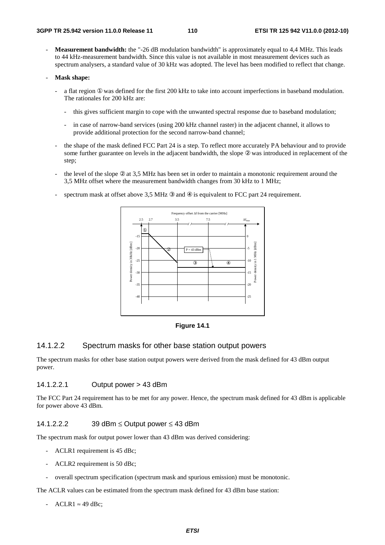**Measurement bandwidth:** the "-26 dB modulation bandwidth" is approximately equal to 4.4 MHz. This leads to 44 kHz-measurement bandwidth. Since this value is not available in most measurement devices such as spectrum analysers, a standard value of 30 kHz was adopted. The level has been modified to reflect that change.

#### - **Mask shape:**

- a flat region  $\Phi$  was defined for the first 200 kHz to take into account imperfections in baseband modulation. The rationales for 200 kHz are:
	- this gives sufficient margin to cope with the unwanted spectral response due to baseband modulation;
	- in case of narrow-band services (using 200 kHz channel raster) in the adjacent channel, it allows to provide additional protection for the second narrow-band channel;
- the shape of the mask defined FCC Part 24 is a step. To reflect more accurately PA behaviour and to provide some further guarantee on levels in the adjacent bandwidth, the slope ② was introduced in replacement of the step;
- the level of the slope  $\mathcal{Q}$  at 3,5 MHz has been set in order to maintain a monotonic requirement around the 3,5 MHz offset where the measurement bandwidth changes from 30 kHz to 1 MHz;
- spectrum mask at offset above 3,5 MHz  $\circledast$  and  $\circledast$  is equivalent to FCC part 24 requirement.



**Figure 14.1** 

# 14.1.2.2 Spectrum masks for other base station output powers

The spectrum masks for other base station output powers were derived from the mask defined for 43 dBm output power.

#### 14.1.2.2.1 Output power > 43 dBm

The FCC Part 24 requirement has to be met for any power. Hence, the spectrum mask defined for 43 dBm is applicable for power above 43 dBm.

#### 14.1.2.2.2 39 dBm ≤ Output power ≤ 43 dBm

The spectrum mask for output power lower than 43 dBm was derived considering:

- ACLR1 requirement is 45 dBc;
- ACLR2 requirement is 50 dBc;
- overall spectrum specification (spectrum mask and spurious emission) must be monotonic.

The ACLR values can be estimated from the spectrum mask defined for 43 dBm base station:

 $-$  ACLR1  $\approx$  49 dBc;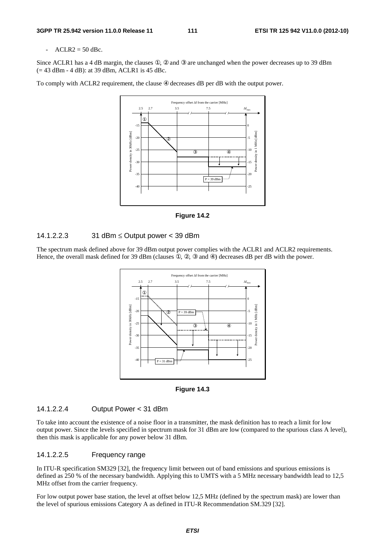#### $ACLR2 = 50$  dBc.

Since ACLR1 has a 4 dB margin, the clauses  $\mathbb{O}$ ,  $\mathbb{Q}$  and  $\mathbb{Q}$  are unchanged when the power decreases up to 39 dBm (= 43 dBm - 4 dB): at 39 dBm, ACLR1 is 45 dBc.

To comply with ACLR2 requirement, the clause  $\circledast$  decreases dB per dB with the output power.





#### 14.1.2.2.3 31 dBm ≤ Output power < 39 dBm

The spectrum mask defined above for 39 dBm output power complies with the ACLR1 and ACLR2 requirements. Hence, the overall mask defined for 39 dBm (clauses  $(0, 0, 0, 0)$  decreases dB per dB with the power.



**Figure 14.3** 

#### 14.1.2.2.4 Output Power < 31 dBm

To take into account the existence of a noise floor in a transmitter, the mask definition has to reach a limit for low output power. Since the levels specified in spectrum mask for 31 dBm are low (compared to the spurious class A level), then this mask is applicable for any power below 31 dBm.

#### 14.1.2.2.5 Frequency range

In ITU-R specification SM329 [32], the frequency limit between out of band emissions and spurious emissions is defined as 250 % of the necessary bandwidth. Applying this to UMTS with a 5 MHz necessary bandwidth lead to 12,5 MHz offset from the carrier frequency.

For low output power base station, the level at offset below 12,5 MHz (defined by the spectrum mask) are lower than the level of spurious emissions Category A as defined in ITU-R Recommendation SM.329 [32].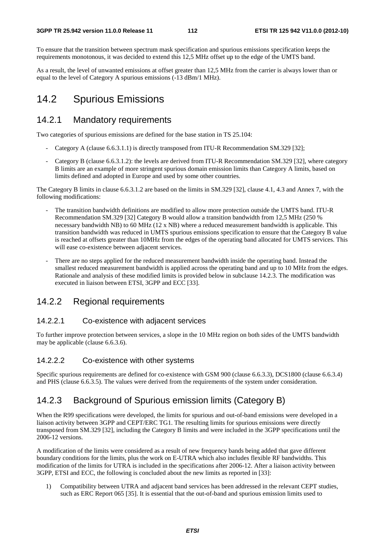To ensure that the transition between spectrum mask specification and spurious emissions specification keeps the requirements monotonous, it was decided to extend this 12,5 MHz offset up to the edge of the UMTS band.

As a result, the level of unwanted emissions at offset greater than 12,5 MHz from the carrier is always lower than or equal to the level of Category A spurious emissions (-13 dBm/1 MHz).

# 14.2 Spurious Emissions

# 14.2.1 Mandatory requirements

Two categories of spurious emissions are defined for the base station in TS 25.104:

- Category A (clause 6.6.3.1.1) is directly transposed from ITU-R Recommendation SM.329 [32];
- Category B (clause 6.6.3.1.2): the levels are derived from ITU-R Recommendation SM.329 [32], where category B limits are an example of more stringent spurious domain emission limits than Category A limits, based on limits defined and adopted in Europe and used by some other countries.

The Category B limits in clause 6.6.3.1.2 are based on the limits in SM.329 [32], clause 4.1, 4.3 and Annex 7, with the following modifications:

- The transition bandwidth definitions are modified to allow more protection outside the UMTS band. ITU-R Recommendation SM.329 [32] Category B would allow a transition bandwidth from 12,5 MHz (250 % necessary bandwidth NB) to 60 MHz (12 x NB) where a reduced measurement bandwidth is applicable. This transition bandwidth was reduced in UMTS spurious emissions specification to ensure that the Category B value is reached at offsets greater than 10MHz from the edges of the operating band allocated for UMTS services. This will ease co-existence between adjacent services.
- There are no steps applied for the reduced measurement bandwidth inside the operating band. Instead the smallest reduced measurement bandwidth is applied across the operating band and up to 10 MHz from the edges. Rationale and analysis of these modified limits is provided below in subclause 14.2.3. The modification was executed in liaison between ETSI, 3GPP and ECC [33].

# 14.2.2 Regional requirements

## 14.2.2.1 Co-existence with adjacent services

To further improve protection between services, a slope in the 10 MHz region on both sides of the UMTS bandwidth may be applicable (clause 6.6.3.6).

## 14.2.2.2 Co-existence with other systems

Specific spurious requirements are defined for co-existence with GSM 900 (clause 6.6.3.3), DCS1800 (clause 6.6.3.4) and PHS (clause 6.6.3.5). The values were derived from the requirements of the system under consideration.

# 14.2.3 Background of Spurious emission limits (Category B)

When the R99 specifications were developed, the limits for spurious and out-of-band emissions were developed in a liaison activity between 3GPP and CEPT/ERC TG1. The resulting limits for spurious emissions were directly transposed from SM.329 [32], including the Category B limits and were included in the 3GPP specifications until the 2006-12 versions.

A modification of the limits were considered as a result of new frequency bands being added that gave different boundary conditions for the limits, plus the work on E-UTRA which also includes flexible RF bandwidths. This modification of the limits for UTRA is included in the specifications after 2006-12. After a liaison activity between 3GPP, ETSI and ECC, the following is concluded about the new limits as reported in [33]:

1) Compatibility between UTRA and adjacent band services has been addressed in the relevant CEPT studies, such as ERC Report 065 [35]. It is essential that the out-of-band and spurious emission limits used to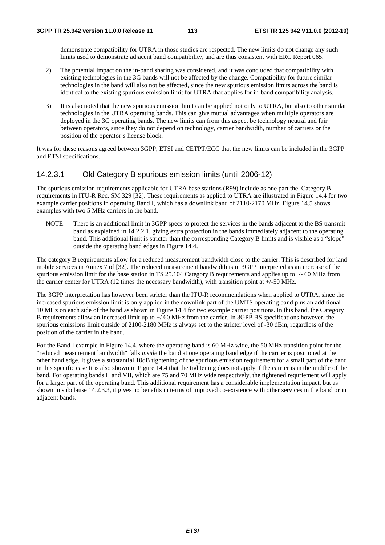demonstrate compatibility for UTRA in those studies are respected. The new limits do not change any such limits used to demonstrate adjacent band compatibility, and are thus consistent with ERC Report 065.

- 2) The potential impact on the in-band sharing was considered, and it was concluded that compatibility with existing technologies in the 3G bands will not be affected by the change. Compatibility for future similar technologies in the band will also not be affected, since the new spurious emission limits across the band is identical to the existing spurious emission limit for UTRA that applies for in-band compatibility analysis.
- 3) It is also noted that the new spurious emission limit can be applied not only to UTRA, but also to other similar technologies in the UTRA operating bands. This can give mutual advantages when multiple operators are deployed in the 3G operating bands. The new limits can from this aspect be technology neutral and fair between operators, since they do not depend on technology, carrier bandwidth, number of carriers or the position of the operator's license block.

It was for these reasons agreed between 3GPP, ETSI and CETPT/ECC that the new limits can be included in the 3GPP and ETSI specifications.

# 14.2.3.1 Old Category B spurious emission limits (until 2006-12)

The spurious emission requirements applicable for UTRA base stations (R99) include as one part the Category B requirements in ITU-R Rec. SM.329 [32]. These requirements as applied to UTRA are illustrated in Figure 14.4 for two example carrier positions in operating Band I, which has a downlink band of 2110-2170 MHz. Figure 14.5 shows examples with two 5 MHz carriers in the band.

NOTE: There is an additional limit in 3GPP specs to protect the services in the bands adjacent to the BS transmit band as explained in 14.2.2.1, giving extra protection in the bands immediately adjacent to the operating band. This additional limit is stricter than the corresponding Category B limits and is visible as a "slope" outside the operating band edges in Figure 14.4.

The category B requirements allow for a reduced measurement bandwidth close to the carrier. This is described for land mobile services in Annex 7 of [32]. The reduced measurement bandwidth is in 3GPP interpreted as an increase of the spurious emission limit for the base station in TS 25.104 Category B requirements and applies up to  $+/-$  60 MHz from the carrier center for UTRA (12 times the necessary bandwidth), with transition point at  $+/-50$  MHz.

The 3GPP interpretation has however been stricter than the ITU-R recommendations when applied to UTRA, since the increased spurious emission limit is only applied in the downlink part of the UMTS operating band plus an additional 10 MHz on each side of the band as shown in Figure 14.4 for two example carrier positions. In this band, the Category B requirements allow an increased limit up to  $+/60$  MHz from the carrier. In 3GPP BS specifications however, the spurious emissions limit outside of 2100-2180 MHz is always set to the stricter level of -30 dBm, regardless of the position of the carrier in the band.

For the Band I example in Figure 14.4, where the operating band is 60 MHz wide, the 50 MHz transition point for the "reduced measurement bandwidth" falls *inside* the band at one operating band edge if the carrier is positioned at the other band edge. It gives a substantial 10dB tightening of the spurious emission requirement for a small part of the band in this specific case It is also shown in Figure 14.4 that the tightening does not apply if the carrier is in the middle of the band. For operating bands II and VII, which are 75 and 70 MHz wide respectively, the tightened requriement will apply for a larger part of the operating band. This additional requirement has a considerable implementation impact, but as shown in subclause 14.2.3.3, it gives no benefits in terms of improved co-existence with other services in the band or in adjacent bands.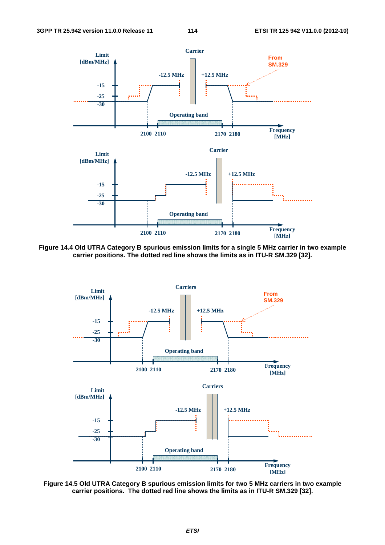

**Figure 14.4 Old UTRA Category B spurious emission limits for a single 5 MHz carrier in two example carrier positions. The dotted red line shows the limits as in ITU-R SM.329 [32].** 



**Figure 14.5 Old UTRA Category B spurious emission limits for two 5 MHz carriers in two example carrier positions. The dotted red line shows the limits as in ITU-R SM.329 [32].**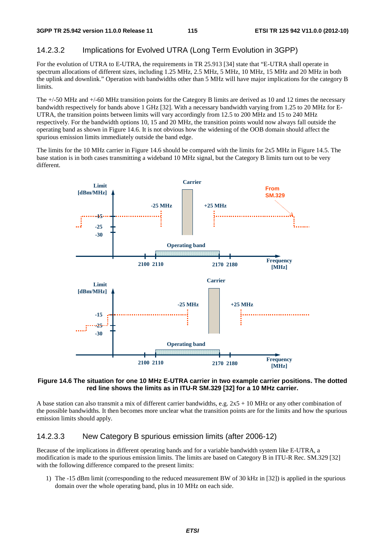# 14.2.3.2 Implications for Evolved UTRA (Long Term Evolution in 3GPP)

For the evolution of UTRA to E-UTRA, the requirements in TR 25.913 [34] state that "E-UTRA shall operate in spectrum allocations of different sizes, including 1.25 MHz, 2.5 MHz, 5 MHz, 10 MHz, 15 MHz and 20 MHz in both the uplink and downlink." Operation with bandwidths other than 5 MHz will have major implications for the category B limits.

The +/-50 MHz and +/-60 MHz transition points for the Category B limits are derived as 10 and 12 times the necessary bandwidth respectively for bands above 1 GHz [32]. With a necessary bandwidth varying from 1.25 to 20 MHz for E-UTRA, the transition points between limits will vary accordingly from 12.5 to 200 MHz and 15 to 240 MHz respectively. For the bandwidth options 10, 15 and 20 MHz, the transition points would now always fall outside the operating band as shown in Figure 14.6. It is not obvious how the widening of the OOB domain should affect the spurious emission limits immediately outside the band edge.

The limits for the 10 MHz carrier in Figure 14.6 should be compared with the limits for 2x5 MHz in Figure 14.5. The base station is in both cases transmitting a wideband 10 MHz signal, but the Category B limits turn out to be very different.



#### **Figure 14.6 The situation for one 10 MHz E-UTRA carrier in two example carrier positions. The dotted red line shows the limits as in ITU-R SM.329 [32] for a 10 MHz carrier.**

A base station can also transmit a mix of different carrier bandwidths, e.g.  $2x5 + 10$  MHz or any other combination of the possible bandwidths. It then becomes more unclear what the transition points are for the limits and how the spurious emission limits should apply.

## 14.2.3.3 New Category B spurious emission limits (after 2006-12)

Because of the implications in different operating bands and for a variable bandwidth system like E-UTRA, a modification is made to the spurious emission limits. The limits are based on Category B in ITU-R Rec. SM.329 [32] with the following difference compared to the present limits:

1) The -15 dBm limit (corresponding to the reduced measurement BW of 30 kHz in [32]) is applied in the spurious domain over the whole operating band, plus in 10 MHz on each side.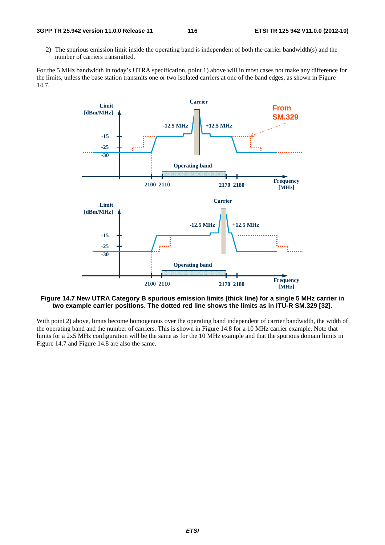2) The spurious emission limit inside the operating band is independent of both the carrier bandwidth(s) and the number of carriers transmitted.

For the 5 MHz bandwidth in today's UTRA specification, point 1) above will in most cases not make any difference for the limits, unless the base station transmits one or two isolated carriers at one of the band edges, as shown in Figure 14.7.



#### **Figure 14.7 New UTRA Category B spurious emission limits (thick line) for a single 5 MHz carrier in two example carrier positions. The dotted red line shows the limits as in ITU-R SM.329 [32].**

With point 2) above, limits become homogenous over the operating band independent of carrier bandwidth, the width of the operating band and the number of carriers. This is shown in Figure 14.8 for a 10 MHz carrier example. Note that limits for a 2x5 MHz configuration will be the same as for the 10 MHz example and that the spurious domain limits in Figure 14.7 and Figure 14.8 are also the same.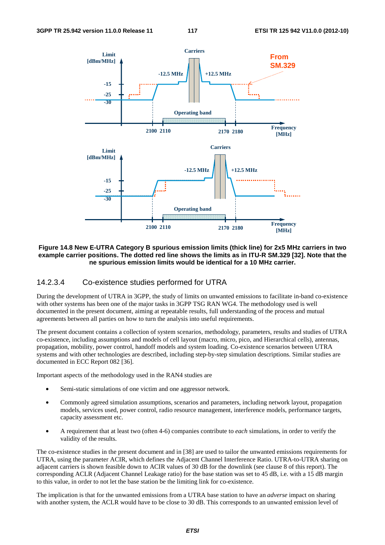

#### **Figure 14.8 New E-UTRA Category B spurious emission limits (thick line) for 2x5 MHz carriers in two example carrier positions. The dotted red line shows the limits as in ITU-R SM.329 [32]. Note that the ne spurious emission limits would be identical for a 10 MHz carrier.**

#### 14.2.3.4 Co-existence studies performed for UTRA

During the development of UTRA in 3GPP, the study of limits on unwanted emissions to facilitate in-band co-existence with other systems has been one of the major tasks in 3GPP TSG RAN WG4. The methodology used is well documented in the present document, aiming at repeatable results, full understanding of the process and mutual agreements between all parties on how to turn the analysis into useful requirements.

The present document contains a collection of system scenarios, methodology, parameters, results and studies of UTRA co-existence, including assumptions and models of cell layout (macro, micro, pico, and Hierarchical cells), antennas, propagation, mobility, power control, handoff models and system loading. Co-existence scenarios between UTRA systems and with other technologies are described, including step-by-step simulation descriptions. Similar studies are documented in ECC Report 082 [36].

Important aspects of the methodology used in the RAN4 studies are

- Semi-static simulations of one victim and one aggressor network.
- Commonly agreed simulation assumptions, scenarios and parameters, including network layout, propagation models, services used, power control, radio resource management, interference models, performance targets, capacity assessment etc.
- A requirement that at least two (often 4-6) companies contribute to *each* simulations, in order to verify the validity of the results.

The co-existence studies in the present document and in [38] are used to tailor the unwanted emissions requirements for UTRA, using the parameter ACIR, which defines the Adjacent Channel Interference Ratio. UTRA-to-UTRA sharing on adjacent carriers is shown feasible down to ACIR values of 30 dB for the downlink (see clause 8 of this report). The corresponding ACLR (Adjacent Channel Leakage ratio) for the base station was set to 45 dB, i.e. with a 15 dB margin to this value, in order to not let the base station be the limiting link for co-existence.

The implication is that for the unwanted emissions from a UTRA base station to have an *adverse* impact on sharing with another system, the ACLR would have to be close to 30 dB. This corresponds to an unwanted emission level of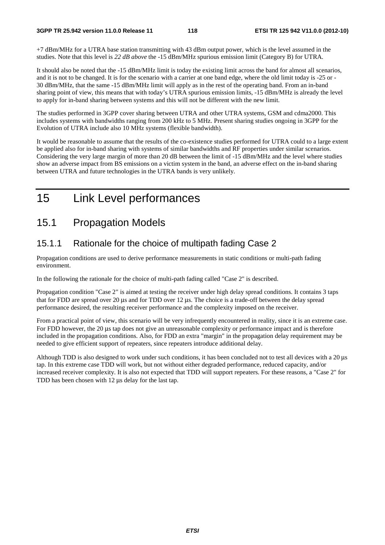+7 dBm/MHz for a UTRA base station transmitting with 43 dBm output power, which is the level assumed in the studies. Note that this level is *22 dB above* the -15 dBm/MHz spurious emission limit (Category B) for UTRA.

It should also be noted that the -15 dBm/MHz limit is today the existing limit across the band for almost all scenarios, and it is not to be changed. It is for the scenario with a carrier at one band edge, where the old limit today is -25 or - 30 dBm/MHz, that the same -15 dBm/MHz limit will apply as in the rest of the operating band. From an in-band sharing point of view, this means that with today's UTRA spurious emission limits, -15 dBm/MHz is already the level to apply for in-band sharing between systems and this will not be different with the new limit.

The studies performed in 3GPP cover sharing between UTRA and other UTRA systems, GSM and cdma2000. This includes systems with bandwidths ranging from 200 kHz to 5 MHz. Present sharing studies ongoing in 3GPP for the Evolution of UTRA include also 10 MHz systems (flexible bandwidth).

It would be reasonable to assume that the results of the co-existence studies performed for UTRA could to a large extent be applied also for in-band sharing with systems of similar bandwidths and RF properties under similar scenarios. Considering the very large margin of more than 20 dB between the limit of -15 dBm/MHz and the level where studies show an adverse impact from BS emissions on a victim system in the band, an adverse effect on the in-band sharing between UTRA and future technologies in the UTRA bands is very unlikely.

# 15 Link Level performances

# 15.1 Propagation Models

# 15.1.1 Rationale for the choice of multipath fading Case 2

Propagation conditions are used to derive performance measurements in static conditions or multi-path fading environment.

In the following the rationale for the choice of multi-path fading called "Case 2" is described.

Propagation condition "Case 2" is aimed at testing the receiver under high delay spread conditions. It contains 3 taps that for FDD are spread over 20 μs and for TDD over 12 μs. The choice is a trade-off between the delay spread performance desired, the resulting receiver performance and the complexity imposed on the receiver.

From a practical point of view, this scenario will be very infrequently encountered in reality, since it is an extreme case. For FDD however, the 20 μs tap does not give an unreasonable complexity or performance impact and is therefore included in the propagation conditions. Also, for FDD an extra "margin" in the propagation delay requirement may be needed to give efficient support of repeaters, since repeaters introduce additional delay.

Although TDD is also designed to work under such conditions, it has been concluded not to test all devices with a 20 μs tap. In this extreme case TDD will work, but not without either degraded performance, reduced capacity, and/or increased receiver complexity. It is also not expected that TDD will support repeaters. For these reasons, a "Case 2" for TDD has been chosen with 12 μs delay for the last tap.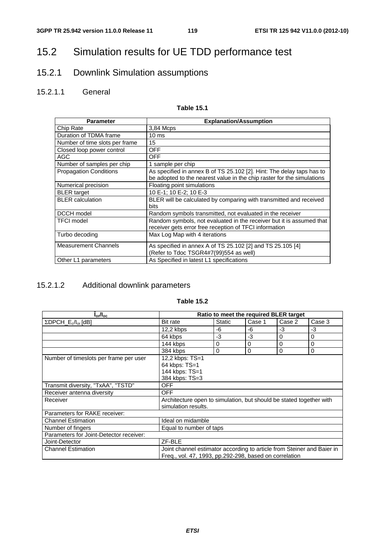# 15.2 Simulation results for UE TDD performance test

# 15.2.1 Downlink Simulation assumptions

# 15.2.1.1 General

## **Table 15.1**

| <b>Parameter</b>               | <b>Explanation/Assumption</b>                                                                                                                   |
|--------------------------------|-------------------------------------------------------------------------------------------------------------------------------------------------|
| Chip Rate                      | 3,84 Mcps                                                                                                                                       |
| Duration of TDMA frame         | $10 \text{ ms}$                                                                                                                                 |
| Number of time slots per frame | 15                                                                                                                                              |
| Closed loop power control      | <b>OFF</b>                                                                                                                                      |
| AGC                            | <b>OFF</b>                                                                                                                                      |
| Number of samples per chip     | 1 sample per chip                                                                                                                               |
| <b>Propagation Conditions</b>  | As specified in annex B of TS 25.102 [2]. Hint: The delay taps has to<br>be adopted to the nearest value in the chip raster for the simulations |
| Numerical precision            | Floating point simulations                                                                                                                      |
| <b>BLER</b> target             | 10 E-1: 10 E-2: 10 E-3                                                                                                                          |
| <b>BLER</b> calculation        | BLER will be calculated by comparing with transmitted and received<br>bits                                                                      |
| DCCH model                     | Random symbols transmitted, not evaluated in the receiver                                                                                       |
| <b>TFCI</b> model              | Random symbols, not evaluated in the receiver but it is assumed that<br>receiver gets error free reception of TFCI information                  |
| Turbo decoding                 | Max Log Map with 4 iterations                                                                                                                   |
| <b>Measurement Channels</b>    | As specified in annex A of TS 25.102 [2] and TS 25.105 [4]<br>(Refer to Tdoc TSGR4#7(99)554 as well)                                            |
| Other L1 parameters            | As Specified in latest L1 specifications                                                                                                        |

# 15.2.1.2 Additional downlink parameters

| $I_{\rm or}/I_{\rm oc}$                            | Ratio to meet the required BLER target                                 |        |        |          |        |  |
|----------------------------------------------------|------------------------------------------------------------------------|--------|--------|----------|--------|--|
| $\Sigma$ DPCH_E <sub>c</sub> /I <sub>or</sub> [dB] | Bit rate                                                               | Static | Case 1 | Case 2   | Case 3 |  |
|                                                    | $12.2$ kbps                                                            | -6     | -6     | -3       | -3     |  |
|                                                    | 64 kbps                                                                | -3     | $-3$   | $\Omega$ | 0      |  |
|                                                    | 144 kbps                                                               | 0      | 0      | $\Omega$ | 0      |  |
|                                                    | 384 kbps                                                               | 0      | 0      | 0        | 0      |  |
| Number of timeslots per frame per user             | 12,2 kbps: TS=1                                                        |        |        |          |        |  |
|                                                    | 64 kbps: TS=1                                                          |        |        |          |        |  |
|                                                    | 144 kbps: TS=1                                                         |        |        |          |        |  |
|                                                    | 384 kbps: TS=3                                                         |        |        |          |        |  |
| Transmit diversity, "TxAA", "TSTD"                 | <b>OFF</b>                                                             |        |        |          |        |  |
| Receiver antenna diversity                         | <b>OFF</b>                                                             |        |        |          |        |  |
| Receiver                                           | Architecture open to simulation, but should be stated together with    |        |        |          |        |  |
|                                                    | simulation results.                                                    |        |        |          |        |  |
| Parameters for RAKE receiver:                      |                                                                        |        |        |          |        |  |
| <b>Channel Estimation</b>                          | Ideal on midamble                                                      |        |        |          |        |  |
| Number of fingers                                  | Equal to number of taps                                                |        |        |          |        |  |
| Parameters for Joint-Detector receiver:            |                                                                        |        |        |          |        |  |
| Joint-Detector                                     | ZF-BLE                                                                 |        |        |          |        |  |
| <b>Channel Estimation</b>                          | Joint channel estimator according to article from Steiner and Baier in |        |        |          |        |  |
|                                                    | Freq., vol. 47, 1993, pp.292-298, based on correlation                 |        |        |          |        |  |

#### **Table 15.2**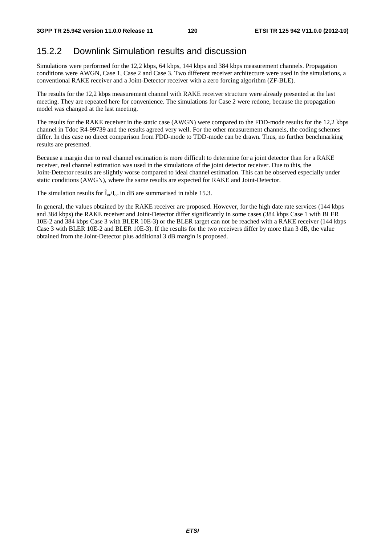# 15.2.2 Downlink Simulation results and discussion

Simulations were performed for the 12,2 kbps, 64 kbps, 144 kbps and 384 kbps measurement channels. Propagation conditions were AWGN, Case 1, Case 2 and Case 3. Two different receiver architecture were used in the simulations, a conventional RAKE receiver and a Joint-Detector receiver with a zero forcing algorithm (ZF-BLE).

The results for the 12,2 kbps measurement channel with RAKE receiver structure were already presented at the last meeting. They are repeated here for convenience. The simulations for Case 2 were redone, because the propagation model was changed at the last meeting.

The results for the RAKE receiver in the static case (AWGN) were compared to the FDD-mode results for the 12,2 kbps channel in Tdoc R4-99739 and the results agreed very well. For the other measurement channels, the coding schemes differ. In this case no direct comparison from FDD-mode to TDD-mode can be drawn. Thus, no further benchmarking results are presented.

Because a margin due to real channel estimation is more difficult to determine for a joint detector than for a RAKE receiver, real channel estimation was used in the simulations of the joint detector receiver. Due to this, the Joint-Detector results are slightly worse compared to ideal channel estimation. This can be observed especially under static conditions (AWGN), where the same results are expected for RAKE and Joint-Detector.

The simulation results for  $\hat{I}_{or}/I_{oc}$  in dB are summarised in table 15.3.

In general, the values obtained by the RAKE receiver are proposed. However, for the high date rate services (144 kbps and 384 kbps) the RAKE receiver and Joint-Detector differ significantly in some cases (384 kbps Case 1 with BLER 10E-2 and 384 kbps Case 3 with BLER 10E-3) or the BLER target can not be reached with a RAKE receiver (144 kbps Case 3 with BLER 10E-2 and BLER 10E-3). If the results for the two receivers differ by more than 3 dB, the value obtained from the Joint-Detector plus additional 3 dB margin is proposed.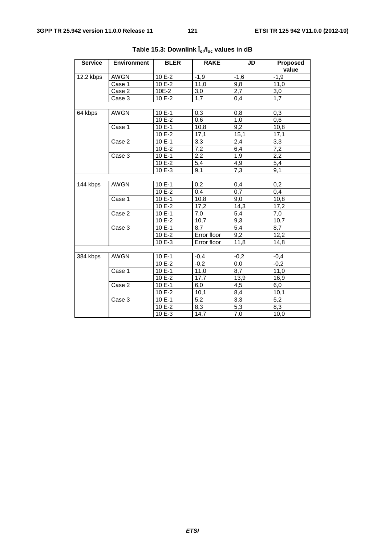| <b>Service</b> | <b>Environment</b> | <b>BLER</b> | <b>RAKE</b>      | JD               | <b>Proposed</b><br>value |
|----------------|--------------------|-------------|------------------|------------------|--------------------------|
| 12.2 kbps      | <b>AWGN</b>        | 10 E-2      | $-1,9$           | $-1,6$           | $-1,9$                   |
|                | Case 1             | 10 E-2      | 11,0             | 9,8              | 11,0                     |
|                | Case 2             | 10E-2       | 3,0              | 2,7              | 3,0                      |
|                | Case 3             | 10 E-2      | 1,7              | 0,4              | 1,7                      |
|                |                    |             |                  |                  |                          |
| 64 kbps        | <b>AWGN</b>        | 10 E-1      | 0,3              | 0,8              | 0,3                      |
|                |                    | $10E-2$     | 0,6              | 1,0              | 0,6                      |
|                | Case 1             | 10 E-1      | 10,8             | 9,2              | 10,8                     |
|                |                    | 10 E-2      | 17,1             | 15,1             | 17,1                     |
|                | Case 2             | $10E-1$     | 3,3              | 2,4              | 3,3                      |
|                |                    | 10 E-2      | $\overline{7,2}$ | 6,4              | 7,2                      |
|                | Case 3             | 10 E-1      | 2,2              | 1,9              | 2,2                      |
|                |                    | 10 E-2      | 5,4              | 4,9              | 5,4                      |
|                |                    | $10E - 3$   | 9,1              | $7,\overline{3}$ | 9,1                      |
|                |                    |             |                  |                  |                          |
| 144 kbps       | <b>AWGN</b>        | 10 E-1      | 0,2              | 0,4              | 0,2                      |
|                |                    | 10 E-2      | 0,4              | 0,7              | 0,4                      |
|                | Case 1             | 10 E-1      | 10,8             | 9,0              | 10,8                     |
|                |                    | 10 E-2      | 17,2             | 14,3             | 17,2                     |
|                | Case 2             | 10 E-1      | 7,0              | 5,4              | 7,0                      |
|                |                    | $10E-2$     | 10,7             | 9,3              | 10,7                     |
|                | Case 3             | $10E-1$     | 8,7              | 5,4              | 8,7                      |
|                |                    | 10 E-2      | Error floor      | 9,2              | 12,2                     |
|                |                    | $10E-3$     | Error floor      | 11,8             | 14,8                     |
|                |                    |             |                  |                  |                          |
| 384 kbps       | <b>AWGN</b>        | 10 E-1      | $-0,4$           | $-0,2$           | $-0,4$                   |
|                |                    | $10E-2$     | $-0,2$           | 0,0              | $-0,2$                   |
|                | Case 1             | $10E-1$     | 11,0             | 8,7              | 11,0                     |
|                |                    | 10 E-2      | 17,7             | 13,9             | 16,9                     |
|                | Case 2             | 10 E-1      | 6,0              | 4,5              | 6,0                      |
|                |                    | 10 E-2      | 10,1             | 8,4              | 10,1                     |
|                | Case 3             | $10E-1$     | 5,2              | 3,3              | 5,2                      |
|                |                    | 10 E-2      | 8,3              | 5,3              | 8,3                      |
|                |                    | $10E-3$     | 14,7             | 7,0              | 10,0                     |

**Table 15.3: Downlink Îor/Ioc values in dB**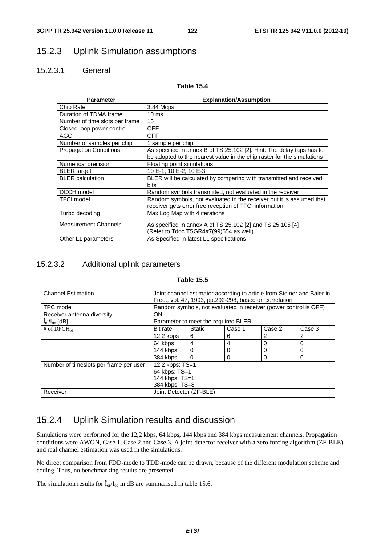# 15.2.3 Uplink Simulation assumptions

# 15.2.3.1 General

#### **Table 15.4**

| <b>Parameter</b>               | <b>Explanation/Assumption</b>                                                                                                                   |
|--------------------------------|-------------------------------------------------------------------------------------------------------------------------------------------------|
| Chip Rate                      | 3,84 Mcps                                                                                                                                       |
| Duration of TDMA frame         | 10 <sub>ms</sub>                                                                                                                                |
| Number of time slots per frame | 15                                                                                                                                              |
| Closed loop power control      | <b>OFF</b>                                                                                                                                      |
| AGC                            | <b>OFF</b>                                                                                                                                      |
| Number of samples per chip     | 1 sample per chip                                                                                                                               |
| <b>Propagation Conditions</b>  | As specified in annex B of TS 25.102 [2]. Hint: The delay taps has to<br>be adopted to the nearest value in the chip raster for the simulations |
| Numerical precision            | Floating point simulations                                                                                                                      |
| <b>BLER</b> target             | 10 E-1; 10 E-2; 10 E-3                                                                                                                          |
| <b>BLER</b> calculation        | BLER will be calculated by comparing with transmitted and received<br>bits                                                                      |
| DCCH model                     | Random symbols transmitted, not evaluated in the receiver                                                                                       |
| <b>TFCI</b> model              | Random symbols, not evaluated in the receiver but it is assumed that<br>receiver gets error free reception of TFCI information                  |
| Turbo decoding                 | Max Log Map with 4 iterations                                                                                                                   |
| <b>Measurement Channels</b>    | As specified in annex A of TS 25.102 [2] and TS 25.105 [4]<br>(Refer to Tdoc TSGR4#7(99)554 as well)                                            |
| Other L1 parameters            | As Specified in latest L1 specifications                                                                                                        |

# 15.2.3.2 Additional uplink parameters

#### **Table 15.5**

| <b>Channel Estimation</b>                 | Joint channel estimator according to article from Steiner and Baier in<br>Freq., vol. 47, 1993, pp.292-298, based on correlation |                                                                  |        |        |          |  |
|-------------------------------------------|----------------------------------------------------------------------------------------------------------------------------------|------------------------------------------------------------------|--------|--------|----------|--|
| TPC model                                 |                                                                                                                                  | Random symbols, not evaluated in receiver (power control is OFF) |        |        |          |  |
| Receiver antenna diversity                | <b>ON</b>                                                                                                                        |                                                                  |        |        |          |  |
| $\int_{\text{or}}$ / $I_{\text{oc}}$ [dB] |                                                                                                                                  | Parameter to meet the required BLER                              |        |        |          |  |
| # of $DPCH_{oi}$                          | <b>Bit rate</b>                                                                                                                  | <b>Static</b>                                                    | Case 1 | Case 2 | Case 3   |  |
|                                           | $12.2$ kbps<br>6<br>2<br>6<br>2                                                                                                  |                                                                  |        |        |          |  |
|                                           | 4<br>64 kbps<br>0<br>4<br>0                                                                                                      |                                                                  |        |        |          |  |
|                                           | 144 kbps                                                                                                                         | 0                                                                | 0      | 0      | $\Omega$ |  |
|                                           | 384 kbps                                                                                                                         | $\Omega$                                                         | 0      | 0      | $\Omega$ |  |
| Number of timeslots per frame per user    | 12,2 kbps: TS=1<br>64 kbps: TS=1<br>144 kbps: TS=1<br>384 kbps: TS=3                                                             |                                                                  |        |        |          |  |
| Receiver                                  | Joint Detector (ZF-BLE)                                                                                                          |                                                                  |        |        |          |  |

# 15.2.4 Uplink Simulation results and discussion

Simulations were performed for the 12,2 kbps, 64 kbps, 144 kbps and 384 kbps measurement channels. Propagation conditions were AWGN, Case 1, Case 2 and Case 3. A joint-detector receiver with a zero forcing algorithm (ZF-BLE) and real channel estimation was used in the simulations.

No direct comparison from FDD-mode to TDD-mode can be drawn, because of the different modulation scheme and coding. Thus, no benchmarking results are presented.

The simulation results for  $\hat{I}_{or}/I_{oc}$  in dB are summarised in table 15.6.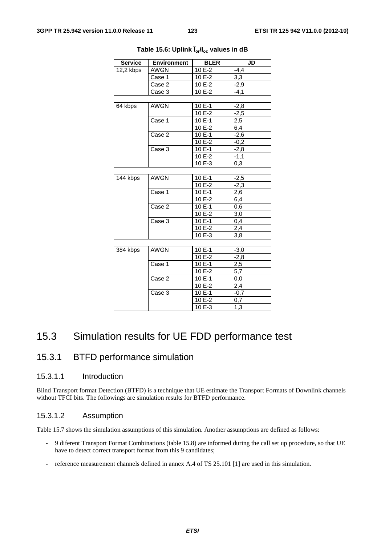| <b>Service</b> | <b>Environment</b> | <b>BLER</b> | $\overline{\mathsf{J}\mathsf{D}}$ |
|----------------|--------------------|-------------|-----------------------------------|
| 12,2 kbps      | AWGN               | 10 E-2      | $-4,4$                            |
|                | Case 1             | 10 E-2      | 3,3                               |
|                | Case 2             | 10 E-2      | -2,9                              |
|                | Case 3             | 10 E-2      | $-4,1$                            |
|                |                    |             |                                   |
| 64 kbps        | <b>AWGN</b>        | 10 E-1      | $-2,8$                            |
|                |                    | 10 E-2      | $-2,5$                            |
|                | Case 1             | 10 E-1      | 2,5                               |
|                |                    | 10 E-2      | 6,4                               |
|                | Case 2             | 10 E-1      | $-2,6$                            |
|                |                    | 10 E-2      | $-0,2$                            |
|                | Case 3             | 10 E-1      | $-2,8$                            |
|                |                    | 10 E-2      | $-1,1$                            |
|                |                    | 10 E-3      | 0,3                               |
|                |                    |             |                                   |
| 144 kbps       | <b>AWGN</b>        | 10 E-1      | $-2,5$                            |
|                |                    | 10 E-2      | $-2,3$                            |
|                | Case 1             | 10 E-1      | 2,6                               |
|                |                    | 10 E-2      | 6,4                               |
|                | Case 2             | 10 E-1      | 0,6                               |
|                |                    | 10 E-2      | 3,0                               |
|                | Case 3             | 10 E-1      | 0,4                               |
|                |                    | 10 E-2      | 2,4                               |
|                |                    | 10 E-3      | 3,8                               |
|                |                    |             |                                   |
| 384 kbps       | <b>AWGN</b>        | 10 E-1      | $-3,0$                            |
|                |                    | 10 E-2      | $-2,8$                            |
|                | Case 1             | 10 E-1      | 2,5                               |
|                |                    | 10 E-2      | 5,7                               |
|                | Case 2             | $10E-1$     | 0,0                               |
|                |                    | $10E - 2$   | 2,4                               |
|                | Case 3             | 10 E-1      | $-0,7$                            |
|                |                    | 10 E-2      | 0,7                               |
|                |                    | 10 E-3      | 1,3                               |

**Table 15.6: Uplink Îor/Ioc values in dB** 

# 15.3 Simulation results for UE FDD performance test

# 15.3.1 BTFD performance simulation

# 15.3.1.1 Introduction

Blind Transport format Detection (BTFD) is a technique that UE estimate the Transport Formats of Downlink channels without TFCI bits. The followings are simulation results for BTFD performance.

## 15.3.1.2 Assumption

Table 15.7 shows the simulation assumptions of this simulation. Another assumptions are defined as follows:

- 9 diferent Transport Format Combinations (table 15.8) are informed during the call set up procedure, so that UE have to detect correct transport format from this 9 candidates;
- reference measurement channels defined in annex A.4 of TS 25.101 [1] are used in this simulation.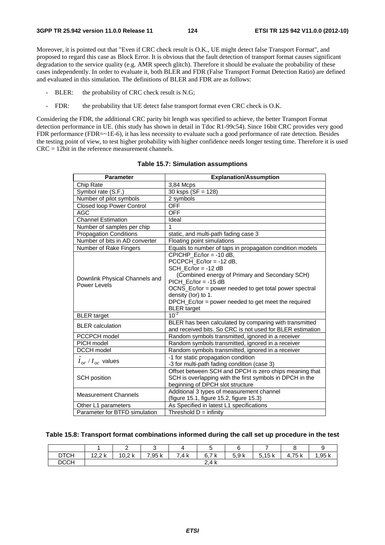Moreover, it is pointed out that "Even if CRC check result is O.K., UE might detect false Transport Format", and proposed to regard this case as Block Error. It is obvious that the fault detection of transport format causes significant degradation to the service quality (e.g. AMR speech glitch). Therefore it should be evaluate the probability of these cases independently. In order to evaluate it, both BLER and FDR (False Transport Format Detection Ratio) are defined and evaluated in this simulation. The definitions of BLER and FDR are as follows:

- BLER: the probability of CRC check result is N.G;
- FDR: the probability that UE detect false transport format even CRC check is O.K.

Considering the FDR, the additional CRC parity bit length was specified to achieve, the better Transport Format detection performance in UE. (this study has shown in detail in Tdoc R1-99c54). Since 16bit CRC provides very good FDR performance (FDR=~1E-6), it has less necessity to evaluate such a good performance of rate detection. Besides the testing point of view, to test higher probability with higher confidence needs longer testing time. Therefore it is used CRC = 12bit in the reference measurement channels.

| <b>Parameter</b>                               | <b>Explanation/Assumption</b>                             |
|------------------------------------------------|-----------------------------------------------------------|
| Chip Rate                                      | 3,84 Mcps                                                 |
| Symbol rate (S.F.)                             | 30 ksps ( $SF = 128$ )                                    |
| Number of pilot symbols                        | 2 symbols                                                 |
| <b>Closed loop Power Control</b>               | <b>OFF</b>                                                |
| <b>AGC</b>                                     | <b>OFF</b>                                                |
| <b>Channel Estimation</b>                      | Ideal                                                     |
| Number of samples per chip                     | 1                                                         |
| <b>Propagation Conditions</b>                  | static, and multi-path fading case 3                      |
| Number of bits in AD converter                 | Floating point simulations                                |
| Number of Rake Fingers                         | Equals to number of taps in propagation condition models  |
|                                                | CPICHP $Ec/lor = -10 dB$ ,                                |
|                                                | PCCPCH $Ec/lor = -12 dB$ ,                                |
|                                                | SCH $Ec/lor = -12 dB$                                     |
| Downlink Physical Channels and<br>Power Levels | (Combined energy of Primary and Secondary SCH)            |
|                                                | $PICH$ Ec/lor = -15 dB                                    |
|                                                | OCNS_Ec/lor = power needed to get total power spectral    |
|                                                | density (lor) to 1.                                       |
|                                                | DPCH_Ec/lor = power needed to get meet the required       |
|                                                | <b>BLER</b> target                                        |
| <b>BLER</b> target                             | $10^{-2}$                                                 |
| <b>BLER</b> calculation                        | BLER has been calculated by comparing with transmitted    |
|                                                | and received bits. So CRC is not used for BLER estimation |
| PCCPCH model                                   | Random symbols transmitted, ignored in a receiver         |
| PICH model                                     | Random symbols transmitted, ignored in a receiver         |
| <b>DCCH</b> model                              | Random symbols transmitted, ignored in a receiver         |
| $I_{or}$ / $I_{oc}$ values                     | -1 for static propagation condition                       |
|                                                | -3 for multi-path fading condition (case 3)               |
|                                                | Offset between SCH and DPCH is zero chips meaning that    |
| <b>SCH</b> position                            | SCH is overlapping with the first symbols in DPCH in the  |
|                                                | beginning of DPCH slot structure                          |
| <b>Measurement Channels</b>                    | Additional 3 types of measurement channel                 |
|                                                | (figure 15.1, figure 15.2, figure 15.3)                   |
| Other L1 parameters                            | As Specified in latest L1 specifications                  |
| Parameter for BTFD simulation                  | Threshold $D =$ infinity                                  |

**Table 15.7: Simulation assumptions** 

#### **Table 15.8: Transport format combinations informed during the call set up procedure in the test**

|             |                | -                 | ີ      |                      | ັ                                             |      | -                            |        | ×.     |
|-------------|----------------|-------------------|--------|----------------------|-----------------------------------------------|------|------------------------------|--------|--------|
| <b>DTCH</b> | 1つつし<br>12.Z N | 10.2 <sub>k</sub> | 7,95 k | <b>7</b> A L<br>.4 K | フレ<br>$\sim$<br>h<br>$\mathbf{U}$<br><b>N</b> | 5.9k | 5.15 <sub>k</sub><br><b></b> | 4,75 k | 1,95 k |
| <b>DCCH</b> |                |                   |        |                      | 2.4k                                          |      |                              |        |        |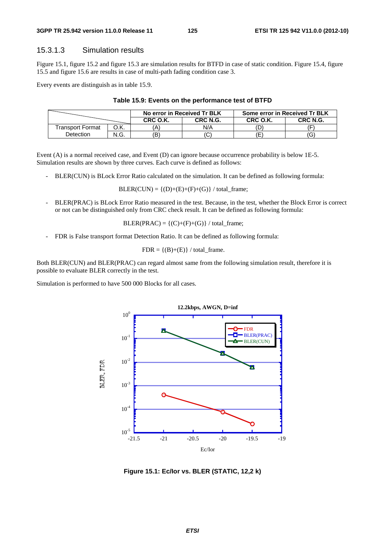# 15.3.1.3 Simulation results

Figure 15.1, figure 15.2 and figure 15.3 are simulation results for BTFD in case of static condition. Figure 15.4, figure 15.5 and figure 15.6 are results in case of multi-path fading condition case 3.

Every events are distinguish as in table 15.9.

#### **Table 15.9: Events on the performance test of BTFD**

|                  |      | No error in Received Tr BLK |          | Some error in Received Tr BLK |          |  |
|------------------|------|-----------------------------|----------|-------------------------------|----------|--|
|                  |      | CRC O.K.                    | CRC N.G. | CRC O.K.                      | CRC N.G. |  |
| Transport Format |      |                             | N/A      |                               |          |  |
| <b>Detection</b> | N.G. |                             |          |                               | G        |  |

Event (A) is a normal received case, and Event (D) can ignore because occurrence probability is below 1E-5. Simulation results are shown by three curves. Each curve is defined as follows:

BLER(CUN) is BLock Error Ratio calculated on the simulation. It can be defined as following formula:

 $BLER(CUN) = {(D)+(E)+(F)+(G)}$  / total frame;

BLER(PRAC) is BLock Error Ratio measured in the test. Because, in the test, whether the Block Error is correct or not can be distinguished only from CRC check result. It can be defined as following formula:

 $BLER(PRAC) = {(C)+(F)+(G)}$  / total\_frame;

- FDR is False transport format Detection Ratio. It can be defined as following formula:

 $FDR = \{(B)+(E)\}\/$  total\_frame.

Both BLER(CUN) and BLER(PRAC) can regard almost same from the following simulation result, therefore it is possible to evaluate BLER correctly in the test.

Simulation is performed to have 500 000 Blocks for all cases.



**Figure 15.1: Ec/Ior vs. BLER (STATIC, 12,2 k)**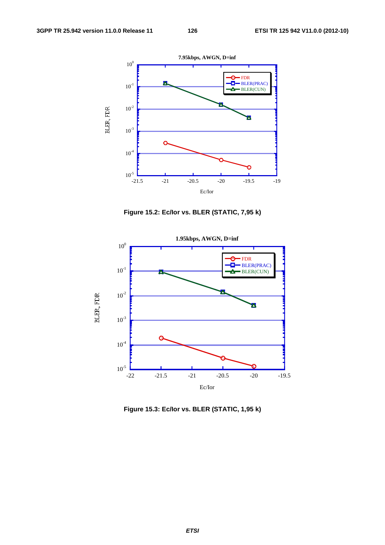





**Figure 15.3: Ec/Ior vs. BLER (STATIC, 1,95 k)**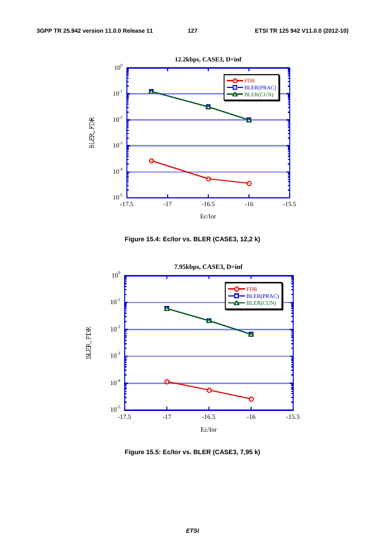

**Figure 15.4: Ec/Ior vs. BLER (CASE3, 12,2 k)** 



**Figure 15.5: Ec/Ior vs. BLER (CASE3, 7,95 k)**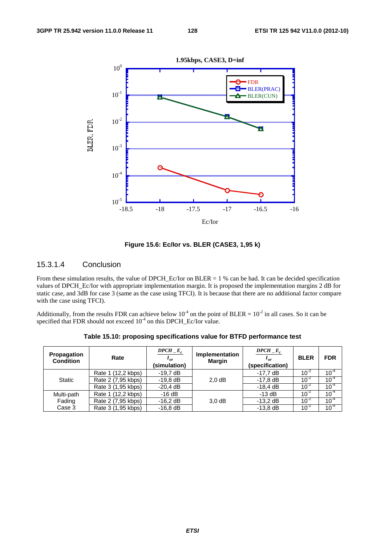

**Figure 15.6: Ec/Ior vs. BLER (CASE3, 1,95 k)** 

## 15.3.1.4 Conclusion

From these simulation results, the value of DPCH\_Ec/Ior on BLER = 1 % can be had. It can be decided specification values of DPCH\_Ec/Ior with appropriate implementation margin. It is proposed the implementation margins 2 dB for static case, and 3dB for case 3 (same as the case using TFCI). It is because that there are no additional factor compare with the case using TFCI).

Additionally, from the results FDR can achieve below 10<sup>-4</sup> on the point of BLER =  $10^{-2}$  in all cases. So it can be specified that FDR should not exceed  $10^{-4}$  on this DPCH\_Ec/Ior value.

| Propagation<br><b>Condition</b> | Rate               | $DPCH\_E_c$<br>$I_{\alpha r}$<br>(simulation) | Implementation<br><b>Margin</b> | $DPCH$ <sub>-E<sub>c</sub></sub><br>$I_{\alpha r}$<br>(specification) | <b>BLER</b> | <b>FDR</b> |
|---------------------------------|--------------------|-----------------------------------------------|---------------------------------|-----------------------------------------------------------------------|-------------|------------|
|                                 | Rate 1 (12,2 kbps) | $-19.7$ dB                                    |                                 | $-17.7 \text{ dB}$                                                    | $10^{-2}$   | $10^{-4}$  |
| <b>Static</b>                   | Rate 2 (7,95 kbps) | $-19.8$ dB                                    | 2.0 dB                          | $-17,8$ dB                                                            | $10^{-2}$   | $10^{-4}$  |
|                                 | Rate 3 (1,95 kbps) | $-20,4$ dB                                    |                                 | $-18.4$ dB                                                            | $10^{-2}$   | $10^{-4}$  |
| Multi-path                      | Rate 1 (12,2 kbps) | $-16dB$                                       |                                 | $-13$ dB                                                              | $10^{-2}$   | $10^{-4}$  |
| Fading                          | Rate 2 (7,95 kbps) | $-16,2$ dB                                    | 3.0 dB                          | $-13,2$ dB                                                            | $10^{-2}$   | $10^{-4}$  |
| Case 3                          | Rate 3 (1,95 kbps) | $-16,8$ dB                                    |                                 | $-13,8$ dB                                                            | $10^{-2}$   | $10^{-4}$  |

**Table 15.10: proposing specifications value for BTFD performance test**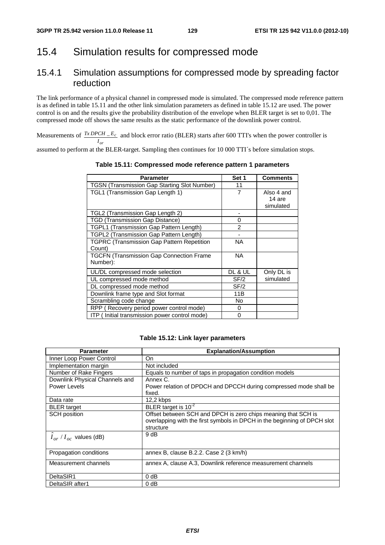# 15.4 Simulation results for compressed mode

# 15.4.1 Simulation assumptions for compressed mode by spreading factor reduction

The link performance of a physical channel in compressed mode is simulated. The compressed mode reference pattern is as defined in table 15.11 and the other link simulation parameters as defined in table 15.12 are used. The power control is on and the results give the probability distribution of the envelope when BLER target is set to 0,01. The compressed mode off shows the same results as the static performance of the downlink power control.

Measurements of  $\frac{TxDPCH}{E_c}$  and block error ratio (BLER) starts after 600 TTI's when the power controller is *or I* assumed to perform at the BLER-target. Sampling then continues for 10 000 TTI´s before simulation stops.

| <b>Parameter</b>                                            | Set 1         | <b>Comments</b>                   |
|-------------------------------------------------------------|---------------|-----------------------------------|
| <b>TGSN (Transmission Gap Starting Slot Number)</b>         | 11            |                                   |
| TGL1 (Transmission Gap Length 1)                            | 7             | Also 4 and<br>14 are<br>simulated |
| TGL2 (Transmission Gap Length 2)                            |               |                                   |
| <b>TGD (Transmission Gap Distance)</b>                      | 0             |                                   |
| TGPL1 (Transmission Gap Pattern Length)                     | $\mathcal{P}$ |                                   |
| TGPL2 (Transmission Gap Pattern Length)                     |               |                                   |
| <b>TGPRC (Transmission Gap Pattern Repetition</b><br>Count) | NA            |                                   |
| <b>TGCFN (Transmission Gap Connection Frame</b><br>Number): | <b>NA</b>     |                                   |
| UL/DL compressed mode selection                             | DL & UL       | Only DL is                        |
| UL compressed mode method                                   | SF/2          | simulated                         |
| DL compressed mode method                                   | SF/2          |                                   |
| Downlink frame type and Slot format                         | 11B           |                                   |
| Scrambling code change                                      | No            |                                   |
| RPP (Recovery period power control mode)                    | 0             |                                   |
| ITP (Initial transmission power control mode)               | 0             |                                   |

**Table 15.11: Compressed mode reference pattern 1 parameters** 

#### **Table 15.12: Link layer parameters**

| <b>Parameter</b>                      | <b>Explanation/Assumption</b>                                               |  |  |  |
|---------------------------------------|-----------------------------------------------------------------------------|--|--|--|
| Inner Loop Power Control              | On.                                                                         |  |  |  |
| Implementation margin                 | Not included                                                                |  |  |  |
| Number of Rake Fingers                | Equals to number of taps in propagation condition models                    |  |  |  |
| Downlink Physical Channels and        | Annex C.                                                                    |  |  |  |
| Power Levels                          | Power relation of DPDCH and DPCCH during compressed mode shall be<br>fixed. |  |  |  |
| Data rate                             | $12.2$ kbps                                                                 |  |  |  |
| <b>BLER</b> target                    | BLER target is $10^{-2}$                                                    |  |  |  |
| <b>SCH</b> position                   | Offset between SCH and DPCH is zero chips meaning that SCH is               |  |  |  |
|                                       | overlapping with the first symbols in DPCH in the beginning of DPCH slot    |  |  |  |
|                                       | structure                                                                   |  |  |  |
| $\hat{I}_{or}$ / $I_{oc}$ values (dB) | 9 dB                                                                        |  |  |  |
|                                       |                                                                             |  |  |  |
| Propagation conditions                | annex B, clause B.2.2. Case 2 (3 km/h)                                      |  |  |  |
| Measurement channels                  | annex A, clause A.3, Downlink reference measurement channels                |  |  |  |
|                                       |                                                                             |  |  |  |
| DeltaSIR1                             | 0 dB                                                                        |  |  |  |
| DeltaSIR after1                       | 0 dB                                                                        |  |  |  |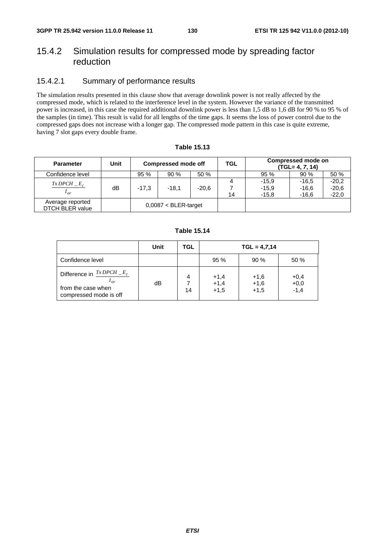# 15.4.2 Simulation results for compressed mode by spreading factor reduction

# 15.4.2.1 Summary of performance results

The simulation results presented in this clause show that average downlink power is not really affected by the compressed mode, which is related to the interference level in the system. However the variance of the transmitted power is increased, in this case the required additional downlink power is less than 1,5 dB to 1,6 dB for 90 % to 95 % of the samples (in time). This result is valid for all lengths of the time gaps. It seems the loss of power control due to the compressed gaps does not increase with a longer gap. The compressed mode pattern in this case is quite extreme, having 7 slot gaps every double frame.

| <b>Parameter</b>                           | Unit | <b>Compressed mode off</b> |         |         | <b>TGL</b> | Compressed mode on<br>$(TGL = 4, 7, 14)$ |                               |                               |  |
|--------------------------------------------|------|----------------------------|---------|---------|------------|------------------------------------------|-------------------------------|-------------------------------|--|
| Confidence level                           |      | 95 %                       | 90%     | 50 %    |            | 95 %                                     | 90%                           | 50 %                          |  |
| $Tx$ DPCH $E_c$<br>$^{\prime}$ or          | dB   | $-17.3$                    | $-18.1$ | $-20,6$ | 14         | $-15.9$<br>$-15.9$<br>$-15.8$            | $-16.5$<br>$-16,6$<br>$-16,6$ | $-20.2$<br>$-20,6$<br>$-22,0$ |  |
| Average reported<br><b>DTCH BLER value</b> |      | $0,0087 < BLER$ -target    |         |         |            |                                          |                               |                               |  |

## **Table 15.13**

#### **Table 15.14**

|                                                                                                            | Unit | TGL     | $TGL = 4,7,14$             |                            |                            |  |
|------------------------------------------------------------------------------------------------------------|------|---------|----------------------------|----------------------------|----------------------------|--|
| Confidence level                                                                                           |      |         | 95 %                       | 90%                        | 50 %                       |  |
| Difference in $\frac{TxDPCH}{x}$ – $E_c$<br>$^{\prime}$ or<br>from the case when<br>compressed mode is off | dB   | 4<br>14 | $+1,4$<br>$+1,4$<br>$+1,5$ | $+1,6$<br>$+1,6$<br>$+1,5$ | $+0,4$<br>$+0,0$<br>$-1,4$ |  |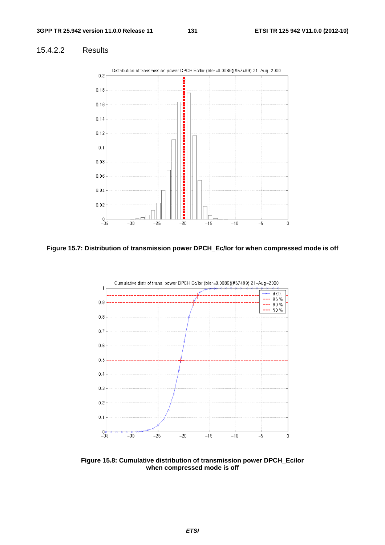# 15.4.2.2 Results



**Figure 15.7: Distribution of transmission power DPCH\_Ec/Ior for when compressed mode is off** 



**Figure 15.8: Cumulative distribution of transmission power DPCH\_Ec/Ior when compressed mode is off**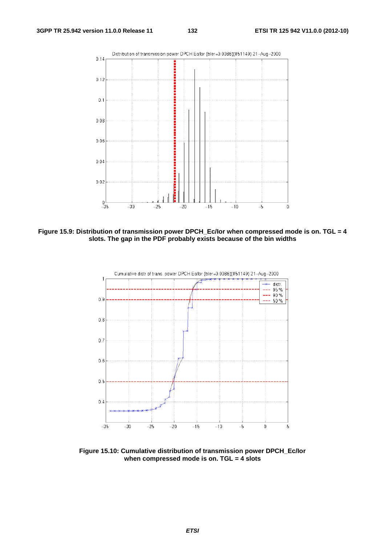

**Figure 15.9: Distribution of transmission power DPCH\_Ec/Ior when compressed mode is on. TGL = 4 slots. The gap in the PDF probably exists because of the bin widths** 



**Figure 15.10: Cumulative distribution of transmission power DPCH\_Ec/Ior when compressed mode is on. TGL = 4 slots**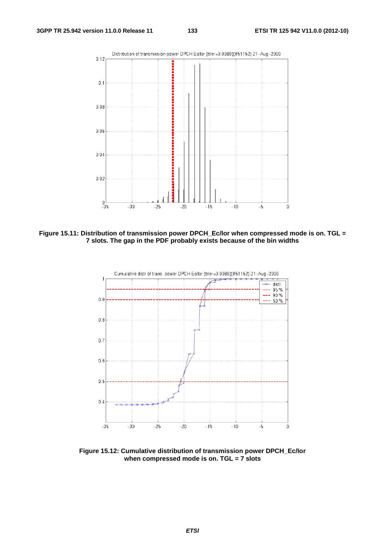

**Figure 15.11: Distribution of transmission power DPCH\_Ec/Ior when compressed mode is on. TGL = 7 slots. The gap in the PDF probably exists because of the bin widths** 



**Figure 15.12: Cumulative distribution of transmission power DPCH\_Ec/Ior when compressed mode is on. TGL = 7 slots**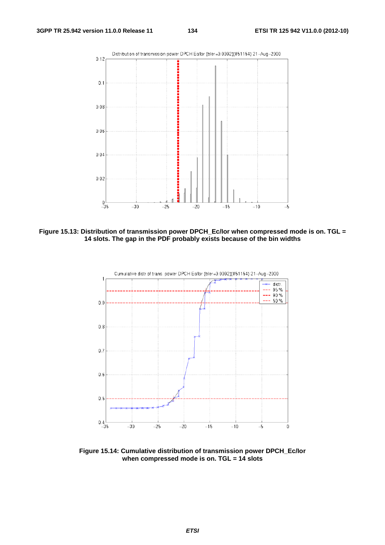

**Figure 15.13: Distribution of transmission power DPCH\_Ec/Ior when compressed mode is on. TGL = 14 slots. The gap in the PDF probably exists because of the bin widths** 



**Figure 15.14: Cumulative distribution of transmission power DPCH\_Ec/Ior when compressed mode is on. TGL = 14 slots**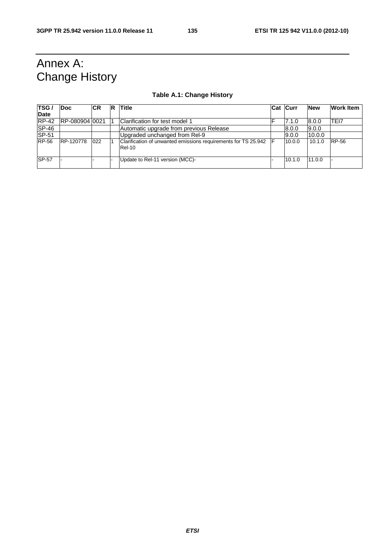# Annex A: Change History

# **Table A.1: Change History**

| TSG /        | <b>Doc</b>     | <b>CR</b> | R | Title                                                                           |   | <b>Cat Curr</b> | <b>New</b> | <b>Work Item</b> |
|--------------|----------------|-----------|---|---------------------------------------------------------------------------------|---|-----------------|------------|------------------|
| Date         |                |           |   |                                                                                 |   |                 |            |                  |
| $RP-42$      | RP-08090410021 |           |   | Clarification for test model 1                                                  |   | 7.1.0           | 8.0.0      | TEI7             |
| <b>SP-46</b> |                |           |   | Automatic upgrade from previous Release                                         |   | 8.0.0           | 9.0.0      |                  |
| <b>SP-51</b> |                |           |   | Upgraded unchanged from Rel-9                                                   |   | 9.0.0           | 10.0.0     |                  |
| <b>RP-56</b> | RP-120778      | 022       |   | Clarification of unwanted emissions requirements for TS 25.942<br><b>Rel-10</b> | Е | 10.0.0          | 10.1.0     | RP-56            |
| <b>SP-57</b> |                |           |   | Update to Rel-11 version (MCC)-                                                 |   | 10.1.0          | 11.0.0     |                  |